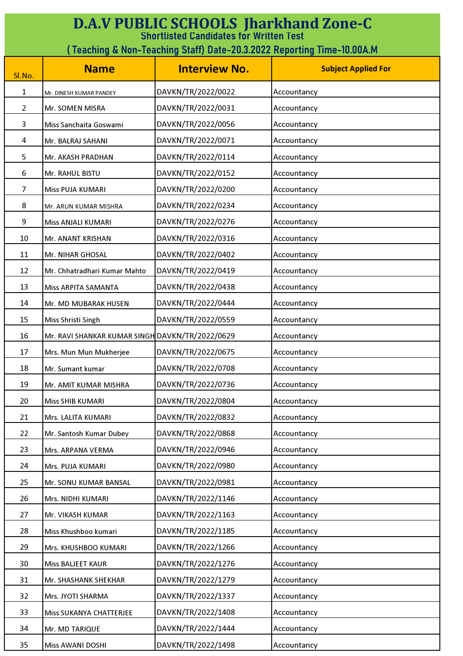| <b>D.A.V PUBLIC SCHOOLS Jharkhand Zone-C</b><br><b>Shortlisted Candidates for Written Test</b> |                                                 |                      |                            |
|------------------------------------------------------------------------------------------------|-------------------------------------------------|----------------------|----------------------------|
| (Teaching & Non-Teaching Staff) Date-20.3.2022 Reporting Time-10.00A.M                         |                                                 |                      |                            |
| Sl.No.                                                                                         | <b>Name</b>                                     | <b>Interview No.</b> | <b>Subject Applied For</b> |
| 1                                                                                              | Mr. DINESH KUMAR PANDEY                         | DAVKN/TR/2022/0022   | Accountancy                |
| $\overline{2}$                                                                                 | Mr. SOMEN MISRA                                 | DAVKN/TR/2022/0031   | Accountancy                |
| 3                                                                                              | Miss Sanchaita Goswami                          | DAVKN/TR/2022/0056   | Accountancy                |
| 4                                                                                              | Mr. BALRAJ SAHANI                               | DAVKN/TR/2022/0071   | Accountancy                |
| 5                                                                                              | Mr. AKASH PRADHAN                               | DAVKN/TR/2022/0114   | Accountancy                |
| 6                                                                                              | Mr. RAHUL BISTU                                 | DAVKN/TR/2022/0152   | Accountancy                |
| 7                                                                                              | Miss PUJA KUMARI                                | DAVKN/TR/2022/0200   | Accountancy                |
| 8                                                                                              | Mr. ARUN KUMAR MISHRA                           | DAVKN/TR/2022/0234   | Accountancy                |
| 9                                                                                              | Miss ANJALI KUMARI                              | DAVKN/TR/2022/0276   | Accountancy                |
| 10                                                                                             | Mr. ANANT KRISHAN                               | DAVKN/TR/2022/0316   | Accountancy                |
| 11                                                                                             | Mr. NIHAR GHOSAL                                | DAVKN/TR/2022/0402   | Accountancy                |
| 12                                                                                             | Mr. Chhatradhari Kumar Mahto                    | DAVKN/TR/2022/0419   | Accountancy                |
| 13                                                                                             | Miss ARPITA SAMANTA                             | DAVKN/TR/2022/0438   | Accountancy                |
| 14                                                                                             | Mr. MD MUBARAK HUSEN                            | DAVKN/TR/2022/0444   | Accountancy                |
| 15                                                                                             | Miss Shristi Singh                              | DAVKN/TR/2022/0559   | Accountancy                |
| 16                                                                                             | Mr. RAVI SHANKAR KUMAR SINGH DAVKN/TR/2022/0629 |                      | Accountancy                |
| 17                                                                                             | Mrs. Mun Mun Mukherjee                          | DAVKN/TR/2022/0675   | Accountancy                |
| 18                                                                                             | Mr. Sumant kumar                                | DAVKN/TR/2022/0708   | Accountancy                |
| 19                                                                                             | Mr. AMIT KUMAR MISHRA                           | DAVKN/TR/2022/0736   | Accountancy                |
| 20                                                                                             | Miss SHIB KUMARI                                | DAVKN/TR/2022/0804   | Accountancy                |
| 21                                                                                             | Mrs. LALITA KUMARI                              | DAVKN/TR/2022/0832   | Accountancy                |
| 22                                                                                             | Mr. Santosh Kumar Dubey                         | DAVKN/TR/2022/0868   | Accountancy                |
| 23                                                                                             | Mrs. ARPANA VERMA                               | DAVKN/TR/2022/0946   | Accountancy                |
| 24                                                                                             | Mrs. PUJA KUMARI                                | DAVKN/TR/2022/0980   | Accountancy                |
| 25                                                                                             | Mr. SONU KUMAR BANSAL                           | DAVKN/TR/2022/0981   | Accountancy                |
| 26                                                                                             | Mrs. NIDHI KUMARI                               | DAVKN/TR/2022/1146   | Accountancy                |
| 27                                                                                             | Mr. VIKASH KUMAR                                | DAVKN/TR/2022/1163   | Accountancy                |
| 28                                                                                             | Miss Khushboo kumari                            | DAVKN/TR/2022/1185   | Accountancy                |
| 29                                                                                             | Mrs. KHUSHBOO KUMARI                            | DAVKN/TR/2022/1266   | Accountancy                |
| 30                                                                                             | Miss BALJEET KAUR                               | DAVKN/TR/2022/1276   | Accountancy                |
| 31                                                                                             | Mr. SHASHANK SHEKHAR                            | DAVKN/TR/2022/1279   | Accountancy                |
| 32                                                                                             | Mrs. JYOTI SHARMA                               | DAVKN/TR/2022/1337   | Accountancy                |
| 33                                                                                             | Miss SUKANYA CHATTERJEE                         | DAVKN/TR/2022/1408   | Accountancy                |
| 34                                                                                             | Mr. MD TARIQUE                                  | DAVKN/TR/2022/1444   | Accountancy                |
| 35                                                                                             | Miss AWANI DOSHI                                | DAVKN/TR/2022/1498   | Accountancy                |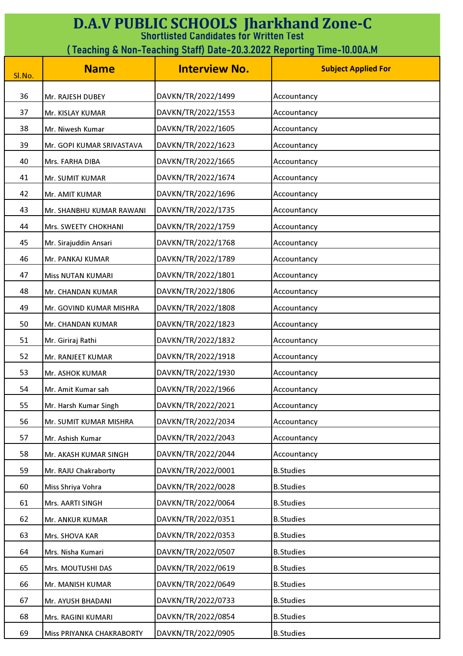| <b>D.A.V PUBLIC SCHOOLS Jharkhand Zone-C</b><br><b>Shortlisted Candidates for Written Test</b> |                           |                      |                            |  |
|------------------------------------------------------------------------------------------------|---------------------------|----------------------|----------------------------|--|
| (Teaching & Non-Teaching Staff) Date-20.3.2022 Reporting Time-10.00A.M                         |                           |                      |                            |  |
| Sl.No.                                                                                         | <b>Name</b>               | <b>Interview No.</b> | <b>Subject Applied For</b> |  |
|                                                                                                |                           |                      |                            |  |
| 36                                                                                             | Mr. RAJESH DUBEY          | DAVKN/TR/2022/1499   | Accountancy                |  |
| 37                                                                                             | Mr. KISLAY KUMAR          | DAVKN/TR/2022/1553   | Accountancy                |  |
| 38                                                                                             | Mr. Niwesh Kumar          | DAVKN/TR/2022/1605   | Accountancy                |  |
| 39                                                                                             | Mr. GOPI KUMAR SRIVASTAVA | DAVKN/TR/2022/1623   | Accountancy                |  |
| 40                                                                                             | Mrs. FARHA DIBA           | DAVKN/TR/2022/1665   | Accountancy                |  |
| 41                                                                                             | Mr. SUMIT KUMAR           | DAVKN/TR/2022/1674   | Accountancy                |  |
| 42                                                                                             | Mr. AMIT KUMAR            | DAVKN/TR/2022/1696   | Accountancy                |  |
| 43                                                                                             | Mr. SHANBHU KUMAR RAWANI  | DAVKN/TR/2022/1735   | Accountancy                |  |
| 44                                                                                             | Mrs. SWEETY CHOKHANI      | DAVKN/TR/2022/1759   | Accountancy                |  |
| 45                                                                                             | Mr. Sirajuddin Ansari     | DAVKN/TR/2022/1768   | Accountancy                |  |
| 46                                                                                             | Mr. PANKAJ KUMAR          | DAVKN/TR/2022/1789   | Accountancy                |  |
| 47                                                                                             | <b>Miss NUTAN KUMARI</b>  | DAVKN/TR/2022/1801   | Accountancy                |  |
| 48                                                                                             | Mr. CHANDAN KUMAR         | DAVKN/TR/2022/1806   | Accountancy                |  |
| 49                                                                                             | Mr. GOVIND KUMAR MISHRA   | DAVKN/TR/2022/1808   | Accountancy                |  |
| 50                                                                                             | Mr. CHANDAN KUMAR         | DAVKN/TR/2022/1823   | Accountancy                |  |
| 51                                                                                             | Mr. Giriraj Rathi         | DAVKN/TR/2022/1832   | Accountancy                |  |
| 52                                                                                             | Mr. RANJEET KUMAR         | DAVKN/TR/2022/1918   | Accountancy                |  |
| 53                                                                                             | Mr. ASHOK KUMAR           | DAVKN/TR/2022/1930   | Accountancy                |  |
| 54                                                                                             | Mr. Amit Kumar sah        | DAVKN/TR/2022/1966   | Accountancy                |  |
| 55                                                                                             | Mr. Harsh Kumar Singh     | DAVKN/TR/2022/2021   | Accountancy                |  |
| 56                                                                                             | Mr. SUMIT KUMAR MISHRA    | DAVKN/TR/2022/2034   | Accountancy                |  |
| 57                                                                                             | Mr. Ashish Kumar          | DAVKN/TR/2022/2043   | Accountancy                |  |
| 58                                                                                             | Mr. AKASH KUMAR SINGH     | DAVKN/TR/2022/2044   | Accountancy                |  |
| 59                                                                                             | Mr. RAJU Chakraborty      | DAVKN/TR/2022/0001   | <b>B.Studies</b>           |  |
| 60                                                                                             | Miss Shriya Vohra         | DAVKN/TR/2022/0028   | <b>B.Studies</b>           |  |
| 61                                                                                             | Mrs. AARTI SINGH          | DAVKN/TR/2022/0064   | <b>B.Studies</b>           |  |
| 62                                                                                             | Mr. ANKUR KUMAR           | DAVKN/TR/2022/0351   | <b>B.Studies</b>           |  |
| 63                                                                                             | Mrs. SHOVA KAR            | DAVKN/TR/2022/0353   | <b>B.Studies</b>           |  |
| 64                                                                                             | Mrs. Nisha Kumari         | DAVKN/TR/2022/0507   | <b>B.Studies</b>           |  |
| 65                                                                                             | Mrs. MOUTUSHI DAS         | DAVKN/TR/2022/0619   | <b>B.Studies</b>           |  |
| 66                                                                                             | Mr. MANISH KUMAR          | DAVKN/TR/2022/0649   | <b>B.Studies</b>           |  |
| 67                                                                                             | Mr. AYUSH BHADANI         | DAVKN/TR/2022/0733   | <b>B.Studies</b>           |  |
| 68                                                                                             | Mrs. RAGINI KUMARI        | DAVKN/TR/2022/0854   | <b>B.Studies</b>           |  |
| 69                                                                                             | Miss PRIYANKA CHAKRABORTY | DAVKN/TR/2022/0905   | <b>B.Studies</b>           |  |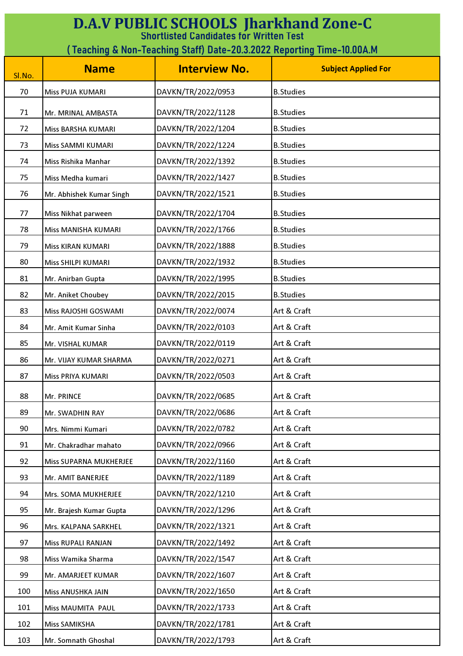| <b>D.A.V PUBLIC SCHOOLS Jharkhand Zone-C</b><br><b>Shortlisted Candidates for Written Test</b> |                           |                      |                            |
|------------------------------------------------------------------------------------------------|---------------------------|----------------------|----------------------------|
| (Teaching & Non-Teaching Staff) Date-20.3.2022 Reporting Time-10.00A.M                         |                           |                      |                            |
| Sl.No.                                                                                         | <b>Name</b>               | <b>Interview No.</b> | <b>Subject Applied For</b> |
| 70                                                                                             | Miss PUJA KUMARI          | DAVKN/TR/2022/0953   | <b>B.Studies</b>           |
| 71                                                                                             | Mr. MRINAL AMBASTA        | DAVKN/TR/2022/1128   | <b>B.Studies</b>           |
| 72                                                                                             | Miss BARSHA KUMARI        | DAVKN/TR/2022/1204   | <b>B.Studies</b>           |
| 73                                                                                             | Miss SAMMI KUMARI         | DAVKN/TR/2022/1224   | <b>B.Studies</b>           |
| 74                                                                                             | Miss Rishika Manhar       | DAVKN/TR/2022/1392   | <b>B.Studies</b>           |
| 75                                                                                             | Miss Medha kumari         | DAVKN/TR/2022/1427   | <b>B.Studies</b>           |
| 76                                                                                             | Mr. Abhishek Kumar Singh  | DAVKN/TR/2022/1521   | <b>B.Studies</b>           |
| 77                                                                                             | Miss Nikhat parween       | DAVKN/TR/2022/1704   | <b>B.Studies</b>           |
| 78                                                                                             | Miss MANISHA KUMARI       | DAVKN/TR/2022/1766   | <b>B.Studies</b>           |
| 79                                                                                             | Miss KIRAN KUMARI         | DAVKN/TR/2022/1888   | <b>B.Studies</b>           |
| 80                                                                                             | Miss SHILPI KUMARI        | DAVKN/TR/2022/1932   | <b>B.Studies</b>           |
| 81                                                                                             | Mr. Anirban Gupta         | DAVKN/TR/2022/1995   | <b>B.Studies</b>           |
| 82                                                                                             | Mr. Aniket Choubey        | DAVKN/TR/2022/2015   | <b>B.Studies</b>           |
| 83                                                                                             | Miss RAJOSHI GOSWAMI      | DAVKN/TR/2022/0074   | Art & Craft                |
| 84                                                                                             | Mr. Amit Kumar Sinha      | DAVKN/TR/2022/0103   | Art & Craft                |
| 85                                                                                             | Mr. VISHAL KUMAR          | DAVKN/TR/2022/0119   | Art & Craft                |
| 86                                                                                             | Mr. VIJAY KUMAR SHARMA    | DAVKN/TR/2022/0271   | Art & Craft                |
| 87                                                                                             | Miss PRIYA KUMARI         | DAVKN/TR/2022/0503   | Art & Craft                |
| 88                                                                                             | Mr. PRINCE                | DAVKN/TR/2022/0685   | Art & Craft                |
| 89                                                                                             | Mr. SWADHIN RAY           | DAVKN/TR/2022/0686   | Art & Craft                |
| 90                                                                                             | Mrs. Nimmi Kumari         | DAVKN/TR/2022/0782   | Art & Craft                |
| 91                                                                                             | Mr. Chakradhar mahato     | DAVKN/TR/2022/0966   | Art & Craft                |
| 92                                                                                             | Miss SUPARNA MUKHERJEE    | DAVKN/TR/2022/1160   | Art & Craft                |
| 93                                                                                             | Mr. AMIT BANERJEE         | DAVKN/TR/2022/1189   | Art & Craft                |
| 94                                                                                             | Mrs. SOMA MUKHERJEE       | DAVKN/TR/2022/1210   | Art & Craft                |
| 95                                                                                             | Mr. Brajesh Kumar Gupta   | DAVKN/TR/2022/1296   | Art & Craft                |
| 96                                                                                             | Mrs. KALPANA SARKHEL      | DAVKN/TR/2022/1321   | Art & Craft                |
| 97                                                                                             | <b>Miss RUPALI RANJAN</b> | DAVKN/TR/2022/1492   | Art & Craft                |
| 98                                                                                             | Miss Wamika Sharma        | DAVKN/TR/2022/1547   | Art & Craft                |
| 99                                                                                             | Mr. AMARJEET KUMAR        | DAVKN/TR/2022/1607   | Art & Craft                |
| 100                                                                                            | Miss ANUSHKA JAIN         | DAVKN/TR/2022/1650   | Art & Craft                |
| 101                                                                                            | Miss MAUMITA PAUL         | DAVKN/TR/2022/1733   | Art & Craft                |
| 102                                                                                            | <b>Miss SAMIKSHA</b>      | DAVKN/TR/2022/1781   | Art & Craft                |
| 103                                                                                            | Mr. Somnath Ghoshal       | DAVKN/TR/2022/1793   | Art & Craft                |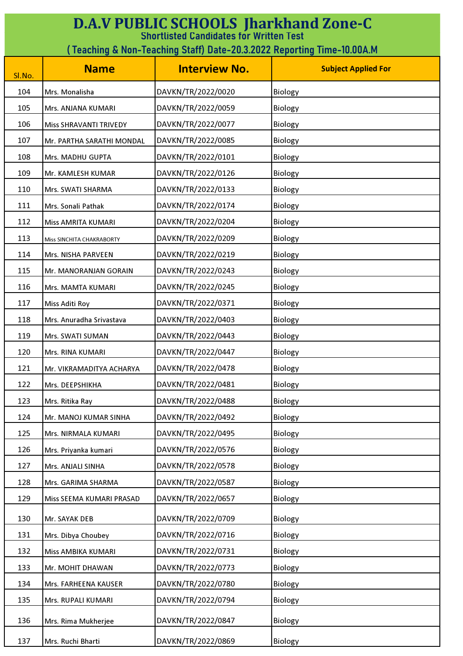| <b>D.A.V PUBLIC SCHOOLS Jharkhand Zone-C</b><br><b>Shortlisted Candidates for Written Test</b> |                               |                      |                            |
|------------------------------------------------------------------------------------------------|-------------------------------|----------------------|----------------------------|
| (Teaching & Non-Teaching Staff) Date-20.3.2022 Reporting Time-10.00A.M                         |                               |                      |                            |
| Sl.No.                                                                                         | <b>Name</b>                   | <b>Interview No.</b> | <b>Subject Applied For</b> |
| 104                                                                                            | Mrs. Monalisha                | DAVKN/TR/2022/0020   | Biology                    |
| 105                                                                                            | Mrs. ANJANA KUMARI            | DAVKN/TR/2022/0059   | Biology                    |
| 106                                                                                            | <b>Miss SHRAVANTI TRIVEDY</b> | DAVKN/TR/2022/0077   | Biology                    |
| 107                                                                                            | Mr. PARTHA SARATHI MONDAL     | DAVKN/TR/2022/0085   | Biology                    |
| 108                                                                                            | Mrs. MADHU GUPTA              | DAVKN/TR/2022/0101   | Biology                    |
| 109                                                                                            | Mr. KAMLESH KUMAR             | DAVKN/TR/2022/0126   | Biology                    |
| 110                                                                                            | Mrs. SWATI SHARMA             | DAVKN/TR/2022/0133   | Biology                    |
| 111                                                                                            | Mrs. Sonali Pathak            | DAVKN/TR/2022/0174   | Biology                    |
| 112                                                                                            | Miss AMRITA KUMARI            | DAVKN/TR/2022/0204   | Biology                    |
| 113                                                                                            | Miss SINCHITA CHAKRABORTY     | DAVKN/TR/2022/0209   | Biology                    |
| 114                                                                                            | Mrs. NISHA PARVEEN            | DAVKN/TR/2022/0219   | Biology                    |
| 115                                                                                            | Mr. MANORANJAN GORAIN         | DAVKN/TR/2022/0243   | Biology                    |
| 116                                                                                            | Mrs. MAMTA KUMARI             | DAVKN/TR/2022/0245   | Biology                    |
| 117                                                                                            | <b>Miss Aditi Roy</b>         | DAVKN/TR/2022/0371   | Biology                    |
| 118                                                                                            | Mrs. Anuradha Srivastava      | DAVKN/TR/2022/0403   | Biology                    |
| 119                                                                                            | Mrs. SWATI SUMAN              | DAVKN/TR/2022/0443   | Biology                    |
| 120                                                                                            | Mrs. RINA KUMARI              | DAVKN/TR/2022/0447   | Biology                    |
| 121                                                                                            | Mr. VIKRAMADITYA ACHARYA      | DAVKN/TR/2022/0478   | Biology                    |
| 122                                                                                            | Mrs. DEEPSHIKHA               | DAVKN/TR/2022/0481   | Biology                    |
| 123                                                                                            | Mrs. Ritika Ray               | DAVKN/TR/2022/0488   | Biology                    |
| 124                                                                                            | Mr. MANOJ KUMAR SINHA         | DAVKN/TR/2022/0492   | Biology                    |
| 125                                                                                            | Mrs. NIRMALA KUMARI           | DAVKN/TR/2022/0495   | Biology                    |
| 126                                                                                            | Mrs. Priyanka kumari          | DAVKN/TR/2022/0576   | Biology                    |
| 127                                                                                            | Mrs. ANJALI SINHA             | DAVKN/TR/2022/0578   | Biology                    |
| 128                                                                                            | Mrs. GARIMA SHARMA            | DAVKN/TR/2022/0587   | Biology                    |
| 129                                                                                            | Miss SEEMA KUMARI PRASAD      | DAVKN/TR/2022/0657   | Biology                    |
| 130                                                                                            | Mr. SAYAK DEB                 | DAVKN/TR/2022/0709   | Biology                    |
| 131                                                                                            | Mrs. Dibya Choubey            | DAVKN/TR/2022/0716   | Biology                    |
| 132                                                                                            | Miss AMBIKA KUMARI            | DAVKN/TR/2022/0731   | Biology                    |
| 133                                                                                            | Mr. MOHIT DHAWAN              | DAVKN/TR/2022/0773   | Biology                    |
| 134                                                                                            | Mrs. FARHEENA KAUSER          | DAVKN/TR/2022/0780   | Biology                    |
| 135                                                                                            | Mrs. RUPALI KUMARI            | DAVKN/TR/2022/0794   | Biology                    |
| 136                                                                                            | Mrs. Rima Mukherjee           | DAVKN/TR/2022/0847   | Biology                    |
| 137                                                                                            | Mrs. Ruchi Bharti             | DAVKN/TR/2022/0869   | Biology                    |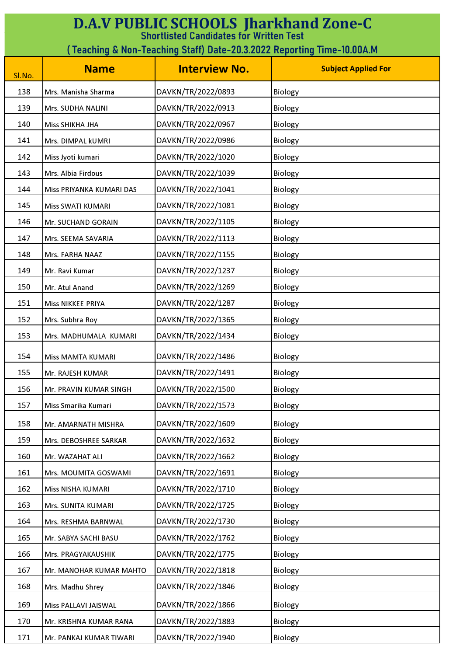| <b>D.A.V PUBLIC SCHOOLS Jharkhand Zone-C</b><br><b>Shortlisted Candidates for Written Test</b> |                          |                      |                            |
|------------------------------------------------------------------------------------------------|--------------------------|----------------------|----------------------------|
| ( Teaching & Non-Teaching Staff) Date-20.3.2022 Reporting Time-10.00A.M                        |                          |                      |                            |
| Sl.No.                                                                                         | <b>Name</b>              | <b>Interview No.</b> | <b>Subject Applied For</b> |
| 138                                                                                            | Mrs. Manisha Sharma      | DAVKN/TR/2022/0893   | Biology                    |
| 139                                                                                            | Mrs. SUDHA NALINI        | DAVKN/TR/2022/0913   | Biology                    |
| 140                                                                                            | <b>Miss SHIKHA JHA</b>   | DAVKN/TR/2022/0967   | Biology                    |
| 141                                                                                            | Mrs. DIMPAL kUMRI        | DAVKN/TR/2022/0986   | Biology                    |
| 142                                                                                            | Miss Jyoti kumari        | DAVKN/TR/2022/1020   | Biology                    |
| 143                                                                                            | Mrs. Albia Firdous       | DAVKN/TR/2022/1039   | Biology                    |
| 144                                                                                            | Miss PRIYANKA KUMARI DAS | DAVKN/TR/2022/1041   | Biology                    |
| 145                                                                                            | Miss SWATI KUMARI        | DAVKN/TR/2022/1081   | Biology                    |
| 146                                                                                            | Mr. SUCHAND GORAIN       | DAVKN/TR/2022/1105   | Biology                    |
| 147                                                                                            | Mrs. SEEMA SAVARIA       | DAVKN/TR/2022/1113   | Biology                    |
| 148                                                                                            | Mrs. FARHA NAAZ          | DAVKN/TR/2022/1155   | Biology                    |
| 149                                                                                            | Mr. Ravi Kumar           | DAVKN/TR/2022/1237   | Biology                    |
| 150                                                                                            | Mr. Atul Anand           | DAVKN/TR/2022/1269   | Biology                    |
| 151                                                                                            | Miss NIKKEE PRIYA        | DAVKN/TR/2022/1287   | Biology                    |
| 152                                                                                            | Mrs. Subhra Roy          | DAVKN/TR/2022/1365   | Biology                    |
| 153                                                                                            | Mrs. MADHUMALA KUMARI    | DAVKN/TR/2022/1434   | Biology                    |
| 154                                                                                            | Miss MAMTA KUMARI        | DAVKN/TR/2022/1486   | Biology                    |
| 155                                                                                            | Mr. RAJESH KUMAR         | DAVKN/TR/2022/1491   | Biology                    |
| 156                                                                                            | Mr. PRAVIN KUMAR SINGH   | DAVKN/TR/2022/1500   | Biology                    |
| 157                                                                                            | Miss Smarika Kumari      | DAVKN/TR/2022/1573   | Biology                    |
| 158                                                                                            | Mr. AMARNATH MISHRA      | DAVKN/TR/2022/1609   | Biology                    |
| 159                                                                                            | Mrs. DEBOSHREE SARKAR    | DAVKN/TR/2022/1632   | Biology                    |
| 160                                                                                            | Mr. WAZAHAT ALI          | DAVKN/TR/2022/1662   | Biology                    |
| 161                                                                                            | Mrs. MOUMITA GOSWAMI     | DAVKN/TR/2022/1691   | Biology                    |
| 162                                                                                            | Miss NISHA KUMARI        | DAVKN/TR/2022/1710   | Biology                    |
| 163                                                                                            | Mrs. SUNITA KUMARI       | DAVKN/TR/2022/1725   | Biology                    |
| 164                                                                                            | Mrs. RESHMA BARNWAL      | DAVKN/TR/2022/1730   | Biology                    |
| 165                                                                                            | Mr. SABYA SACHI BASU     | DAVKN/TR/2022/1762   | Biology                    |
| 166                                                                                            | Mrs. PRAGYAKAUSHIK       | DAVKN/TR/2022/1775   | Biology                    |
| 167                                                                                            | Mr. MANOHAR KUMAR MAHTO  | DAVKN/TR/2022/1818   | Biology                    |
| 168                                                                                            | Mrs. Madhu Shrey         | DAVKN/TR/2022/1846   | Biology                    |
| 169                                                                                            | Miss PALLAVI JAISWAL     | DAVKN/TR/2022/1866   | Biology                    |
| 170                                                                                            | Mr. KRISHNA KUMAR RANA   | DAVKN/TR/2022/1883   | Biology                    |
| 171                                                                                            | Mr. PANKAJ KUMAR TIWARI  | DAVKN/TR/2022/1940   | Biology                    |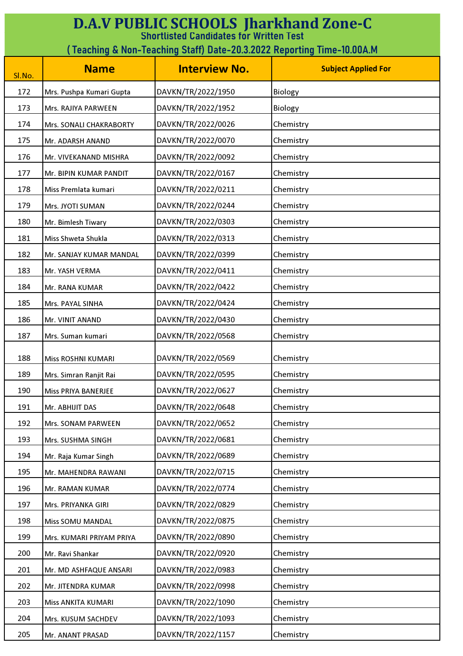| <b>D.A.V PUBLIC SCHOOLS Jharkhand Zone-C</b><br><b>Shortlisted Candidates for Written Test</b> |                                                                         |                      |                            |  |
|------------------------------------------------------------------------------------------------|-------------------------------------------------------------------------|----------------------|----------------------------|--|
|                                                                                                | ( Teaching & Non-Teaching Staff) Date-20.3.2022 Reporting Time-10.00A.M |                      |                            |  |
| Sl.No.                                                                                         | <b>Name</b>                                                             | <b>Interview No.</b> | <b>Subject Applied For</b> |  |
| 172                                                                                            | Mrs. Pushpa Kumari Gupta                                                | DAVKN/TR/2022/1950   | Biology                    |  |
| 173                                                                                            | Mrs. RAJIYA PARWEEN                                                     | DAVKN/TR/2022/1952   | Biology                    |  |
| 174                                                                                            | Mrs. SONALI CHAKRABORTY                                                 | DAVKN/TR/2022/0026   | Chemistry                  |  |
| 175                                                                                            | Mr. ADARSH ANAND                                                        | DAVKN/TR/2022/0070   | Chemistry                  |  |
| 176                                                                                            | Mr. VIVEKANAND MISHRA                                                   | DAVKN/TR/2022/0092   | Chemistry                  |  |
| 177                                                                                            | Mr. BIPIN KUMAR PANDIT                                                  | DAVKN/TR/2022/0167   | Chemistry                  |  |
| 178                                                                                            | Miss Premlata kumari                                                    | DAVKN/TR/2022/0211   | Chemistry                  |  |
| 179                                                                                            | Mrs. JYOTI SUMAN                                                        | DAVKN/TR/2022/0244   | Chemistry                  |  |
| 180                                                                                            | Mr. Bimlesh Tiwary                                                      | DAVKN/TR/2022/0303   | Chemistry                  |  |
| 181                                                                                            | Miss Shweta Shukla                                                      | DAVKN/TR/2022/0313   | Chemistry                  |  |
| 182                                                                                            | Mr. SANJAY KUMAR MANDAL                                                 | DAVKN/TR/2022/0399   | Chemistry                  |  |
| 183                                                                                            | Mr. YASH VERMA                                                          | DAVKN/TR/2022/0411   | Chemistry                  |  |
| 184                                                                                            | Mr. RANA KUMAR                                                          | DAVKN/TR/2022/0422   | Chemistry                  |  |
| 185                                                                                            | Mrs. PAYAL SINHA                                                        | DAVKN/TR/2022/0424   | Chemistry                  |  |
| 186                                                                                            | Mr. VINIT ANAND                                                         | DAVKN/TR/2022/0430   | Chemistry                  |  |
| 187                                                                                            | Mrs. Suman kumari                                                       | DAVKN/TR/2022/0568   | Chemistry                  |  |
| 188                                                                                            | Miss ROSHNI KUMARI                                                      | DAVKN/TR/2022/0569   | Chemistry                  |  |
| 189                                                                                            | Mrs. Simran Ranjit Rai                                                  | DAVKN/TR/2022/0595   | Chemistry                  |  |
| 190                                                                                            | <b>Miss PRIYA BANERJEE</b>                                              | DAVKN/TR/2022/0627   | Chemistry                  |  |
| 191                                                                                            | Mr. ABHIJIT DAS                                                         | DAVKN/TR/2022/0648   | Chemistry                  |  |
| 192                                                                                            | Mrs. SONAM PARWEEN                                                      | DAVKN/TR/2022/0652   | Chemistry                  |  |
| 193                                                                                            | Mrs. SUSHMA SINGH                                                       | DAVKN/TR/2022/0681   | Chemistry                  |  |
| 194                                                                                            | Mr. Raja Kumar Singh                                                    | DAVKN/TR/2022/0689   | Chemistry                  |  |
| 195                                                                                            | Mr. MAHENDRA RAWANI                                                     | DAVKN/TR/2022/0715   | Chemistry                  |  |
| 196                                                                                            | Mr. RAMAN KUMAR                                                         | DAVKN/TR/2022/0774   | Chemistry                  |  |
| 197                                                                                            | Mrs. PRIYANKA GIRI                                                      | DAVKN/TR/2022/0829   | Chemistry                  |  |
| 198                                                                                            | <b>Miss SOMU MANDAL</b>                                                 | DAVKN/TR/2022/0875   | Chemistry                  |  |
| 199                                                                                            | Mrs. KUMARI PRIYAM PRIYA                                                | DAVKN/TR/2022/0890   | Chemistry                  |  |
| 200                                                                                            | Mr. Ravi Shankar                                                        | DAVKN/TR/2022/0920   | Chemistry                  |  |
| 201                                                                                            | Mr. MD ASHFAQUE ANSARI                                                  | DAVKN/TR/2022/0983   | Chemistry                  |  |
| 202                                                                                            | Mr. JITENDRA KUMAR                                                      | DAVKN/TR/2022/0998   | Chemistry                  |  |
| 203                                                                                            | Miss ANKITA KUMARI                                                      | DAVKN/TR/2022/1090   | Chemistry                  |  |
| 204                                                                                            | Mrs. KUSUM SACHDEV                                                      | DAVKN/TR/2022/1093   | Chemistry                  |  |
| 205                                                                                            | Mr. ANANT PRASAD                                                        | DAVKN/TR/2022/1157   | Chemistry                  |  |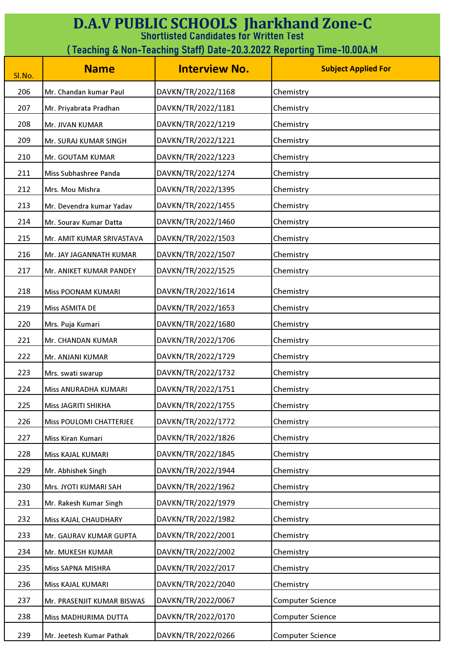| <b>D.A.V PUBLIC SCHOOLS Jharkhand Zone-C</b><br><b>Shortlisted Candidates for Written Test</b> |                            |                      |                            |
|------------------------------------------------------------------------------------------------|----------------------------|----------------------|----------------------------|
| (Teaching & Non-Teaching Staff) Date-20.3.2022 Reporting Time-10.00A.M                         |                            |                      |                            |
| Sl.No.                                                                                         | <b>Name</b>                | <b>Interview No.</b> | <b>Subject Applied For</b> |
| 206                                                                                            | Mr. Chandan kumar Paul     | DAVKN/TR/2022/1168   | Chemistry                  |
| 207                                                                                            | Mr. Priyabrata Pradhan     | DAVKN/TR/2022/1181   | Chemistry                  |
| 208                                                                                            | Mr. JIVAN KUMAR            | DAVKN/TR/2022/1219   | Chemistry                  |
| 209                                                                                            | Mr. SURAJ KUMAR SINGH      | DAVKN/TR/2022/1221   | Chemistry                  |
| 210                                                                                            | Mr. GOUTAM KUMAR           | DAVKN/TR/2022/1223   | Chemistry                  |
| 211                                                                                            | Miss Subhashree Panda      | DAVKN/TR/2022/1274   | Chemistry                  |
| 212                                                                                            | Mrs. Mou Mishra            | DAVKN/TR/2022/1395   | Chemistry                  |
| 213                                                                                            | Mr. Devendra kumar Yadav   | DAVKN/TR/2022/1455   | Chemistry                  |
| 214                                                                                            | Mr. Sourav Kumar Datta     | DAVKN/TR/2022/1460   | Chemistry                  |
| 215                                                                                            | Mr. AMIT KUMAR SRIVASTAVA  | DAVKN/TR/2022/1503   | Chemistry                  |
| 216                                                                                            | Mr. JAY JAGANNATH KUMAR    | DAVKN/TR/2022/1507   | Chemistry                  |
| 217                                                                                            | Mr. ANIKET KUMAR PANDEY    | DAVKN/TR/2022/1525   | Chemistry                  |
| 218                                                                                            | Miss POONAM KUMARI         | DAVKN/TR/2022/1614   | Chemistry                  |
| 219                                                                                            | <b>Miss ASMITA DE</b>      | DAVKN/TR/2022/1653   | Chemistry                  |
| 220                                                                                            | Mrs. Puja Kumari           | DAVKN/TR/2022/1680   | Chemistry                  |
| 221                                                                                            | Mr. CHANDAN KUMAR          | DAVKN/TR/2022/1706   | Chemistry                  |
| 222                                                                                            | Mr. ANJANI KUMAR           | DAVKN/TR/2022/1729   | Chemistry                  |
| 223                                                                                            | Mrs. swati swarup          | DAVKN/TR/2022/1732   | Chemistry                  |
| 224                                                                                            | Miss ANURADHA KUMARI       | DAVKN/TR/2022/1751   | Chemistry                  |
| 225                                                                                            | Miss JAGRITI SHIKHA        | DAVKN/TR/2022/1755   | Chemistry                  |
| 226                                                                                            | Miss POULOMI CHATTERJEE    | DAVKN/TR/2022/1772   | Chemistry                  |
| 227                                                                                            | Miss Kiran Kumari          | DAVKN/TR/2022/1826   | Chemistry                  |
| 228                                                                                            | Miss KAJAL KUMARI          | DAVKN/TR/2022/1845   | Chemistry                  |
| 229                                                                                            | Mr. Abhishek Singh         | DAVKN/TR/2022/1944   | Chemistry                  |
| 230                                                                                            | Mrs. JYOTI KUMARI SAH      | DAVKN/TR/2022/1962   | Chemistry                  |
| 231                                                                                            | Mr. Rakesh Kumar Singh     | DAVKN/TR/2022/1979   | Chemistry                  |
| 232                                                                                            | Miss KAJAL CHAUDHARY       | DAVKN/TR/2022/1982   | Chemistry                  |
| 233                                                                                            | Mr. GAURAV KUMAR GUPTA     | DAVKN/TR/2022/2001   | Chemistry                  |
| 234                                                                                            | Mr. MUKESH KUMAR           | DAVKN/TR/2022/2002   | Chemistry                  |
| 235                                                                                            | Miss SAPNA MISHRA          | DAVKN/TR/2022/2017   | Chemistry                  |
| 236                                                                                            | Miss KAJAL KUMARI          | DAVKN/TR/2022/2040   | Chemistry                  |
| 237                                                                                            | Mr. PRASENJIT KUMAR BISWAS | DAVKN/TR/2022/0067   | <b>Computer Science</b>    |
| 238                                                                                            | Miss MADHURIMA DUTTA       | DAVKN/TR/2022/0170   | <b>Computer Science</b>    |
| 239                                                                                            | Mr. Jeetesh Kumar Pathak   | DAVKN/TR/2022/0266   | Computer Science           |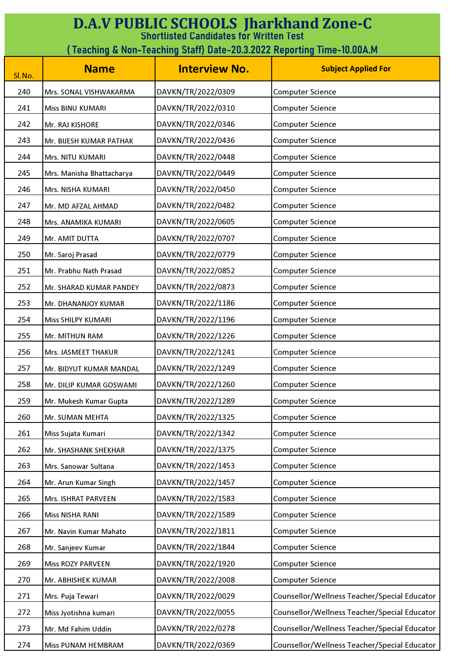| <b>D.A.V PUBLIC SCHOOLS Jharkhand Zone-C</b><br><b>Shortlisted Candidates for Written Test</b> |                           |                      |                                              |
|------------------------------------------------------------------------------------------------|---------------------------|----------------------|----------------------------------------------|
| (Teaching & Non-Teaching Staff) Date-20.3.2022 Reporting Time-10.00A.M                         |                           |                      |                                              |
| Sl.No.                                                                                         | <b>Name</b>               | <b>Interview No.</b> | <b>Subject Applied For</b>                   |
| 240                                                                                            | Mrs. SONAL VISHWAKARMA    | DAVKN/TR/2022/0309   | <b>Computer Science</b>                      |
| 241                                                                                            | Miss BINU KUMARI          | DAVKN/TR/2022/0310   | <b>Computer Science</b>                      |
| 242                                                                                            | Mr. RAJ KISHORE           | DAVKN/TR/2022/0346   | <b>Computer Science</b>                      |
| 243                                                                                            | Mr. BIJESH KUMAR PATHAK   | DAVKN/TR/2022/0436   | <b>Computer Science</b>                      |
| 244                                                                                            | Mrs. NITU KUMARI          | DAVKN/TR/2022/0448   | <b>Computer Science</b>                      |
| 245                                                                                            | Mrs. Manisha Bhattacharya | DAVKN/TR/2022/0449   | <b>Computer Science</b>                      |
| 246                                                                                            | Mrs. NISHA KUMARI         | DAVKN/TR/2022/0450   | <b>Computer Science</b>                      |
| 247                                                                                            | Mr. MD AFZAL AHMAD        | DAVKN/TR/2022/0482   | <b>Computer Science</b>                      |
| 248                                                                                            | Mrs. ANAMIKA KUMARI       | DAVKN/TR/2022/0605   | <b>Computer Science</b>                      |
| 249                                                                                            | Mr. AMIT DUTTA            | DAVKN/TR/2022/0707   | <b>Computer Science</b>                      |
| 250                                                                                            | Mr. Saroj Prasad          | DAVKN/TR/2022/0779   | Computer Science                             |
| 251                                                                                            | Mr. Prabhu Nath Prasad    | DAVKN/TR/2022/0852   | <b>Computer Science</b>                      |
| 252                                                                                            | Mr. SHARAD KUMAR PANDEY   | DAVKN/TR/2022/0873   | <b>Computer Science</b>                      |
| 253                                                                                            | Mr. DHANANJOY KUMAR       | DAVKN/TR/2022/1186   | <b>Computer Science</b>                      |
| 254                                                                                            | Miss SHILPY KUMARI        | DAVKN/TR/2022/1196   | <b>Computer Science</b>                      |
| 255                                                                                            | Mr. MITHUN RAM            | DAVKN/TR/2022/1226   | <b>Computer Science</b>                      |
| 256                                                                                            | Mrs. JASMEET THAKUR       | DAVKN/TR/2022/1241   | <b>Computer Science</b>                      |
| 257                                                                                            | Mr. BIDYUT KUMAR MANDAL   | DAVKN/TR/2022/1249   | <b>Computer Science</b>                      |
| 258                                                                                            | Mr. DILIP KUMAR GOSWAMI   | DAVKN/TR/2022/1260   | <b>Computer Science</b>                      |
| 259                                                                                            | Mr. Mukesh Kumar Gupta    | DAVKN/TR/2022/1289   | Computer Science                             |
| 260                                                                                            | Mr. SUMAN MEHTA           | DAVKN/TR/2022/1325   | <b>Computer Science</b>                      |
| 261                                                                                            | Miss Sujata Kumari        | DAVKN/TR/2022/1342   | <b>Computer Science</b>                      |
| 262                                                                                            | Mr. SHASHANK SHEKHAR      | DAVKN/TR/2022/1375   | <b>Computer Science</b>                      |
| 263                                                                                            | Mrs. Sanowar Sultana      | DAVKN/TR/2022/1453   | Computer Science                             |
| 264                                                                                            | Mr. Arun Kumar Singh      | DAVKN/TR/2022/1457   | Computer Science                             |
| 265                                                                                            | Mrs. ISHRAT PARVEEN       | DAVKN/TR/2022/1583   | <b>Computer Science</b>                      |
| 266                                                                                            | Miss NISHA RANI           | DAVKN/TR/2022/1589   | Computer Science                             |
| 267                                                                                            | Mr. Navin Kumar Mahato    | DAVKN/TR/2022/1811   | <b>Computer Science</b>                      |
| 268                                                                                            | Mr. Sanjeev Kumar         | DAVKN/TR/2022/1844   | Computer Science                             |
| 269                                                                                            | Miss ROZY PARVEEN         | DAVKN/TR/2022/1920   | <b>Computer Science</b>                      |
| 270                                                                                            | Mr. ABHISHEK KUMAR        | DAVKN/TR/2022/2008   | <b>Computer Science</b>                      |
| 271                                                                                            | Mrs. Puja Tewari          | DAVKN/TR/2022/0029   | Counsellor/Wellness Teacher/Special Educator |
| 272                                                                                            | Miss Jyotishna kumari     | DAVKN/TR/2022/0055   | Counsellor/Wellness Teacher/Special Educator |
| 273                                                                                            | Mr. Md Fahim Uddin        | DAVKN/TR/2022/0278   | Counsellor/Wellness Teacher/Special Educator |
| 274                                                                                            | Miss PUNAM HEMBRAM        | DAVKN/TR/2022/0369   | Counsellor/Wellness Teacher/Special Educator |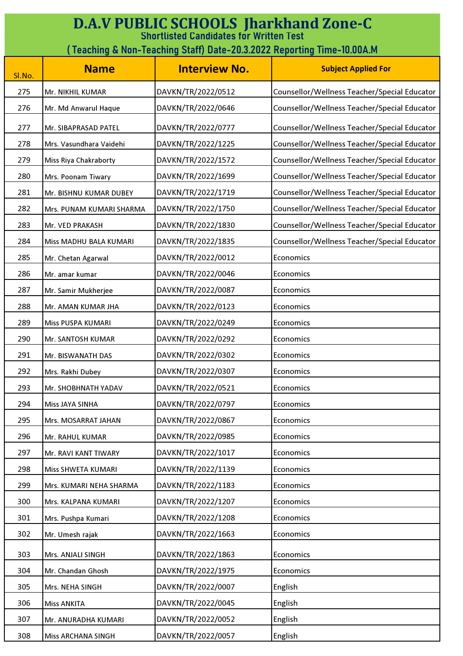| <b>D.A.V PUBLIC SCHOOLS Jharkhand Zone-C</b><br><b>Shortlisted Candidates for Written Test</b><br>(Teaching & Non-Teaching Staff) Date-20.3.2022 Reporting Time-10.00A.M |                          |                      |                                              |
|--------------------------------------------------------------------------------------------------------------------------------------------------------------------------|--------------------------|----------------------|----------------------------------------------|
| Sl.No.                                                                                                                                                                   | <b>Name</b>              | <b>Interview No.</b> | <b>Subject Applied For</b>                   |
| 275                                                                                                                                                                      | Mr. NIKHIL KUMAR         | DAVKN/TR/2022/0512   | Counsellor/Wellness Teacher/Special Educator |
| 276                                                                                                                                                                      | Mr. Md Anwarul Haque     | DAVKN/TR/2022/0646   | Counsellor/Wellness Teacher/Special Educator |
| 277                                                                                                                                                                      | Mr. SIBAPRASAD PATEL     | DAVKN/TR/2022/0777   | Counsellor/Wellness Teacher/Special Educator |
| 278                                                                                                                                                                      | Mrs. Vasundhara Vaidehi  | DAVKN/TR/2022/1225   | Counsellor/Wellness Teacher/Special Educator |
| 279                                                                                                                                                                      | Miss Riya Chakraborty    | DAVKN/TR/2022/1572   | Counsellor/Wellness Teacher/Special Educator |
| 280                                                                                                                                                                      | Mrs. Poonam Tiwary       | DAVKN/TR/2022/1699   | Counsellor/Wellness Teacher/Special Educator |
| 281                                                                                                                                                                      | Mr. BISHNU KUMAR DUBEY   | DAVKN/TR/2022/1719   | Counsellor/Wellness Teacher/Special Educator |
| 282                                                                                                                                                                      | Mrs. PUNAM KUMARI SHARMA | DAVKN/TR/2022/1750   | Counsellor/Wellness Teacher/Special Educator |
| 283                                                                                                                                                                      | Mr. VED PRAKASH          | DAVKN/TR/2022/1830   | Counsellor/Wellness Teacher/Special Educator |
| 284                                                                                                                                                                      | Miss MADHU BALA KUMARI   | DAVKN/TR/2022/1835   | Counsellor/Wellness Teacher/Special Educator |
| 285                                                                                                                                                                      | Mr. Chetan Agarwal       | DAVKN/TR/2022/0012   | Economics                                    |
| 286                                                                                                                                                                      | Mr. amar kumar           | DAVKN/TR/2022/0046   | Economics                                    |
| 287                                                                                                                                                                      | Mr. Samir Mukherjee      | DAVKN/TR/2022/0087   | Economics                                    |
| 288                                                                                                                                                                      | Mr. AMAN KUMAR JHA       | DAVKN/TR/2022/0123   | Economics                                    |
| 289                                                                                                                                                                      | Miss PUSPA KUMARI        | DAVKN/TR/2022/0249   | Economics                                    |
| 290                                                                                                                                                                      | Mr. SANTOSH KUMAR        | DAVKN/TR/2022/0292   | Economics                                    |
| 291                                                                                                                                                                      | Mr. BISWANATH DAS        | DAVKN/TR/2022/0302   | Economics                                    |
| 292                                                                                                                                                                      | Mrs. Rakhi Dubey         | DAVKN/TR/2022/0307   | Economics                                    |
| 293                                                                                                                                                                      | Mr. SHOBHNATH YADAV      | DAVKN/TR/2022/0521   | Economics                                    |
| 294                                                                                                                                                                      | Miss JAYA SINHA          | DAVKN/TR/2022/0797   | Economics                                    |
| 295                                                                                                                                                                      | Mrs. MOSARRAT JAHAN      | DAVKN/TR/2022/0867   | Economics                                    |
| 296                                                                                                                                                                      | Mr. RAHUL KUMAR          | DAVKN/TR/2022/0985   | Economics                                    |
| 297                                                                                                                                                                      | Mr. RAVI KANT TIWARY     | DAVKN/TR/2022/1017   | Economics                                    |
| 298                                                                                                                                                                      | Miss SHWETA KUMARI       | DAVKN/TR/2022/1139   | Economics                                    |
| 299                                                                                                                                                                      | Mrs. KUMARI NEHA SHARMA  | DAVKN/TR/2022/1183   | Economics                                    |
| 300                                                                                                                                                                      | Mrs. KALPANA KUMARI      | DAVKN/TR/2022/1207   | Economics                                    |
| 301                                                                                                                                                                      | Mrs. Pushpa Kumari       | DAVKN/TR/2022/1208   | Economics                                    |
| 302                                                                                                                                                                      | Mr. Umesh rajak          | DAVKN/TR/2022/1663   | Economics                                    |
| 303                                                                                                                                                                      | Mrs. ANJALI SINGH        | DAVKN/TR/2022/1863   | Economics                                    |
| 304                                                                                                                                                                      | Mr. Chandan Ghosh        | DAVKN/TR/2022/1975   | Economics                                    |
| 305                                                                                                                                                                      | Mrs. NEHA SINGH          | DAVKN/TR/2022/0007   | English                                      |
| 306                                                                                                                                                                      | <b>Miss ANKITA</b>       | DAVKN/TR/2022/0045   | English                                      |
| 307                                                                                                                                                                      | Mr. ANURADHA KUMARI      | DAVKN/TR/2022/0052   | English                                      |
| 308                                                                                                                                                                      | Miss ARCHANA SINGH       | DAVKN/TR/2022/0057   | English                                      |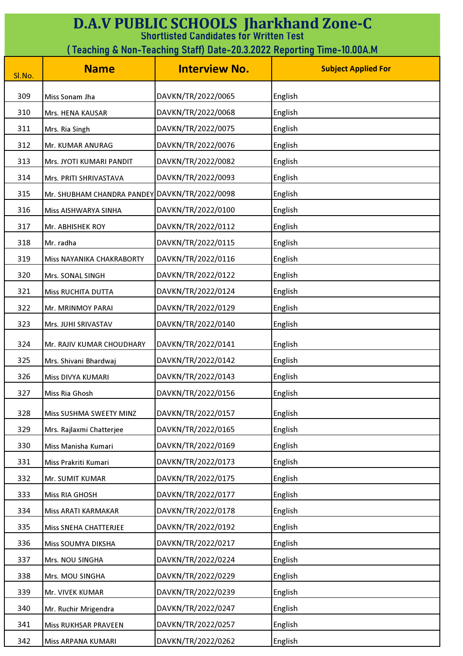| <b>D.A.V PUBLIC SCHOOLS Jharkhand Zone-C</b><br><b>Shortlisted Candidates for Written Test</b> |                                               |                      |                            |
|------------------------------------------------------------------------------------------------|-----------------------------------------------|----------------------|----------------------------|
| (Teaching & Non-Teaching Staff) Date-20.3.2022 Reporting Time-10.00A.M                         |                                               |                      |                            |
|                                                                                                | <b>Name</b>                                   | <b>Interview No.</b> | <b>Subject Applied For</b> |
| Sl.No.                                                                                         |                                               |                      |                            |
| 309                                                                                            | Miss Sonam Jha                                | DAVKN/TR/2022/0065   | English                    |
| 310                                                                                            | Mrs. HENA KAUSAR                              | DAVKN/TR/2022/0068   | English                    |
| 311                                                                                            | Mrs. Ria Singh                                | DAVKN/TR/2022/0075   | English                    |
| 312                                                                                            | Mr. KUMAR ANURAG                              | DAVKN/TR/2022/0076   | English                    |
| 313                                                                                            | Mrs. JYOTI KUMARI PANDIT                      | DAVKN/TR/2022/0082   | English                    |
| 314                                                                                            | Mrs. PRITI SHRIVASTAVA                        | DAVKN/TR/2022/0093   | English                    |
| 315                                                                                            | Mr. SHUBHAM CHANDRA PANDEY DAVKN/TR/2022/0098 |                      | English                    |
| 316                                                                                            | Miss AISHWARYA SINHA                          | DAVKN/TR/2022/0100   | English                    |
| 317                                                                                            | Mr. ABHISHEK ROY                              | DAVKN/TR/2022/0112   | English                    |
| 318                                                                                            | Mr. radha                                     | DAVKN/TR/2022/0115   | English                    |
| 319                                                                                            | Miss NAYANIKA CHAKRABORTY                     | DAVKN/TR/2022/0116   | English                    |
| 320                                                                                            | Mrs. SONAL SINGH                              | DAVKN/TR/2022/0122   | English                    |
| 321                                                                                            | Miss RUCHITA DUTTA                            | DAVKN/TR/2022/0124   | English                    |
| 322                                                                                            | Mr. MRINMOY PARAI                             | DAVKN/TR/2022/0129   | English                    |
| 323                                                                                            | Mrs. JUHI SRIVASTAV                           | DAVKN/TR/2022/0140   | English                    |
| 324                                                                                            | Mr. RAJIV KUMAR CHOUDHARY                     | DAVKN/TR/2022/0141   | English                    |
| 325                                                                                            | Mrs. Shivani Bhardwaj                         | DAVKN/TR/2022/0142   | English                    |
| 326                                                                                            | Miss DIVYA KUMARI                             | DAVKN/TR/2022/0143   | English                    |
| 327                                                                                            | Miss Ria Ghosh                                | DAVKN/TR/2022/0156   | English                    |
| 328                                                                                            | Miss SUSHMA SWEETY MINZ                       | DAVKN/TR/2022/0157   | English                    |
| 329                                                                                            | Mrs. Rajlaxmi Chatterjee                      | DAVKN/TR/2022/0165   | English                    |
| 330                                                                                            | Miss Manisha Kumari                           | DAVKN/TR/2022/0169   | English                    |
| 331                                                                                            | Miss Prakriti Kumari                          | DAVKN/TR/2022/0173   | English                    |
| 332                                                                                            | Mr. SUMIT KUMAR                               | DAVKN/TR/2022/0175   | English                    |
| 333                                                                                            | Miss RIA GHOSH                                | DAVKN/TR/2022/0177   | English                    |
| 334                                                                                            | Miss ARATI KARMAKAR                           | DAVKN/TR/2022/0178   | English                    |
| 335                                                                                            | Miss SNEHA CHATTERJEE                         | DAVKN/TR/2022/0192   | English                    |
| 336                                                                                            | Miss SOUMYA DIKSHA                            | DAVKN/TR/2022/0217   | English                    |
| 337                                                                                            | Mrs. NOU SINGHA                               | DAVKN/TR/2022/0224   | English                    |
| 338                                                                                            | Mrs. MOU SINGHA                               | DAVKN/TR/2022/0229   | English                    |
| 339                                                                                            | Mr. VIVEK KUMAR                               | DAVKN/TR/2022/0239   | English                    |
| 340                                                                                            | Mr. Ruchir Mrigendra                          | DAVKN/TR/2022/0247   | English                    |
| 341                                                                                            | Miss RUKHSAR PRAVEEN                          | DAVKN/TR/2022/0257   | English                    |
| 342                                                                                            | Miss ARPANA KUMARI                            | DAVKN/TR/2022/0262   | English                    |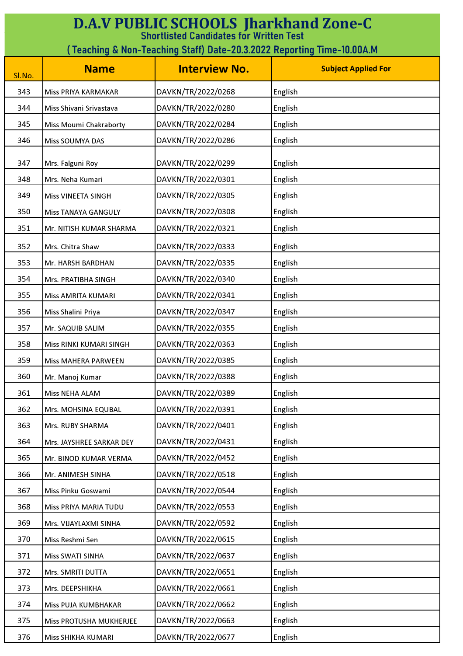| <b>D.A.V PUBLIC SCHOOLS Jharkhand Zone-C</b><br><b>Shortlisted Candidates for Written Test</b> |                            |                      |                            |
|------------------------------------------------------------------------------------------------|----------------------------|----------------------|----------------------------|
| ( Teaching & Non-Teaching Staff) Date-20.3.2022 Reporting Time-10.00A.M                        |                            |                      |                            |
| Sl.No.                                                                                         | <b>Name</b>                | <b>Interview No.</b> | <b>Subject Applied For</b> |
| 343                                                                                            | Miss PRIYA KARMAKAR        | DAVKN/TR/2022/0268   | English                    |
| 344                                                                                            | Miss Shivani Srivastava    | DAVKN/TR/2022/0280   | English                    |
| 345                                                                                            | Miss Moumi Chakraborty     | DAVKN/TR/2022/0284   | English                    |
| 346                                                                                            | Miss SOUMYA DAS            | DAVKN/TR/2022/0286   | English                    |
| 347                                                                                            | Mrs. Falguni Roy           | DAVKN/TR/2022/0299   | English                    |
| 348                                                                                            | Mrs. Neha Kumari           | DAVKN/TR/2022/0301   | English                    |
| 349                                                                                            | Miss VINEETA SINGH         | DAVKN/TR/2022/0305   | English                    |
| 350                                                                                            | <b>Miss TANAYA GANGULY</b> | DAVKN/TR/2022/0308   | English                    |
| 351                                                                                            | Mr. NITISH KUMAR SHARMA    | DAVKN/TR/2022/0321   | English                    |
|                                                                                                |                            |                      |                            |
| 352                                                                                            | Mrs. Chitra Shaw           | DAVKN/TR/2022/0333   | English                    |
| 353                                                                                            | Mr. HARSH BARDHAN          | DAVKN/TR/2022/0335   | English                    |
| 354                                                                                            | Mrs. PRATIBHA SINGH        | DAVKN/TR/2022/0340   | English                    |
| 355                                                                                            | Miss AMRITA KUMARI         | DAVKN/TR/2022/0341   | English                    |
| 356                                                                                            | Miss Shalini Priya         | DAVKN/TR/2022/0347   | English                    |
| 357                                                                                            | Mr. SAQUIB SALIM           | DAVKN/TR/2022/0355   | English                    |
| 358                                                                                            | Miss RINKI KUMARI SINGH    | DAVKN/TR/2022/0363   | English                    |
| 359                                                                                            | Miss MAHERA PARWEEN        | DAVKN/TR/2022/0385   | English                    |
| 360                                                                                            | Mr. Manoj Kumar            | DAVKN/TR/2022/0388   | English                    |
| 361                                                                                            | Miss NEHA ALAM             | DAVKN/TR/2022/0389   | English                    |
| 362                                                                                            | Mrs. MOHSINA EQUBAL        | DAVKN/TR/2022/0391   | English                    |
| 363                                                                                            | Mrs. RUBY SHARMA           | DAVKN/TR/2022/0401   | English                    |
| 364                                                                                            | Mrs. JAYSHREE SARKAR DEY   | DAVKN/TR/2022/0431   | English                    |
| 365                                                                                            | Mr. BINOD KUMAR VERMA      | DAVKN/TR/2022/0452   | English                    |
| 366                                                                                            | Mr. ANIMESH SINHA          | DAVKN/TR/2022/0518   | English                    |
| 367                                                                                            | Miss Pinku Goswami         | DAVKN/TR/2022/0544   | English                    |
| 368                                                                                            | Miss PRIYA MARIA TUDU      | DAVKN/TR/2022/0553   | English                    |
| 369                                                                                            | Mrs. VIJAYLAXMI SINHA      | DAVKN/TR/2022/0592   | English                    |
| 370                                                                                            | Miss Reshmi Sen            | DAVKN/TR/2022/0615   | English                    |
| 371                                                                                            | Miss SWATI SINHA           | DAVKN/TR/2022/0637   | English                    |
| 372                                                                                            | Mrs. SMRITI DUTTA          | DAVKN/TR/2022/0651   | English                    |
| 373                                                                                            | Mrs. DEEPSHIKHA            | DAVKN/TR/2022/0661   | English                    |
| 374                                                                                            | Miss PUJA KUMBHAKAR        | DAVKN/TR/2022/0662   | English                    |
| 375                                                                                            | Miss PROTUSHA MUKHERJEE    | DAVKN/TR/2022/0663   | English                    |
| 376                                                                                            | Miss SHIKHA KUMARI         | DAVKN/TR/2022/0677   | English                    |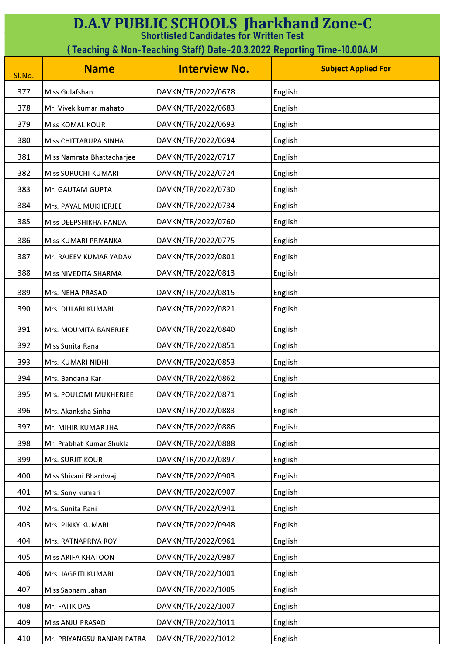| <b>D.A.V PUBLIC SCHOOLS Jharkhand Zone-C</b><br><b>Shortlisted Candidates for Written Test</b> |                            |                      |                            |
|------------------------------------------------------------------------------------------------|----------------------------|----------------------|----------------------------|
| ( Teaching & Non-Teaching Staff) Date-20.3.2022 Reporting Time-10.00A.M                        |                            |                      |                            |
| Sl.No.                                                                                         | <b>Name</b>                | <b>Interview No.</b> | <b>Subject Applied For</b> |
| 377                                                                                            | Miss Gulafshan             | DAVKN/TR/2022/0678   | English                    |
| 378                                                                                            | Mr. Vivek kumar mahato     | DAVKN/TR/2022/0683   | English                    |
| 379                                                                                            | <b>Miss KOMAL KOUR</b>     | DAVKN/TR/2022/0693   | English                    |
| 380                                                                                            | Miss CHITTARUPA SINHA      | DAVKN/TR/2022/0694   | English                    |
| 381                                                                                            | Miss Namrata Bhattacharjee | DAVKN/TR/2022/0717   | English                    |
| 382                                                                                            | <b>Miss SURUCHI KUMARI</b> | DAVKN/TR/2022/0724   | English                    |
| 383                                                                                            | Mr. GAUTAM GUPTA           | DAVKN/TR/2022/0730   | English                    |
| 384                                                                                            | Mrs. PAYAL MUKHERJEE       | DAVKN/TR/2022/0734   | English                    |
| 385                                                                                            | Miss DEEPSHIKHA PANDA      | DAVKN/TR/2022/0760   | English                    |
| 386                                                                                            | Miss KUMARI PRIYANKA       | DAVKN/TR/2022/0775   | English                    |
| 387                                                                                            | Mr. RAJEEV KUMAR YADAV     | DAVKN/TR/2022/0801   | English                    |
| 388                                                                                            | Miss NIVEDITA SHARMA       | DAVKN/TR/2022/0813   | English                    |
| 389                                                                                            | Mrs. NEHA PRASAD           | DAVKN/TR/2022/0815   | English                    |
| 390                                                                                            | Mrs. DULARI KUMARI         | DAVKN/TR/2022/0821   | English                    |
| 391                                                                                            | Mrs. MOUMITA BANERJEE      | DAVKN/TR/2022/0840   | English                    |
| 392                                                                                            | Miss Sunita Rana           | DAVKN/TR/2022/0851   | English                    |
| 393                                                                                            | Mrs. KUMARI NIDHI          | DAVKN/TR/2022/0853   | English                    |
| 394                                                                                            | Mrs. Bandana Kar           | DAVKN/TR/2022/0862   | English                    |
| 395                                                                                            | Mrs. POULOMI MUKHERJEE     | DAVKN/TR/2022/0871   | English                    |
| 396                                                                                            | Mrs. Akanksha Sinha        | DAVKN/TR/2022/0883   | English                    |
| 397                                                                                            | Mr. MIHIR KUMAR JHA        | DAVKN/TR/2022/0886   | English                    |
| 398                                                                                            | Mr. Prabhat Kumar Shukla   | DAVKN/TR/2022/0888   | English                    |
| 399                                                                                            | Mrs. SURJIT KOUR           | DAVKN/TR/2022/0897   | English                    |
| 400                                                                                            | Miss Shivani Bhardwaj      | DAVKN/TR/2022/0903   | English                    |
| 401                                                                                            | Mrs. Sony kumari           | DAVKN/TR/2022/0907   | English                    |
| 402                                                                                            | Mrs. Sunita Rani           | DAVKN/TR/2022/0941   | English                    |
| 403                                                                                            | Mrs. PINKY KUMARI          | DAVKN/TR/2022/0948   | English                    |
| 404                                                                                            | Mrs. RATNAPRIYA ROY        | DAVKN/TR/2022/0961   | English                    |
| 405                                                                                            | Miss ARIFA KHATOON         | DAVKN/TR/2022/0987   | English                    |
| 406                                                                                            | Mrs. JAGRITI KUMARI        | DAVKN/TR/2022/1001   | English                    |
| 407                                                                                            | Miss Sabnam Jahan          | DAVKN/TR/2022/1005   | English                    |
| 408                                                                                            | Mr. FATIK DAS              | DAVKN/TR/2022/1007   | English                    |
| 409                                                                                            | Miss ANJU PRASAD           | DAVKN/TR/2022/1011   | English                    |
| 410                                                                                            | Mr. PRIYANGSU RANJAN PATRA | DAVKN/TR/2022/1012   | English                    |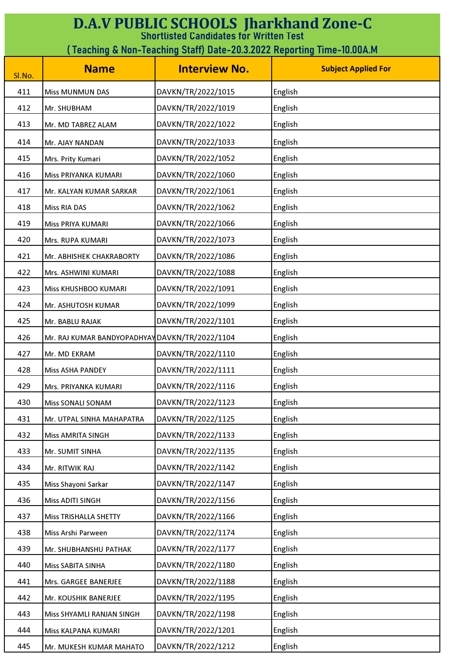| <b>D.A.V PUBLIC SCHOOLS Jharkhand Zone-C</b><br><b>Shortlisted Candidates for Written Test</b> |                                                                        |                      |                            |  |
|------------------------------------------------------------------------------------------------|------------------------------------------------------------------------|----------------------|----------------------------|--|
|                                                                                                | (Teaching & Non-Teaching Staff) Date-20.3.2022 Reporting Time-10.00A.M |                      |                            |  |
| Sl.No.                                                                                         | <b>Name</b>                                                            | <b>Interview No.</b> | <b>Subject Applied For</b> |  |
| 411                                                                                            | <b>Miss MUNMUN DAS</b>                                                 | DAVKN/TR/2022/1015   | English                    |  |
| 412                                                                                            | Mr. SHUBHAM                                                            | DAVKN/TR/2022/1019   | English                    |  |
| 413                                                                                            | Mr. MD TABREZ ALAM                                                     | DAVKN/TR/2022/1022   | English                    |  |
| 414                                                                                            | Mr. AJAY NANDAN                                                        | DAVKN/TR/2022/1033   | English                    |  |
| 415                                                                                            | Mrs. Prity Kumari                                                      | DAVKN/TR/2022/1052   | English                    |  |
| 416                                                                                            | Miss PRIYANKA KUMARI                                                   | DAVKN/TR/2022/1060   | English                    |  |
| 417                                                                                            | Mr. KALYAN KUMAR SARKAR                                                | DAVKN/TR/2022/1061   | English                    |  |
| 418                                                                                            | <b>Miss RIA DAS</b>                                                    | DAVKN/TR/2022/1062   | English                    |  |
| 419                                                                                            | Miss PRIYA KUMARI                                                      | DAVKN/TR/2022/1066   | English                    |  |
| 420                                                                                            | Mrs. RUPA KUMARI                                                       | DAVKN/TR/2022/1073   | English                    |  |
| 421                                                                                            | Mr. ABHISHEK CHAKRABORTY                                               | DAVKN/TR/2022/1086   | English                    |  |
| 422                                                                                            | Mrs. ASHWINI KUMARI                                                    | DAVKN/TR/2022/1088   | English                    |  |
| 423                                                                                            | Miss KHUSHBOO KUMARI                                                   | DAVKN/TR/2022/1091   | English                    |  |
| 424                                                                                            | Mr. ASHUTOSH KUMAR                                                     | DAVKN/TR/2022/1099   | English                    |  |
| 425                                                                                            | Mr. BABLU RAJAK                                                        | DAVKN/TR/2022/1101   | English                    |  |
| 426                                                                                            | Mr. RAJ KUMAR BANDYOPADHYAY DAVKN/TR/2022/1104                         |                      | English                    |  |
| 427                                                                                            | Mr. MD EKRAM                                                           | DAVKN/TR/2022/1110   | English                    |  |
| 428                                                                                            | <b>Miss ASHA PANDEY</b>                                                | DAVKN/TR/2022/1111   | English                    |  |
| 429                                                                                            | Mrs. PRIYANKA KUMARI                                                   | DAVKN/TR/2022/1116   | English                    |  |
| 430                                                                                            | Miss SONALI SONAM                                                      | DAVKN/TR/2022/1123   | English                    |  |
| 431                                                                                            | Mr. UTPAL SINHA MAHAPATRA                                              | DAVKN/TR/2022/1125   | English                    |  |
| 432                                                                                            | <b>Miss AMRITA SINGH</b>                                               | DAVKN/TR/2022/1133   | English                    |  |
| 433                                                                                            | Mr. SUMIT SINHA                                                        | DAVKN/TR/2022/1135   | English                    |  |
| 434                                                                                            | Mr. RITWIK RAJ                                                         | DAVKN/TR/2022/1142   | English                    |  |
| 435                                                                                            | Miss Shayoni Sarkar                                                    | DAVKN/TR/2022/1147   | English                    |  |
| 436                                                                                            | Miss ADITI SINGH                                                       | DAVKN/TR/2022/1156   | English                    |  |
| 437                                                                                            | <b>Miss TRISHALLA SHETTY</b>                                           | DAVKN/TR/2022/1166   | English                    |  |
| 438                                                                                            | Miss Arshi Parween                                                     | DAVKN/TR/2022/1174   | English                    |  |
| 439                                                                                            | Mr. SHUBHANSHU PATHAK                                                  | DAVKN/TR/2022/1177   | English                    |  |
| 440                                                                                            | Miss SABITA SINHA                                                      | DAVKN/TR/2022/1180   | English                    |  |
| 441                                                                                            | Mrs. GARGEE BANERJEE                                                   | DAVKN/TR/2022/1188   | English                    |  |
| 442                                                                                            | Mr. KOUSHIK BANERJEE                                                   | DAVKN/TR/2022/1195   | English                    |  |
| 443                                                                                            | Miss SHYAMLI RANJAN SINGH                                              | DAVKN/TR/2022/1198   | English                    |  |
| 444                                                                                            | Miss KALPANA KUMARI                                                    | DAVKN/TR/2022/1201   | English                    |  |
| 445                                                                                            | Mr. MUKESH KUMAR MAHATO                                                | DAVKN/TR/2022/1212   | English                    |  |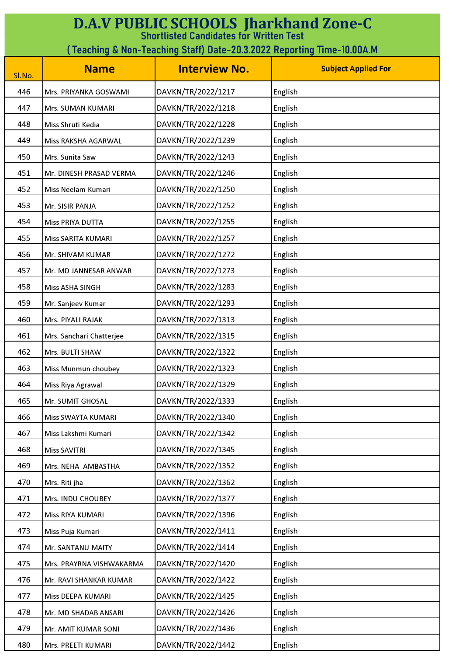| <b>D.A.V PUBLIC SCHOOLS Jharkhand Zone-C</b><br><b>Shortlisted Candidates for Written Test</b> |                                                                        |                      |                            |  |
|------------------------------------------------------------------------------------------------|------------------------------------------------------------------------|----------------------|----------------------------|--|
|                                                                                                | (Teaching & Non-Teaching Staff) Date-20.3.2022 Reporting Time-10.00A.M |                      |                            |  |
| SI.No.                                                                                         | <b>Name</b>                                                            | <b>Interview No.</b> | <b>Subject Applied For</b> |  |
| 446                                                                                            | Mrs. PRIYANKA GOSWAMI                                                  | DAVKN/TR/2022/1217   | English                    |  |
| 447                                                                                            | Mrs. SUMAN KUMARI                                                      | DAVKN/TR/2022/1218   | English                    |  |
| 448                                                                                            | Miss Shruti Kedia                                                      | DAVKN/TR/2022/1228   | English                    |  |
| 449                                                                                            | Miss RAKSHA AGARWAL                                                    | DAVKN/TR/2022/1239   | English                    |  |
| 450                                                                                            | Mrs. Sunita Saw                                                        | DAVKN/TR/2022/1243   | English                    |  |
| 451                                                                                            | Mr. DINESH PRASAD VERMA                                                | DAVKN/TR/2022/1246   | English                    |  |
| 452                                                                                            | Miss Neelam Kumari                                                     | DAVKN/TR/2022/1250   | English                    |  |
| 453                                                                                            | Mr. SISIR PANJA                                                        | DAVKN/TR/2022/1252   | English                    |  |
| 454                                                                                            | Miss PRIYA DUTTA                                                       | DAVKN/TR/2022/1255   | English                    |  |
| 455                                                                                            | Miss SARITA KUMARI                                                     | DAVKN/TR/2022/1257   | English                    |  |
| 456                                                                                            | Mr. SHIVAM KUMAR                                                       | DAVKN/TR/2022/1272   | English                    |  |
| 457                                                                                            | Mr. MD JANNESAR ANWAR                                                  | DAVKN/TR/2022/1273   | English                    |  |
| 458                                                                                            | Miss ASHA SINGH                                                        | DAVKN/TR/2022/1283   | English                    |  |
| 459                                                                                            | Mr. Sanjeev Kumar                                                      | DAVKN/TR/2022/1293   | English                    |  |
| 460                                                                                            | Mrs. PIYALI RAJAK                                                      | DAVKN/TR/2022/1313   | English                    |  |
| 461                                                                                            | Mrs. Sanchari Chatterjee                                               | DAVKN/TR/2022/1315   | English                    |  |
| 462                                                                                            | Mrs. BULTI SHAW                                                        | DAVKN/TR/2022/1322   | English                    |  |
| 463                                                                                            | Miss Munmun choubey                                                    | DAVKN/TR/2022/1323   | English                    |  |
| 464                                                                                            | Miss Riya Agrawal                                                      | DAVKN/TR/2022/1329   | English                    |  |
| 465                                                                                            | Mr. SUMIT GHOSAL                                                       | DAVKN/TR/2022/1333   | English                    |  |
| 466                                                                                            | Miss SWAYTA KUMARI                                                     | DAVKN/TR/2022/1340   | English                    |  |
| 467                                                                                            | Miss Lakshmi Kumari                                                    | DAVKN/TR/2022/1342   | English                    |  |
| 468                                                                                            | <b>Miss SAVITRI</b>                                                    | DAVKN/TR/2022/1345   | English                    |  |
| 469                                                                                            | Mrs. NEHA AMBASTHA                                                     | DAVKN/TR/2022/1352   | English                    |  |
| 470                                                                                            | Mrs. Riti jha                                                          | DAVKN/TR/2022/1362   | English                    |  |
| 471                                                                                            | Mrs. INDU CHOUBEY                                                      | DAVKN/TR/2022/1377   | English                    |  |
| 472                                                                                            | Miss RIYA KUMARI                                                       | DAVKN/TR/2022/1396   | English                    |  |
| 473                                                                                            | Miss Puja Kumari                                                       | DAVKN/TR/2022/1411   | English                    |  |
| 474                                                                                            | Mr. SANTANU MAITY                                                      | DAVKN/TR/2022/1414   | English                    |  |
| 475                                                                                            | Mrs. PRAYRNA VISHWAKARMA                                               | DAVKN/TR/2022/1420   | English                    |  |
| 476                                                                                            | Mr. RAVI SHANKAR KUMAR                                                 | DAVKN/TR/2022/1422   | English                    |  |
| 477                                                                                            | Miss DEEPA KUMARI                                                      | DAVKN/TR/2022/1425   | English                    |  |
| 478                                                                                            | Mr. MD SHADAB ANSARI                                                   | DAVKN/TR/2022/1426   | English                    |  |
| 479                                                                                            | Mr. AMIT KUMAR SONI                                                    | DAVKN/TR/2022/1436   | English                    |  |
| 480                                                                                            | Mrs. PREETI KUMARI                                                     | DAVKN/TR/2022/1442   | English                    |  |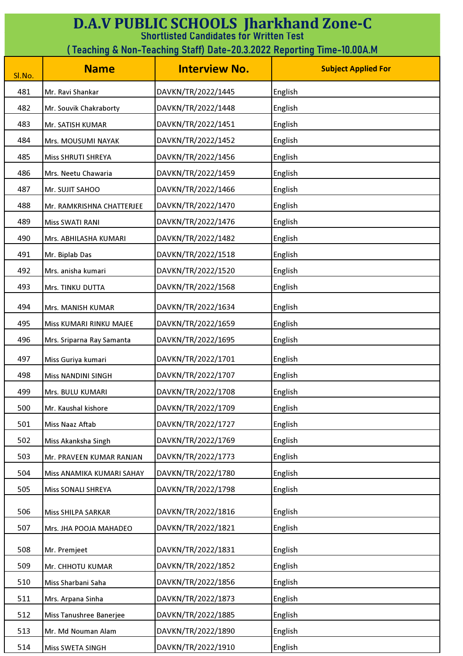| <b>D.A.V PUBLIC SCHOOLS Jharkhand Zone-C</b><br><b>Shortlisted Candidates for Written Test</b> |                                                                         |                      |                            |  |
|------------------------------------------------------------------------------------------------|-------------------------------------------------------------------------|----------------------|----------------------------|--|
|                                                                                                | ( Teaching & Non-Teaching Staff) Date-20.3.2022 Reporting Time-10.00A.M |                      |                            |  |
| Sl.No.                                                                                         | <b>Name</b>                                                             | <b>Interview No.</b> | <b>Subject Applied For</b> |  |
| 481                                                                                            | Mr. Ravi Shankar                                                        | DAVKN/TR/2022/1445   | English                    |  |
| 482                                                                                            | Mr. Souvik Chakraborty                                                  | DAVKN/TR/2022/1448   | English                    |  |
| 483                                                                                            | Mr. SATISH KUMAR                                                        | DAVKN/TR/2022/1451   | English                    |  |
| 484                                                                                            | Mrs. MOUSUMI NAYAK                                                      | DAVKN/TR/2022/1452   | English                    |  |
| 485                                                                                            | Miss SHRUTI SHREYA                                                      | DAVKN/TR/2022/1456   | English                    |  |
| 486                                                                                            | Mrs. Neetu Chawaria                                                     | DAVKN/TR/2022/1459   | English                    |  |
| 487                                                                                            | Mr. SUJIT SAHOO                                                         | DAVKN/TR/2022/1466   | English                    |  |
| 488                                                                                            | Mr. RAMKRISHNA CHATTERJEE                                               | DAVKN/TR/2022/1470   | English                    |  |
| 489                                                                                            | <b>Miss SWATI RANI</b>                                                  | DAVKN/TR/2022/1476   | English                    |  |
| 490                                                                                            | Mrs. ABHILASHA KUMARI                                                   | DAVKN/TR/2022/1482   | English                    |  |
| 491                                                                                            | Mr. Biplab Das                                                          | DAVKN/TR/2022/1518   | English                    |  |
| 492                                                                                            | Mrs. anisha kumari                                                      | DAVKN/TR/2022/1520   | English                    |  |
| 493                                                                                            | Mrs. TINKU DUTTA                                                        | DAVKN/TR/2022/1568   | English                    |  |
| 494                                                                                            | Mrs. MANISH KUMAR                                                       | DAVKN/TR/2022/1634   | English                    |  |
| 495                                                                                            | Miss KUMARI RINKU MAJEE                                                 | DAVKN/TR/2022/1659   | English                    |  |
| 496                                                                                            | Mrs. Sriparna Ray Samanta                                               | DAVKN/TR/2022/1695   | English                    |  |
| 497                                                                                            | Miss Guriya kumari                                                      | DAVKN/TR/2022/1701   | English                    |  |
| 498                                                                                            | <b>Miss NANDINI SINGH</b>                                               | DAVKN/TR/2022/1707   | English                    |  |
| 499                                                                                            | Mrs. BULU KUMARI                                                        | DAVKN/TR/2022/1708   | English                    |  |
| 500                                                                                            | Mr. Kaushal kishore                                                     | DAVKN/TR/2022/1709   | English                    |  |
| 501                                                                                            | Miss Naaz Aftab                                                         | DAVKN/TR/2022/1727   | English                    |  |
| 502                                                                                            | Miss Akanksha Singh                                                     | DAVKN/TR/2022/1769   | English                    |  |
| 503                                                                                            | Mr. PRAVEEN KUMAR RANJAN                                                | DAVKN/TR/2022/1773   | English                    |  |
| 504                                                                                            | Miss ANAMIKA KUMARI SAHAY                                               | DAVKN/TR/2022/1780   | English                    |  |
| 505                                                                                            | Miss SONALI SHREYA                                                      | DAVKN/TR/2022/1798   | English                    |  |
| 506                                                                                            | Miss SHILPA SARKAR                                                      | DAVKN/TR/2022/1816   | English                    |  |
| 507                                                                                            | Mrs. JHA POOJA MAHADEO                                                  | DAVKN/TR/2022/1821   | English                    |  |
| 508                                                                                            | Mr. Premjeet                                                            | DAVKN/TR/2022/1831   | English                    |  |
| 509                                                                                            | Mr. CHHOTU KUMAR                                                        | DAVKN/TR/2022/1852   | English                    |  |
| 510                                                                                            | Miss Sharbani Saha                                                      | DAVKN/TR/2022/1856   | English                    |  |
| 511                                                                                            | Mrs. Arpana Sinha                                                       | DAVKN/TR/2022/1873   | English                    |  |
| 512                                                                                            | Miss Tanushree Banerjee                                                 | DAVKN/TR/2022/1885   | English                    |  |
| 513                                                                                            | Mr. Md Nouman Alam                                                      | DAVKN/TR/2022/1890   | English                    |  |
| 514                                                                                            | Miss SWETA SINGH                                                        | DAVKN/TR/2022/1910   | English                    |  |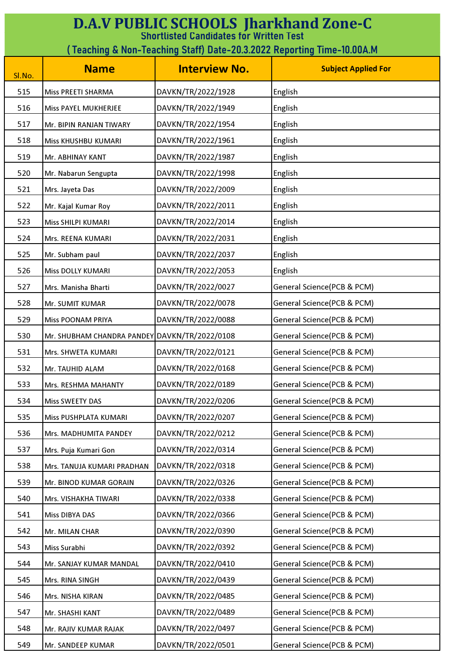| <b>D.A.V PUBLIC SCHOOLS Jharkhand Zone-C</b><br><b>Shortlisted Candidates for Written Test</b> |                                                                         |                      |                            |  |
|------------------------------------------------------------------------------------------------|-------------------------------------------------------------------------|----------------------|----------------------------|--|
|                                                                                                | ( Teaching & Non-Teaching Staff) Date-20.3.2022 Reporting Time-10.00A.M |                      |                            |  |
| Sl.No.                                                                                         | <b>Name</b>                                                             | <b>Interview No.</b> | <b>Subject Applied For</b> |  |
| 515                                                                                            | Miss PREETI SHARMA                                                      | DAVKN/TR/2022/1928   | English                    |  |
| 516                                                                                            | Miss PAYEL MUKHERJEE                                                    | DAVKN/TR/2022/1949   | English                    |  |
| 517                                                                                            | Mr. BIPIN RANJAN TIWARY                                                 | DAVKN/TR/2022/1954   | English                    |  |
| 518                                                                                            | Miss KHUSHBU KUMARI                                                     | DAVKN/TR/2022/1961   | English                    |  |
| 519                                                                                            | Mr. ABHINAY KANT                                                        | DAVKN/TR/2022/1987   | English                    |  |
| 520                                                                                            | Mr. Nabarun Sengupta                                                    | DAVKN/TR/2022/1998   | English                    |  |
| 521                                                                                            | Mrs. Jayeta Das                                                         | DAVKN/TR/2022/2009   | English                    |  |
| 522                                                                                            | Mr. Kajal Kumar Roy                                                     | DAVKN/TR/2022/2011   | English                    |  |
| 523                                                                                            | Miss SHILPI KUMARI                                                      | DAVKN/TR/2022/2014   | English                    |  |
| 524                                                                                            | Mrs. REENA KUMARI                                                       | DAVKN/TR/2022/2031   | English                    |  |
| 525                                                                                            | Mr. Subham paul                                                         | DAVKN/TR/2022/2037   | English                    |  |
| 526                                                                                            | Miss DOLLY KUMARI                                                       | DAVKN/TR/2022/2053   | English                    |  |
| 527                                                                                            | Mrs. Manisha Bharti                                                     | DAVKN/TR/2022/0027   | General Science(PCB & PCM) |  |
| 528                                                                                            | Mr. SUMIT KUMAR                                                         | DAVKN/TR/2022/0078   | General Science(PCB & PCM) |  |
| 529                                                                                            | <b>Miss POONAM PRIYA</b>                                                | DAVKN/TR/2022/0088   | General Science(PCB & PCM) |  |
| 530                                                                                            | Mr. SHUBHAM CHANDRA PANDEY DAVKN/TR/2022/0108                           |                      | General Science(PCB & PCM) |  |
| 531                                                                                            | Mrs. SHWETA KUMARI                                                      | DAVKN/TR/2022/0121   | General Science(PCB & PCM) |  |
| 532                                                                                            | Mr. TAUHID ALAM                                                         | DAVKN/TR/2022/0168   | General Science(PCB & PCM) |  |
| 533                                                                                            | Mrs. RESHMA MAHANTY                                                     | DAVKN/TR/2022/0189   | General Science(PCB & PCM) |  |
| 534                                                                                            | Miss SWEETY DAS                                                         | DAVKN/TR/2022/0206   | General Science(PCB & PCM) |  |
| 535                                                                                            | Miss PUSHPLATA KUMARI                                                   | DAVKN/TR/2022/0207   | General Science(PCB & PCM) |  |
| 536                                                                                            | Mrs. MADHUMITA PANDEY                                                   | DAVKN/TR/2022/0212   | General Science(PCB & PCM) |  |
| 537                                                                                            | Mrs. Puja Kumari Gon                                                    | DAVKN/TR/2022/0314   | General Science(PCB & PCM) |  |
| 538                                                                                            | Mrs. TANUJA KUMARI PRADHAN                                              | DAVKN/TR/2022/0318   | General Science(PCB & PCM) |  |
| 539                                                                                            | Mr. BINOD KUMAR GORAIN                                                  | DAVKN/TR/2022/0326   | General Science(PCB & PCM) |  |
| 540                                                                                            | Mrs. VISHAKHA TIWARI                                                    | DAVKN/TR/2022/0338   | General Science(PCB & PCM) |  |
| 541                                                                                            | Miss DIBYA DAS                                                          | DAVKN/TR/2022/0366   | General Science(PCB & PCM) |  |
| 542                                                                                            | Mr. MILAN CHAR                                                          | DAVKN/TR/2022/0390   | General Science(PCB & PCM) |  |
| 543                                                                                            | Miss Surabhi                                                            | DAVKN/TR/2022/0392   | General Science(PCB & PCM) |  |
| 544                                                                                            | Mr. SANJAY KUMAR MANDAL                                                 | DAVKN/TR/2022/0410   | General Science(PCB & PCM) |  |
| 545                                                                                            | Mrs. RINA SINGH                                                         | DAVKN/TR/2022/0439   | General Science(PCB & PCM) |  |
| 546                                                                                            | Mrs. NISHA KIRAN                                                        | DAVKN/TR/2022/0485   | General Science(PCB & PCM) |  |
| 547                                                                                            | Mr. SHASHI KANT                                                         | DAVKN/TR/2022/0489   | General Science(PCB & PCM) |  |
| 548                                                                                            | Mr. RAJIV KUMAR RAJAK                                                   | DAVKN/TR/2022/0497   | General Science(PCB & PCM) |  |
| 549                                                                                            | Mr. SANDEEP KUMAR                                                       | DAVKN/TR/2022/0501   | General Science(PCB & PCM) |  |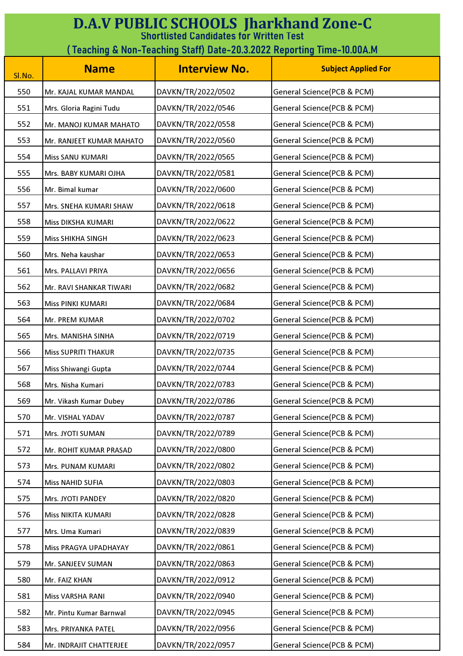| <b>D.A.V PUBLIC SCHOOLS Jharkhand Zone-C</b><br><b>Shortlisted Candidates for Written Test</b> |                            |                      |                            |
|------------------------------------------------------------------------------------------------|----------------------------|----------------------|----------------------------|
| (Teaching & Non-Teaching Staff) Date-20.3.2022 Reporting Time-10.00A.M                         |                            |                      |                            |
| Sl.No.                                                                                         | <b>Name</b>                | <b>Interview No.</b> | <b>Subject Applied For</b> |
| 550                                                                                            | Mr. KAJAL KUMAR MANDAL     | DAVKN/TR/2022/0502   | General Science(PCB & PCM) |
| 551                                                                                            | Mrs. Gloria Ragini Tudu    | DAVKN/TR/2022/0546   | General Science(PCB & PCM) |
| 552                                                                                            | Mr. MANOJ KUMAR MAHATO     | DAVKN/TR/2022/0558   | General Science(PCB & PCM) |
| 553                                                                                            | Mr. RANJEET KUMAR MAHATO   | DAVKN/TR/2022/0560   | General Science(PCB & PCM) |
| 554                                                                                            | Miss SANU KUMARI           | DAVKN/TR/2022/0565   | General Science(PCB & PCM) |
| 555                                                                                            | Mrs. BABY KUMARI OJHA      | DAVKN/TR/2022/0581   | General Science(PCB & PCM) |
| 556                                                                                            | Mr. Bimal kumar            | DAVKN/TR/2022/0600   | General Science(PCB & PCM) |
| 557                                                                                            | Mrs. SNEHA KUMARI SHAW     | DAVKN/TR/2022/0618   | General Science(PCB & PCM) |
| 558                                                                                            | Miss DIKSHA KUMARI         | DAVKN/TR/2022/0622   | General Science(PCB & PCM) |
| 559                                                                                            | <b>Miss SHIKHA SINGH</b>   | DAVKN/TR/2022/0623   | General Science(PCB & PCM) |
| 560                                                                                            | Mrs. Neha kaushar          | DAVKN/TR/2022/0653   | General Science(PCB & PCM) |
| 561                                                                                            | Mrs. PALLAVI PRIYA         | DAVKN/TR/2022/0656   | General Science(PCB & PCM) |
| 562                                                                                            | Mr. RAVI SHANKAR TIWARI    | DAVKN/TR/2022/0682   | General Science(PCB & PCM) |
| 563                                                                                            | Miss PINKI KUMARI          | DAVKN/TR/2022/0684   | General Science(PCB & PCM) |
| 564                                                                                            | Mr. PREM KUMAR             | DAVKN/TR/2022/0702   | General Science(PCB & PCM) |
| 565                                                                                            | Mrs. MANISHA SINHA         | DAVKN/TR/2022/0719   | General Science(PCB & PCM) |
| 566                                                                                            | <b>Miss SUPRITI THAKUR</b> | DAVKN/TR/2022/0735   | General Science(PCB & PCM) |
| 567                                                                                            | Miss Shiwangi Gupta        | DAVKN/TR/2022/0744   | General Science(PCB & PCM) |
| 568                                                                                            | Mrs. Nisha Kumari          | DAVKN/TR/2022/0783   | General Science(PCB & PCM) |
| 569                                                                                            | Mr. Vikash Kumar Dubey     | DAVKN/TR/2022/0786   | General Science(PCB & PCM) |
| 570                                                                                            | Mr. VISHAL YADAV           | DAVKN/TR/2022/0787   | General Science(PCB & PCM) |
| 571                                                                                            | Mrs. JYOTI SUMAN           | DAVKN/TR/2022/0789   | General Science(PCB & PCM) |
| 572                                                                                            | Mr. ROHIT KUMAR PRASAD     | DAVKN/TR/2022/0800   | General Science(PCB & PCM) |
| 573                                                                                            | Mrs. PUNAM KUMARI          | DAVKN/TR/2022/0802   | General Science(PCB & PCM) |
| 574                                                                                            | <b>Miss NAHID SUFIA</b>    | DAVKN/TR/2022/0803   | General Science(PCB & PCM) |
| 575                                                                                            | Mrs. JYOTI PANDEY          | DAVKN/TR/2022/0820   | General Science(PCB & PCM) |
| 576                                                                                            | Miss NIKITA KUMARI         | DAVKN/TR/2022/0828   | General Science(PCB & PCM) |
| 577                                                                                            | Mrs. Uma Kumari            | DAVKN/TR/2022/0839   | General Science(PCB & PCM) |
| 578                                                                                            | Miss PRAGYA UPADHAYAY      | DAVKN/TR/2022/0861   | General Science(PCB & PCM) |
| 579                                                                                            | Mr. SANJEEV SUMAN          | DAVKN/TR/2022/0863   | General Science(PCB & PCM) |
| 580                                                                                            | Mr. FAIZ KHAN              | DAVKN/TR/2022/0912   | General Science(PCB & PCM) |
| 581                                                                                            | Miss VARSHA RANI           | DAVKN/TR/2022/0940   | General Science(PCB & PCM) |
| 582                                                                                            | Mr. Pintu Kumar Barnwal    | DAVKN/TR/2022/0945   | General Science(PCB & PCM) |
| 583                                                                                            | Mrs. PRIYANKA PATEL        | DAVKN/TR/2022/0956   | General Science(PCB & PCM) |
| 584                                                                                            | Mr. INDRAJIT CHATTERJEE    | DAVKN/TR/2022/0957   | General Science(PCB & PCM) |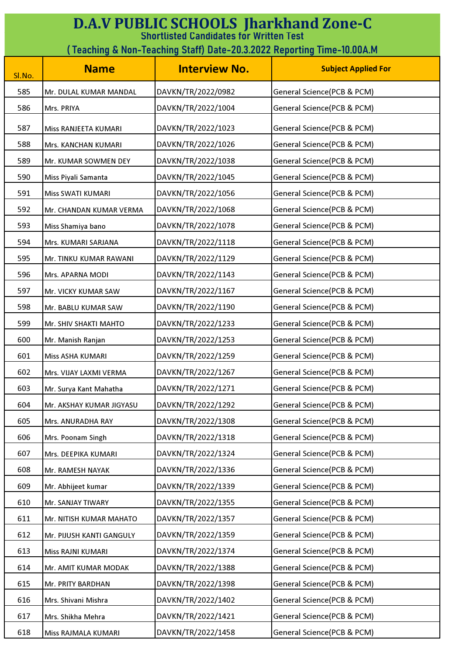| <b>D.A.V PUBLIC SCHOOLS Jharkhand Zone-C</b><br><b>Shortlisted Candidates for Written Test</b><br>(Teaching & Non-Teaching Staff) Date-20.3.2022 Reporting Time-10.00A.M |                          |                      |                            |
|--------------------------------------------------------------------------------------------------------------------------------------------------------------------------|--------------------------|----------------------|----------------------------|
| Sl.No.                                                                                                                                                                   | <b>Name</b>              | <b>Interview No.</b> | <b>Subject Applied For</b> |
| 585                                                                                                                                                                      | Mr. DULAL KUMAR MANDAL   | DAVKN/TR/2022/0982   | General Science(PCB & PCM) |
| 586                                                                                                                                                                      | Mrs. PRIYA               | DAVKN/TR/2022/1004   | General Science(PCB & PCM) |
| 587                                                                                                                                                                      | Miss RANJEETA KUMARI     | DAVKN/TR/2022/1023   | General Science(PCB & PCM) |
| 588                                                                                                                                                                      | Mrs. KANCHAN KUMARI      | DAVKN/TR/2022/1026   | General Science(PCB & PCM) |
| 589                                                                                                                                                                      | Mr. KUMAR SOWMEN DEY     | DAVKN/TR/2022/1038   | General Science(PCB & PCM) |
| 590                                                                                                                                                                      | Miss Piyali Samanta      | DAVKN/TR/2022/1045   | General Science(PCB & PCM) |
| 591                                                                                                                                                                      | Miss SWATI KUMARI        | DAVKN/TR/2022/1056   | General Science(PCB & PCM) |
| 592                                                                                                                                                                      | Mr. CHANDAN KUMAR VERMA  | DAVKN/TR/2022/1068   | General Science(PCB & PCM) |
| 593                                                                                                                                                                      | Miss Shamiya bano        | DAVKN/TR/2022/1078   | General Science(PCB & PCM) |
| 594                                                                                                                                                                      | Mrs. KUMARI SARJANA      | DAVKN/TR/2022/1118   | General Science(PCB & PCM) |
| 595                                                                                                                                                                      | Mr. TINKU KUMAR RAWANI   | DAVKN/TR/2022/1129   | General Science(PCB & PCM) |
| 596                                                                                                                                                                      | Mrs. APARNA MODI         | DAVKN/TR/2022/1143   | General Science(PCB & PCM) |
| 597                                                                                                                                                                      | Mr. VICKY KUMAR SAW      | DAVKN/TR/2022/1167   | General Science(PCB & PCM) |
| 598                                                                                                                                                                      | Mr. BABLU KUMAR SAW      | DAVKN/TR/2022/1190   | General Science(PCB & PCM) |
| 599                                                                                                                                                                      | Mr. SHIV SHAKTI MAHTO    | DAVKN/TR/2022/1233   | General Science(PCB & PCM) |
| 600                                                                                                                                                                      | Mr. Manish Ranjan        | DAVKN/TR/2022/1253   | General Science(PCB & PCM) |
| 601                                                                                                                                                                      | Miss ASHA KUMARI         | DAVKN/TR/2022/1259   | General Science(PCB & PCM) |
| 602                                                                                                                                                                      | Mrs. VIJAY LAXMI VERMA   | DAVKN/TR/2022/1267   | General Science(PCB & PCM) |
| 603                                                                                                                                                                      | Mr. Surya Kant Mahatha   | DAVKN/TR/2022/1271   | General Science(PCB & PCM) |
| 604                                                                                                                                                                      | Mr. AKSHAY KUMAR JIGYASU | DAVKN/TR/2022/1292   | General Science(PCB & PCM) |
| 605                                                                                                                                                                      | Mrs. ANURADHA RAY        | DAVKN/TR/2022/1308   | General Science(PCB & PCM) |
| 606                                                                                                                                                                      | Mrs. Poonam Singh        | DAVKN/TR/2022/1318   | General Science(PCB & PCM) |
| 607                                                                                                                                                                      | Mrs. DEEPIKA KUMARI      | DAVKN/TR/2022/1324   | General Science(PCB & PCM) |
| 608                                                                                                                                                                      | Mr. RAMESH NAYAK         | DAVKN/TR/2022/1336   | General Science(PCB & PCM) |
| 609                                                                                                                                                                      | Mr. Abhijeet kumar       | DAVKN/TR/2022/1339   | General Science(PCB & PCM) |
| 610                                                                                                                                                                      | Mr. SANJAY TIWARY        | DAVKN/TR/2022/1355   | General Science(PCB & PCM) |
| 611                                                                                                                                                                      | Mr. NITISH KUMAR MAHATO  | DAVKN/TR/2022/1357   | General Science(PCB & PCM) |
| 612                                                                                                                                                                      | Mr. PIJUSH KANTI GANGULY | DAVKN/TR/2022/1359   | General Science(PCB & PCM) |
| 613                                                                                                                                                                      | Miss RAJNI KUMARI        | DAVKN/TR/2022/1374   | General Science(PCB & PCM) |
| 614                                                                                                                                                                      | Mr. AMIT KUMAR MODAK     | DAVKN/TR/2022/1388   | General Science(PCB & PCM) |
| 615                                                                                                                                                                      | Mr. PRITY BARDHAN        | DAVKN/TR/2022/1398   | General Science(PCB & PCM) |
| 616                                                                                                                                                                      | Mrs. Shivani Mishra      | DAVKN/TR/2022/1402   | General Science(PCB & PCM) |
| 617                                                                                                                                                                      | Mrs. Shikha Mehra        | DAVKN/TR/2022/1421   | General Science(PCB & PCM) |
| 618                                                                                                                                                                      | Miss RAJMALA KUMARI      | DAVKN/TR/2022/1458   | General Science(PCB & PCM) |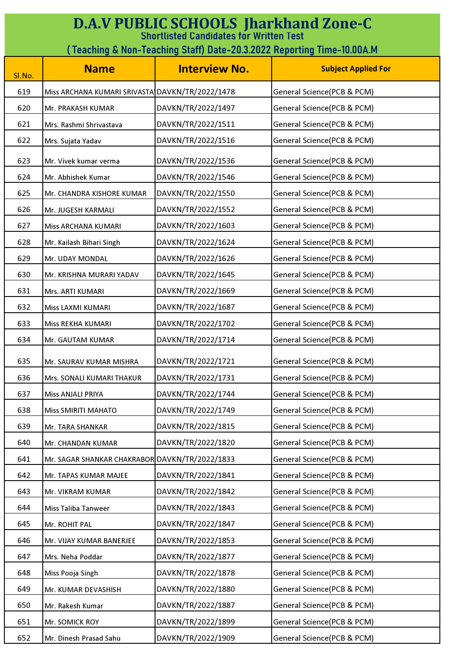| <b>D.A.V PUBLIC SCHOOLS Jharkhand Zone-C</b><br><b>Shortlisted Candidates for Written Test</b><br>( Teaching & Non-Teaching Staff)        Date-20.3.2022        Reporting Time-10.00A.M |                                                 |                      |                            |
|-----------------------------------------------------------------------------------------------------------------------------------------------------------------------------------------|-------------------------------------------------|----------------------|----------------------------|
| SI.No.                                                                                                                                                                                  | <b>Name</b>                                     | <b>Interview No.</b> | <b>Subject Applied For</b> |
| 619                                                                                                                                                                                     | Miss ARCHANA KUMARI SRIVASTA DAVKN/TR/2022/1478 |                      | General Science(PCB & PCM) |
| 620                                                                                                                                                                                     | Mr. PRAKASH KUMAR                               | DAVKN/TR/2022/1497   | General Science(PCB & PCM) |
| 621                                                                                                                                                                                     | Mrs. Rashmi Shrivastava                         | DAVKN/TR/2022/1511   | General Science(PCB & PCM) |
| 622                                                                                                                                                                                     | Mrs. Sujata Yadav                               | DAVKN/TR/2022/1516   | General Science(PCB & PCM) |
| 623                                                                                                                                                                                     | Mr. Vivek kumar verma                           | DAVKN/TR/2022/1536   | General Science(PCB & PCM) |
| 624                                                                                                                                                                                     | Mr. Abhishek Kumar                              | DAVKN/TR/2022/1546   | General Science(PCB & PCM) |
| 625                                                                                                                                                                                     | Mr. CHANDRA KISHORE KUMAR                       | DAVKN/TR/2022/1550   | General Science(PCB & PCM) |
| 626                                                                                                                                                                                     | Mr. JUGESH KARMALI                              | DAVKN/TR/2022/1552   | General Science(PCB & PCM) |
| 627                                                                                                                                                                                     | Miss ARCHANA KUMARI                             | DAVKN/TR/2022/1603   | General Science(PCB & PCM) |
| 628                                                                                                                                                                                     | Mr. Kailash Bihari Singh                        | DAVKN/TR/2022/1624   | General Science(PCB & PCM) |
| 629                                                                                                                                                                                     | Mr. UDAY MONDAL                                 | DAVKN/TR/2022/1626   | General Science(PCB & PCM) |
| 630                                                                                                                                                                                     | Mr. KRISHNA MURARI YADAV                        | DAVKN/TR/2022/1645   | General Science(PCB & PCM) |
| 631                                                                                                                                                                                     | Mrs. ARTI KUMARI                                | DAVKN/TR/2022/1669   | General Science(PCB & PCM) |
| 632                                                                                                                                                                                     | Miss LAXMI KUMARI                               | DAVKN/TR/2022/1687   | General Science(PCB & PCM) |
| 633                                                                                                                                                                                     | Miss REKHA KUMARI                               | DAVKN/TR/2022/1702   | General Science(PCB & PCM) |
| 634                                                                                                                                                                                     | Mr. GAUTAM KUMAR                                | DAVKN/TR/2022/1714   | General Science(PCB & PCM) |
| 635                                                                                                                                                                                     | Mr. SAURAV KUMAR MISHRA                         | DAVKN/TR/2022/1721   | General Science(PCB & PCM) |
| 636                                                                                                                                                                                     | Mrs. SONALI KUMARI THAKUR                       | DAVKN/TR/2022/1731   | General Science(PCB & PCM) |
| 637                                                                                                                                                                                     | Miss ANJALI PRIYA                               | DAVKN/TR/2022/1744   | General Science(PCB & PCM) |
| 638                                                                                                                                                                                     | <b>Miss SMIRITI MAHATO</b>                      | DAVKN/TR/2022/1749   | General Science(PCB & PCM) |
| 639                                                                                                                                                                                     | Mr. TARA SHANKAR                                | DAVKN/TR/2022/1815   | General Science(PCB & PCM) |
| 640                                                                                                                                                                                     | Mr. CHANDAN KUMAR                               | DAVKN/TR/2022/1820   | General Science(PCB & PCM) |
| 641                                                                                                                                                                                     | Mr. SAGAR SHANKAR CHAKRABOR DAVKN/TR/2022/1833  |                      | General Science(PCB & PCM) |
| 642                                                                                                                                                                                     | Mr. TAPAS KUMAR MAJEE                           | DAVKN/TR/2022/1841   | General Science(PCB & PCM) |
| 643                                                                                                                                                                                     | Mr. VIKRAM KUMAR                                | DAVKN/TR/2022/1842   | General Science(PCB & PCM) |
| 644                                                                                                                                                                                     | <b>Miss Taliba Tanweer</b>                      | DAVKN/TR/2022/1843   | General Science(PCB & PCM) |
| 645                                                                                                                                                                                     | Mr. ROHIT PAL                                   | DAVKN/TR/2022/1847   | General Science(PCB & PCM) |
| 646                                                                                                                                                                                     | Mr. VIJAY KUMAR BANERJEE                        | DAVKN/TR/2022/1853   | General Science(PCB & PCM) |
| 647                                                                                                                                                                                     | Mrs. Neha Poddar                                | DAVKN/TR/2022/1877   | General Science(PCB & PCM) |
| 648                                                                                                                                                                                     | Miss Pooja Singh                                | DAVKN/TR/2022/1878   | General Science(PCB & PCM) |
| 649                                                                                                                                                                                     | Mr. KUMAR DEVASHISH                             | DAVKN/TR/2022/1880   | General Science(PCB & PCM) |
| 650                                                                                                                                                                                     | Mr. Rakesh Kumar                                | DAVKN/TR/2022/1887   | General Science(PCB & PCM) |
| 651                                                                                                                                                                                     | Mr. SOMICK ROY                                  | DAVKN/TR/2022/1899   | General Science(PCB & PCM) |
| 652                                                                                                                                                                                     | Mr. Dinesh Prasad Sahu                          | DAVKN/TR/2022/1909   | General Science(PCB & PCM) |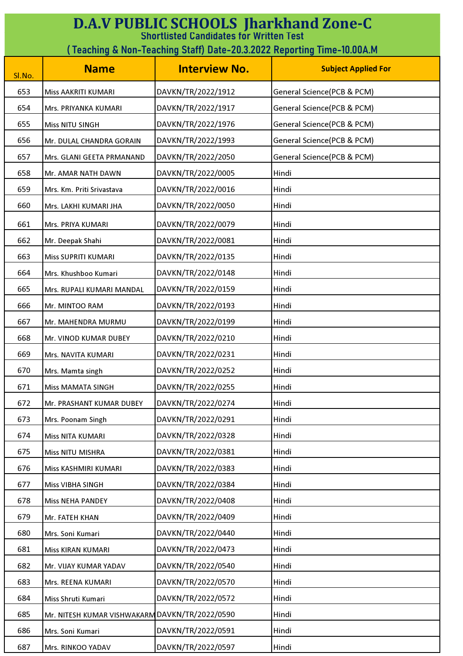| <b>D.A.V PUBLIC SCHOOLS Jharkhand Zone-C</b><br><b>Shortlisted Candidates for Written Test</b> |                                                                        |                      |                            |  |
|------------------------------------------------------------------------------------------------|------------------------------------------------------------------------|----------------------|----------------------------|--|
|                                                                                                | (Teaching & Non-Teaching Staff) Date-20.3.2022 Reporting Time-10.00A.M |                      |                            |  |
| Sl.No.                                                                                         | <b>Name</b>                                                            | <b>Interview No.</b> | <b>Subject Applied For</b> |  |
| 653                                                                                            | Miss AAKRITI KUMARI                                                    | DAVKN/TR/2022/1912   | General Science(PCB & PCM) |  |
| 654                                                                                            | Mrs. PRIYANKA KUMARI                                                   | DAVKN/TR/2022/1917   | General Science(PCB & PCM) |  |
| 655                                                                                            | <b>Miss NITU SINGH</b>                                                 | DAVKN/TR/2022/1976   | General Science(PCB & PCM) |  |
| 656                                                                                            | Mr. DULAL CHANDRA GORAIN                                               | DAVKN/TR/2022/1993   | General Science(PCB & PCM) |  |
| 657                                                                                            | Mrs. GLANI GEETA PRMANAND                                              | DAVKN/TR/2022/2050   | General Science(PCB & PCM) |  |
| 658                                                                                            | Mr. AMAR NATH DAWN                                                     | DAVKN/TR/2022/0005   | Hindi                      |  |
| 659                                                                                            | Mrs. Km. Priti Srivastava                                              | DAVKN/TR/2022/0016   | Hindi                      |  |
| 660                                                                                            | Mrs. LAKHI KUMARI JHA                                                  | DAVKN/TR/2022/0050   | Hindi                      |  |
| 661                                                                                            | Mrs. PRIYA KUMARI                                                      | DAVKN/TR/2022/0079   | Hindi                      |  |
| 662                                                                                            | Mr. Deepak Shahi                                                       | DAVKN/TR/2022/0081   | Hindi                      |  |
| 663                                                                                            | <b>Miss SUPRITI KUMARI</b>                                             | DAVKN/TR/2022/0135   | Hindi                      |  |
| 664                                                                                            | Mrs. Khushboo Kumari                                                   | DAVKN/TR/2022/0148   | Hindi                      |  |
| 665                                                                                            | Mrs. RUPALI KUMARI MANDAL                                              | DAVKN/TR/2022/0159   | Hindi                      |  |
| 666                                                                                            | Mr. MINTOO RAM                                                         | DAVKN/TR/2022/0193   | Hindi                      |  |
| 667                                                                                            | Mr. MAHENDRA MURMU                                                     | DAVKN/TR/2022/0199   | Hindi                      |  |
| 668                                                                                            | Mr. VINOD KUMAR DUBEY                                                  | DAVKN/TR/2022/0210   | Hindi                      |  |
| 669                                                                                            | Mrs. NAVITA KUMARI                                                     | DAVKN/TR/2022/0231   | Hindi                      |  |
| 670                                                                                            | Mrs. Mamta singh                                                       | DAVKN/TR/2022/0252   | Hindi                      |  |
| 671                                                                                            | <b>Miss MAMATA SINGH</b>                                               | DAVKN/TR/2022/0255   | Hindi                      |  |
| 672                                                                                            | Mr. PRASHANT KUMAR DUBEY                                               | DAVKN/TR/2022/0274   | Hindi                      |  |
| 673                                                                                            | Mrs. Poonam Singh                                                      | DAVKN/TR/2022/0291   | Hindi                      |  |
| 674                                                                                            | Miss NITA KUMARI                                                       | DAVKN/TR/2022/0328   | Hindi                      |  |
| 675                                                                                            | Miss NITU MISHRA                                                       | DAVKN/TR/2022/0381   | Hindi                      |  |
| 676                                                                                            | Miss KASHMIRI KUMARI                                                   | DAVKN/TR/2022/0383   | Hindi                      |  |
| 677                                                                                            | Miss VIBHA SINGH                                                       | DAVKN/TR/2022/0384   | Hindi                      |  |
| 678                                                                                            | <b>Miss NEHA PANDEY</b>                                                | DAVKN/TR/2022/0408   | Hindi                      |  |
| 679                                                                                            | Mr. FATEH KHAN                                                         | DAVKN/TR/2022/0409   | Hindi                      |  |
| 680                                                                                            | Mrs. Soni Kumari                                                       | DAVKN/TR/2022/0440   | Hindi                      |  |
| 681                                                                                            | Miss KIRAN KUMARI                                                      | DAVKN/TR/2022/0473   | Hindi                      |  |
| 682                                                                                            | Mr. VIJAY KUMAR YADAV                                                  | DAVKN/TR/2022/0540   | Hindi                      |  |
| 683                                                                                            | Mrs. REENA KUMARI                                                      | DAVKN/TR/2022/0570   | Hindi                      |  |
| 684                                                                                            | Miss Shruti Kumari                                                     | DAVKN/TR/2022/0572   | Hindi                      |  |
| 685                                                                                            | Mr. NITESH KUMAR VISHWAKARM DAVKN/TR/2022/0590                         |                      | Hindi                      |  |
| 686                                                                                            | Mrs. Soni Kumari                                                       | DAVKN/TR/2022/0591   | Hindi                      |  |
| 687                                                                                            | Mrs. RINKOO YADAV                                                      | DAVKN/TR/2022/0597   | Hindi                      |  |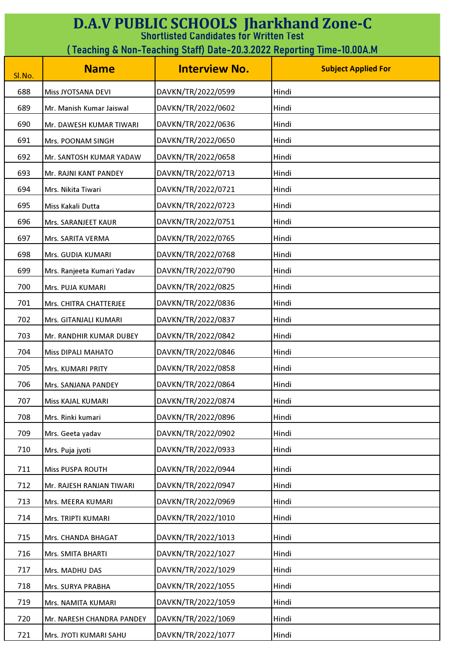| <b>D.A.V PUBLIC SCHOOLS Jharkhand Zone-C</b><br><b>Shortlisted Candidates for Written Test</b> |                                                                        |                      |                            |  |
|------------------------------------------------------------------------------------------------|------------------------------------------------------------------------|----------------------|----------------------------|--|
|                                                                                                | (Teaching & Non-Teaching Staff) Date-20.3.2022 Reporting Time-10.00A.M |                      |                            |  |
| Sl.No.                                                                                         | <b>Name</b>                                                            | <b>Interview No.</b> | <b>Subject Applied For</b> |  |
| 688                                                                                            | Miss JYOTSANA DEVI                                                     | DAVKN/TR/2022/0599   | Hindi                      |  |
| 689                                                                                            | Mr. Manish Kumar Jaiswal                                               | DAVKN/TR/2022/0602   | Hindi                      |  |
| 690                                                                                            | Mr. DAWESH KUMAR TIWARI                                                | DAVKN/TR/2022/0636   | Hindi                      |  |
| 691                                                                                            | Mrs. POONAM SINGH                                                      | DAVKN/TR/2022/0650   | Hindi                      |  |
| 692                                                                                            | Mr. SANTOSH KUMAR YADAW                                                | DAVKN/TR/2022/0658   | Hindi                      |  |
| 693                                                                                            | Mr. RAJNI KANT PANDEY                                                  | DAVKN/TR/2022/0713   | Hindi                      |  |
| 694                                                                                            | Mrs. Nikita Tiwari                                                     | DAVKN/TR/2022/0721   | Hindi                      |  |
| 695                                                                                            | Miss Kakali Dutta                                                      | DAVKN/TR/2022/0723   | Hindi                      |  |
| 696                                                                                            | Mrs. SARANJEET KAUR                                                    | DAVKN/TR/2022/0751   | Hindi                      |  |
| 697                                                                                            | Mrs. SARITA VERMA                                                      | DAVKN/TR/2022/0765   | Hindi                      |  |
| 698                                                                                            | Mrs. GUDIA KUMARI                                                      | DAVKN/TR/2022/0768   | Hindi                      |  |
| 699                                                                                            | Mrs. Ranjeeta Kumari Yadav                                             | DAVKN/TR/2022/0790   | Hindi                      |  |
| 700                                                                                            | Mrs. PUJA KUMARI                                                       | DAVKN/TR/2022/0825   | Hindi                      |  |
| 701                                                                                            | Mrs. CHITRA CHATTERJEE                                                 | DAVKN/TR/2022/0836   | Hindi                      |  |
| 702                                                                                            | Mrs. GITANJALI KUMARI                                                  | DAVKN/TR/2022/0837   | Hindi                      |  |
| 703                                                                                            | Mr. RANDHIR KUMAR DUBEY                                                | DAVKN/TR/2022/0842   | Hindi                      |  |
| 704                                                                                            | <b>Miss DIPALI MAHATO</b>                                              | DAVKN/TR/2022/0846   | Hindi                      |  |
| 705                                                                                            | Mrs. KUMARI PRITY                                                      | DAVKN/TR/2022/0858   | Hindi                      |  |
| 706                                                                                            | Mrs. SANJANA PANDEY                                                    | DAVKN/TR/2022/0864   | Hindi                      |  |
| 707                                                                                            | Miss KAJAL KUMARI                                                      | DAVKN/TR/2022/0874   | Hindi                      |  |
| 708                                                                                            | Mrs. Rinki kumari                                                      | DAVKN/TR/2022/0896   | Hindi                      |  |
| 709                                                                                            | Mrs. Geeta yadav                                                       | DAVKN/TR/2022/0902   | Hindi                      |  |
| 710                                                                                            | Mrs. Puja jyoti                                                        | DAVKN/TR/2022/0933   | Hindi                      |  |
| 711                                                                                            | Miss PUSPA ROUTH                                                       | DAVKN/TR/2022/0944   | Hindi                      |  |
| 712                                                                                            | Mr. RAJESH RANJAN TIWARI                                               | DAVKN/TR/2022/0947   | Hindi                      |  |
| 713                                                                                            | Mrs. MEERA KUMARI                                                      | DAVKN/TR/2022/0969   | Hindi                      |  |
| 714                                                                                            | Mrs. TRIPTI KUMARI                                                     | DAVKN/TR/2022/1010   | Hindi                      |  |
| 715                                                                                            | Mrs. CHANDA BHAGAT                                                     | DAVKN/TR/2022/1013   | Hindi                      |  |
| 716                                                                                            | Mrs. SMITA BHARTI                                                      | DAVKN/TR/2022/1027   | Hindi                      |  |
| 717                                                                                            | Mrs. MADHU DAS                                                         | DAVKN/TR/2022/1029   | Hindi                      |  |
| 718                                                                                            | Mrs. SURYA PRABHA                                                      | DAVKN/TR/2022/1055   | Hindi                      |  |
| 719                                                                                            | Mrs. NAMITA KUMARI                                                     | DAVKN/TR/2022/1059   | Hindi                      |  |
| 720                                                                                            | Mr. NARESH CHANDRA PANDEY                                              | DAVKN/TR/2022/1069   | Hindi                      |  |
| 721                                                                                            | Mrs. JYOTI KUMARI SAHU                                                 | DAVKN/TR/2022/1077   | Hindi                      |  |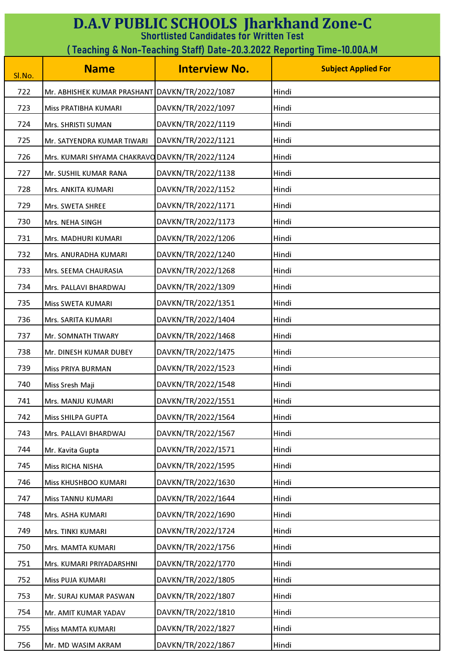| <b>D.A.V PUBLIC SCHOOLS Jharkhand Zone-C</b><br><b>Shortlisted Candidates for Written Test</b> |                                                                        |                      |                            |  |
|------------------------------------------------------------------------------------------------|------------------------------------------------------------------------|----------------------|----------------------------|--|
|                                                                                                | (Teaching & Non-Teaching Staff) Date-20.3.2022 Reporting Time-10.00A.M |                      |                            |  |
| Sl.No.                                                                                         | <b>Name</b>                                                            | <b>Interview No.</b> | <b>Subject Applied For</b> |  |
| 722                                                                                            | Mr. ABHISHEK KUMAR PRASHANT DAVKN/TR/2022/1087                         |                      | Hindi                      |  |
| 723                                                                                            | Miss PRATIBHA KUMARI                                                   | DAVKN/TR/2022/1097   | Hindi                      |  |
| 724                                                                                            | Mrs. SHRISTI SUMAN                                                     | DAVKN/TR/2022/1119   | Hindi                      |  |
| 725                                                                                            | Mr. SATYENDRA KUMAR TIWARI                                             | DAVKN/TR/2022/1121   | Hindi                      |  |
| 726                                                                                            | Mrs. KUMARI SHYAMA CHAKRAVO DAVKN/TR/2022/1124                         |                      | Hindi                      |  |
| 727                                                                                            | Mr. SUSHIL KUMAR RANA                                                  | DAVKN/TR/2022/1138   | Hindi                      |  |
| 728                                                                                            | Mrs. ANKITA KUMARI                                                     | DAVKN/TR/2022/1152   | Hindi                      |  |
| 729                                                                                            | Mrs. SWETA SHREE                                                       | DAVKN/TR/2022/1171   | Hindi                      |  |
| 730                                                                                            | Mrs. NEHA SINGH                                                        | DAVKN/TR/2022/1173   | Hindi                      |  |
| 731                                                                                            | Mrs. MADHURI KUMARI                                                    | DAVKN/TR/2022/1206   | Hindi                      |  |
| 732                                                                                            | Mrs. ANURADHA KUMARI                                                   | DAVKN/TR/2022/1240   | Hindi                      |  |
| 733                                                                                            | Mrs. SEEMA CHAURASIA                                                   | DAVKN/TR/2022/1268   | Hindi                      |  |
| 734                                                                                            | Mrs. PALLAVI BHARDWAJ                                                  | DAVKN/TR/2022/1309   | Hindi                      |  |
| 735                                                                                            | Miss SWETA KUMARI                                                      | DAVKN/TR/2022/1351   | Hindi                      |  |
| 736                                                                                            | Mrs. SARITA KUMARI                                                     | DAVKN/TR/2022/1404   | Hindi                      |  |
| 737                                                                                            | Mr. SOMNATH TIWARY                                                     | DAVKN/TR/2022/1468   | Hindi                      |  |
| 738                                                                                            | Mr. DINESH KUMAR DUBEY                                                 | DAVKN/TR/2022/1475   | Hindi                      |  |
| 739                                                                                            | Miss PRIYA BURMAN                                                      | DAVKN/TR/2022/1523   | Hindi                      |  |
| 740                                                                                            | Miss Sresh Maji                                                        | DAVKN/TR/2022/1548   | Hindi                      |  |
| 741                                                                                            | Mrs. MANJU KUMARI                                                      | DAVKN/TR/2022/1551   | Hindi                      |  |
| 742                                                                                            | <b>Miss SHILPA GUPTA</b>                                               | DAVKN/TR/2022/1564   | Hindi                      |  |
| 743                                                                                            | Mrs. PALLAVI BHARDWAJ                                                  | DAVKN/TR/2022/1567   | Hindi                      |  |
| 744                                                                                            | Mr. Kavita Gupta                                                       | DAVKN/TR/2022/1571   | Hindi                      |  |
| 745                                                                                            | Miss RICHA NISHA                                                       | DAVKN/TR/2022/1595   | Hindi                      |  |
| 746                                                                                            | Miss KHUSHBOO KUMARI                                                   | DAVKN/TR/2022/1630   | Hindi                      |  |
| 747                                                                                            | Miss TANNU KUMARI                                                      | DAVKN/TR/2022/1644   | Hindi                      |  |
| 748                                                                                            | Mrs. ASHA KUMARI                                                       | DAVKN/TR/2022/1690   | Hindi                      |  |
| 749                                                                                            | Mrs. TINKI KUMARI                                                      | DAVKN/TR/2022/1724   | Hindi                      |  |
| 750                                                                                            | Mrs. MAMTA KUMARI                                                      | DAVKN/TR/2022/1756   | Hindi                      |  |
| 751                                                                                            | Mrs. KUMARI PRIYADARSHNI                                               | DAVKN/TR/2022/1770   | Hindi                      |  |
| 752                                                                                            | Miss PUJA KUMARI                                                       | DAVKN/TR/2022/1805   | Hindi                      |  |
| 753                                                                                            | Mr. SURAJ KUMAR PASWAN                                                 | DAVKN/TR/2022/1807   | Hindi                      |  |
| 754                                                                                            | Mr. AMIT KUMAR YADAV                                                   | DAVKN/TR/2022/1810   | Hindi                      |  |
| 755                                                                                            | Miss MAMTA KUMARI                                                      | DAVKN/TR/2022/1827   | Hindi                      |  |
| 756                                                                                            | Mr. MD WASIM AKRAM                                                     | DAVKN/TR/2022/1867   | Hindi                      |  |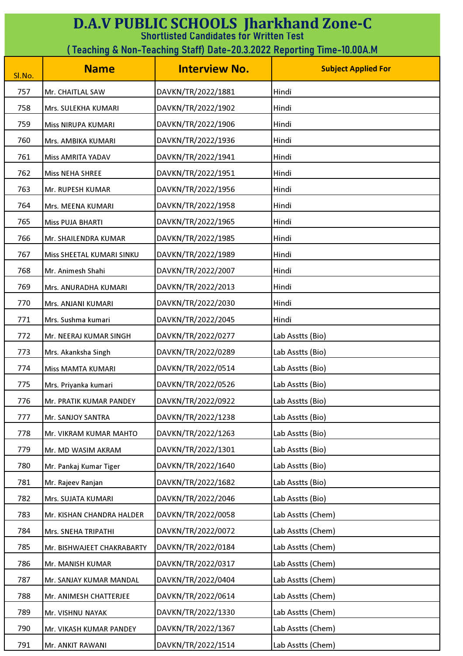| <b>D.A.V PUBLIC SCHOOLS Jharkhand Zone-C</b><br><b>Shortlisted Candidates for Written Test</b> |                                                                        |                      |                            |  |
|------------------------------------------------------------------------------------------------|------------------------------------------------------------------------|----------------------|----------------------------|--|
|                                                                                                | (Teaching & Non-Teaching Staff) Date-20.3.2022 Reporting Time-10.00A.M |                      |                            |  |
| Sl.No.                                                                                         | <b>Name</b>                                                            | <b>Interview No.</b> | <b>Subject Applied For</b> |  |
| 757                                                                                            | Mr. CHAITLAL SAW                                                       | DAVKN/TR/2022/1881   | Hindi                      |  |
| 758                                                                                            | Mrs. SULEKHA KUMARI                                                    | DAVKN/TR/2022/1902   | Hindi                      |  |
| 759                                                                                            | Miss NIRUPA KUMARI                                                     | DAVKN/TR/2022/1906   | Hindi                      |  |
| 760                                                                                            | Mrs. AMBIKA KUMARI                                                     | DAVKN/TR/2022/1936   | Hindi                      |  |
| 761                                                                                            | Miss AMRITA YADAV                                                      | DAVKN/TR/2022/1941   | Hindi                      |  |
| 762                                                                                            | <b>Miss NEHA SHREE</b>                                                 | DAVKN/TR/2022/1951   | Hindi                      |  |
| 763                                                                                            | Mr. RUPESH KUMAR                                                       | DAVKN/TR/2022/1956   | Hindi                      |  |
| 764                                                                                            | Mrs. MEENA KUMARI                                                      | DAVKN/TR/2022/1958   | Hindi                      |  |
| 765                                                                                            | Miss PUJA BHARTI                                                       | DAVKN/TR/2022/1965   | Hindi                      |  |
| 766                                                                                            | Mr. SHAILENDRA KUMAR                                                   | DAVKN/TR/2022/1985   | Hindi                      |  |
| 767                                                                                            | Miss SHEETAL KUMARI SINKU                                              | DAVKN/TR/2022/1989   | Hindi                      |  |
| 768                                                                                            | Mr. Animesh Shahi                                                      | DAVKN/TR/2022/2007   | Hindi                      |  |
| 769                                                                                            | Mrs. ANURADHA KUMARI                                                   | DAVKN/TR/2022/2013   | Hindi                      |  |
| 770                                                                                            | Mrs. ANJANI KUMARI                                                     | DAVKN/TR/2022/2030   | Hindi                      |  |
| 771                                                                                            | Mrs. Sushma kumari                                                     | DAVKN/TR/2022/2045   | Hindi                      |  |
| 772                                                                                            | Mr. NEERAJ KUMAR SINGH                                                 | DAVKN/TR/2022/0277   | Lab Asstts (Bio)           |  |
| 773                                                                                            | Mrs. Akanksha Singh                                                    | DAVKN/TR/2022/0289   | Lab Asstts (Bio)           |  |
| 774                                                                                            | <b>Miss MAMTA KUMARI</b>                                               | DAVKN/TR/2022/0514   | Lab Asstts (Bio)           |  |
| 775                                                                                            | Mrs. Priyanka kumari                                                   | DAVKN/TR/2022/0526   | Lab Asstts (Bio)           |  |
| 776                                                                                            | Mr. PRATIK KUMAR PANDEY                                                | DAVKN/TR/2022/0922   | Lab Asstts (Bio)           |  |
| 777                                                                                            | Mr. SANJOY SANTRA                                                      | DAVKN/TR/2022/1238   | Lab Asstts (Bio)           |  |
| 778                                                                                            | Mr. VIKRAM KUMAR MAHTO                                                 | DAVKN/TR/2022/1263   | Lab Asstts (Bio)           |  |
| 779                                                                                            | Mr. MD WASIM AKRAM                                                     | DAVKN/TR/2022/1301   | Lab Asstts (Bio)           |  |
| 780                                                                                            | Mr. Pankaj Kumar Tiger                                                 | DAVKN/TR/2022/1640   | Lab Asstts (Bio)           |  |
| 781                                                                                            | Mr. Rajeev Ranjan                                                      | DAVKN/TR/2022/1682   | Lab Asstts (Bio)           |  |
| 782                                                                                            | Mrs. SUJATA KUMARI                                                     | DAVKN/TR/2022/2046   | Lab Asstts (Bio)           |  |
| 783                                                                                            | Mr. KISHAN CHANDRA HALDER                                              | DAVKN/TR/2022/0058   | Lab Asstts (Chem)          |  |
| 784                                                                                            | Mrs. SNEHA TRIPATHI                                                    | DAVKN/TR/2022/0072   | Lab Asstts (Chem)          |  |
| 785                                                                                            | Mr. BISHWAJEET CHAKRABARTY                                             | DAVKN/TR/2022/0184   | Lab Asstts (Chem)          |  |
| 786                                                                                            | Mr. MANISH KUMAR                                                       | DAVKN/TR/2022/0317   | Lab Asstts (Chem)          |  |
| 787                                                                                            | Mr. SANJAY KUMAR MANDAL                                                | DAVKN/TR/2022/0404   | Lab Asstts (Chem)          |  |
| 788                                                                                            | Mr. ANIMESH CHATTERJEE                                                 | DAVKN/TR/2022/0614   | Lab Asstts (Chem)          |  |
| 789                                                                                            | Mr. VISHNU NAYAK                                                       | DAVKN/TR/2022/1330   | Lab Asstts (Chem)          |  |
| 790                                                                                            | Mr. VIKASH KUMAR PANDEY                                                | DAVKN/TR/2022/1367   | Lab Asstts (Chem)          |  |
| 791                                                                                            | Mr. ANKIT RAWANI                                                       | DAVKN/TR/2022/1514   | Lab Asstts (Chem)          |  |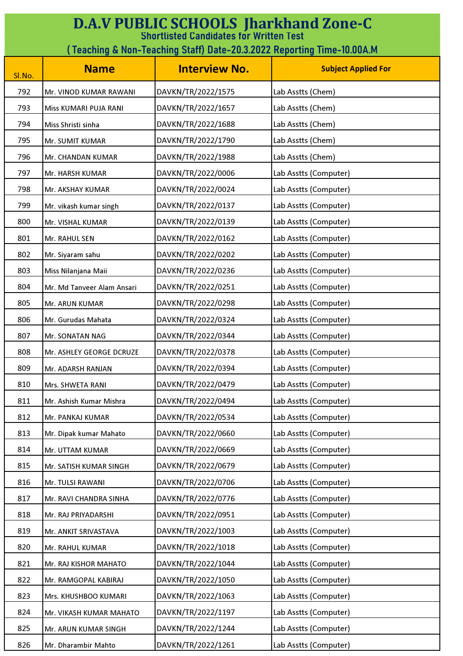| <b>D.A.V PUBLIC SCHOOLS Jharkhand Zone-C</b><br><b>Shortlisted Candidates for Written Test</b> |                                                                         |                      |                            |  |
|------------------------------------------------------------------------------------------------|-------------------------------------------------------------------------|----------------------|----------------------------|--|
|                                                                                                | ( Teaching & Non-Teaching Staff) Date-20.3.2022 Reporting Time-10.00A.M |                      |                            |  |
| Sl.No.                                                                                         | <b>Name</b>                                                             | <b>Interview No.</b> | <b>Subject Applied For</b> |  |
| 792                                                                                            | Mr. VINOD KUMAR RAWANI                                                  | DAVKN/TR/2022/1575   | Lab Asstts (Chem)          |  |
| 793                                                                                            | Miss KUMARI PUJA RANI                                                   | DAVKN/TR/2022/1657   | Lab Asstts (Chem)          |  |
| 794                                                                                            | Miss Shristi sinha                                                      | DAVKN/TR/2022/1688   | Lab Asstts (Chem)          |  |
| 795                                                                                            | Mr. SUMIT KUMAR                                                         | DAVKN/TR/2022/1790   | Lab Asstts (Chem)          |  |
| 796                                                                                            | Mr. CHANDAN KUMAR                                                       | DAVKN/TR/2022/1988   | Lab Asstts (Chem)          |  |
| 797                                                                                            | Mr. HARSH KUMAR                                                         | DAVKN/TR/2022/0006   | Lab Asstts (Computer)      |  |
| 798                                                                                            | Mr. AKSHAY KUMAR                                                        | DAVKN/TR/2022/0024   | Lab Asstts (Computer)      |  |
| 799                                                                                            | Mr. vikash kumar singh                                                  | DAVKN/TR/2022/0137   | Lab Asstts (Computer)      |  |
| 800                                                                                            | Mr. VISHAL KUMAR                                                        | DAVKN/TR/2022/0139   | Lab Asstts (Computer)      |  |
| 801                                                                                            | Mr. RAHUL SEN                                                           | DAVKN/TR/2022/0162   | Lab Asstts (Computer)      |  |
| 802                                                                                            | Mr. Siyaram sahu                                                        | DAVKN/TR/2022/0202   | Lab Asstts (Computer)      |  |
| 803                                                                                            | Miss Nilanjana Maii                                                     | DAVKN/TR/2022/0236   | Lab Asstts (Computer)      |  |
| 804                                                                                            | Mr. Md Tanveer Alam Ansari                                              | DAVKN/TR/2022/0251   | Lab Asstts (Computer)      |  |
| 805                                                                                            | Mr. ARUN KUMAR                                                          | DAVKN/TR/2022/0298   | Lab Asstts (Computer)      |  |
| 806                                                                                            | Mr. Gurudas Mahata                                                      | DAVKN/TR/2022/0324   | Lab Asstts (Computer)      |  |
| 807                                                                                            | Mr. SONATAN NAG                                                         | DAVKN/TR/2022/0344   | Lab Asstts (Computer)      |  |
| 808                                                                                            | Mr. ASHLEY GEORGE DCRUZE                                                | DAVKN/TR/2022/0378   | Lab Asstts (Computer)      |  |
| 809                                                                                            | Mr. ADARSH RANJAN                                                       | DAVKN/TR/2022/0394   | Lab Asstts (Computer)      |  |
| 810                                                                                            | Mrs. SHWETA RANI                                                        | DAVKN/TR/2022/0479   | Lab Asstts (Computer)      |  |
| 811                                                                                            | Mr. Ashish Kumar Mishra                                                 | DAVKN/TR/2022/0494   | Lab Asstts (Computer)      |  |
| 812                                                                                            | Mr. PANKAJ KUMAR                                                        | DAVKN/TR/2022/0534   | Lab Asstts (Computer)      |  |
| 813                                                                                            | Mr. Dipak kumar Mahato                                                  | DAVKN/TR/2022/0660   | Lab Asstts (Computer)      |  |
| 814                                                                                            | Mr. UTTAM KUMAR                                                         | DAVKN/TR/2022/0669   | Lab Asstts (Computer)      |  |
| 815                                                                                            | Mr. SATISH KUMAR SINGH                                                  | DAVKN/TR/2022/0679   | Lab Asstts (Computer)      |  |
| 816                                                                                            | Mr. TULSI RAWANI                                                        | DAVKN/TR/2022/0706   | Lab Asstts (Computer)      |  |
| 817                                                                                            | Mr. RAVI CHANDRA SINHA                                                  | DAVKN/TR/2022/0776   | Lab Asstts (Computer)      |  |
| 818                                                                                            | Mr. RAJ PRIYADARSHI                                                     | DAVKN/TR/2022/0951   | Lab Asstts (Computer)      |  |
| 819                                                                                            | Mr. ANKIT SRIVASTAVA                                                    | DAVKN/TR/2022/1003   | Lab Asstts (Computer)      |  |
| 820                                                                                            | Mr. RAHUL KUMAR                                                         | DAVKN/TR/2022/1018   | Lab Asstts (Computer)      |  |
| 821                                                                                            | Mr. RAJ KISHOR MAHATO                                                   | DAVKN/TR/2022/1044   | Lab Asstts (Computer)      |  |
| 822                                                                                            | Mr. RAMGOPAL KABIRAJ                                                    | DAVKN/TR/2022/1050   | Lab Asstts (Computer)      |  |
| 823                                                                                            | Mrs. KHUSHBOO KUMARI                                                    | DAVKN/TR/2022/1063   | Lab Asstts (Computer)      |  |
| 824                                                                                            | Mr. VIKASH KUMAR MAHATO                                                 | DAVKN/TR/2022/1197   | Lab Asstts (Computer)      |  |
| 825                                                                                            | Mr. ARUN KUMAR SINGH                                                    | DAVKN/TR/2022/1244   | Lab Asstts (Computer)      |  |
| 826                                                                                            | Mr. Dharambir Mahto                                                     | DAVKN/TR/2022/1261   | Lab Asstts (Computer)      |  |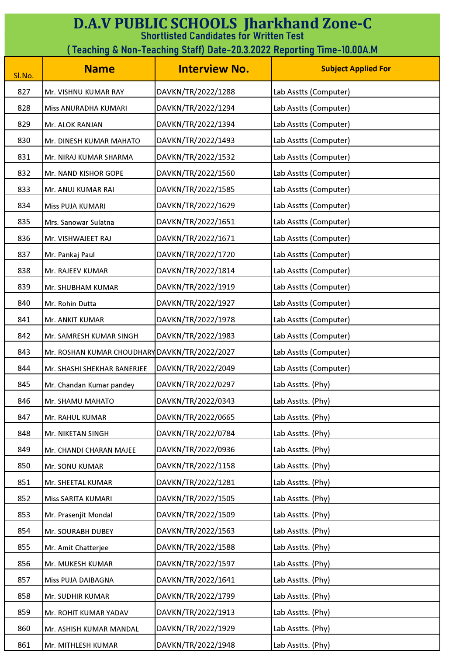| <b>D.A.V PUBLIC SCHOOLS Jharkhand Zone-C</b><br><b>Shortlisted Candidates for Written Test</b> |                                                                        |                      |                            |  |
|------------------------------------------------------------------------------------------------|------------------------------------------------------------------------|----------------------|----------------------------|--|
|                                                                                                | (Teaching & Non-Teaching Staff) Date-20.3.2022 Reporting Time-10.00A.M |                      |                            |  |
| Sl.No.                                                                                         | <b>Name</b>                                                            | <b>Interview No.</b> | <b>Subject Applied For</b> |  |
| 827                                                                                            | Mr. VISHNU KUMAR RAY                                                   | DAVKN/TR/2022/1288   | Lab Asstts (Computer)      |  |
| 828                                                                                            | Miss ANURADHA KUMARI                                                   | DAVKN/TR/2022/1294   | Lab Asstts (Computer)      |  |
| 829                                                                                            | Mr. ALOK RANJAN                                                        | DAVKN/TR/2022/1394   | Lab Asstts (Computer)      |  |
| 830                                                                                            | Mr. DINESH KUMAR MAHATO                                                | DAVKN/TR/2022/1493   | Lab Asstts (Computer)      |  |
| 831                                                                                            | Mr. NIRAJ KUMAR SHARMA                                                 | DAVKN/TR/2022/1532   | Lab Asstts (Computer)      |  |
| 832                                                                                            | Mr. NAND KISHOR GOPE                                                   | DAVKN/TR/2022/1560   | Lab Asstts (Computer)      |  |
| 833                                                                                            | Mr. ANUJ KUMAR RAI                                                     | DAVKN/TR/2022/1585   | Lab Asstts (Computer)      |  |
| 834                                                                                            | Miss PUJA KUMARI                                                       | DAVKN/TR/2022/1629   | Lab Asstts (Computer)      |  |
| 835                                                                                            | Mrs. Sanowar Sulatna                                                   | DAVKN/TR/2022/1651   | Lab Asstts (Computer)      |  |
| 836                                                                                            | Mr. VISHWAJEET RAJ                                                     | DAVKN/TR/2022/1671   | Lab Asstts (Computer)      |  |
| 837                                                                                            | Mr. Pankaj Paul                                                        | DAVKN/TR/2022/1720   | Lab Asstts (Computer)      |  |
| 838                                                                                            | Mr. RAJEEV KUMAR                                                       | DAVKN/TR/2022/1814   | Lab Asstts (Computer)      |  |
| 839                                                                                            | Mr. SHUBHAM KUMAR                                                      | DAVKN/TR/2022/1919   | Lab Asstts (Computer)      |  |
| 840                                                                                            | Mr. Rohin Dutta                                                        | DAVKN/TR/2022/1927   | Lab Asstts (Computer)      |  |
| 841                                                                                            | Mr. ANKIT KUMAR                                                        | DAVKN/TR/2022/1978   | Lab Asstts (Computer)      |  |
| 842                                                                                            | Mr. SAMRESH KUMAR SINGH                                                | DAVKN/TR/2022/1983   | Lab Asstts (Computer)      |  |
| 843                                                                                            | Mr. ROSHAN KUMAR CHOUDHARY DAVKN/TR/2022/2027                          |                      | Lab Asstts (Computer)      |  |
| 844                                                                                            | Mr. SHASHI SHEKHAR BANERJEE                                            | DAVKN/TR/2022/2049   | Lab Asstts (Computer)      |  |
| 845                                                                                            | Mr. Chandan Kumar pandey                                               | DAVKN/TR/2022/0297   | Lab Asstts. (Phy)          |  |
| 846                                                                                            | Mr. SHAMU MAHATO                                                       | DAVKN/TR/2022/0343   | Lab Asstts. (Phy)          |  |
| 847                                                                                            | Mr. RAHUL KUMAR                                                        | DAVKN/TR/2022/0665   | Lab Asstts. (Phy)          |  |
| 848                                                                                            | Mr. NIKETAN SINGH                                                      | DAVKN/TR/2022/0784   | Lab Asstts. (Phy)          |  |
| 849                                                                                            | Mr. CHANDI CHARAN MAJEE                                                | DAVKN/TR/2022/0936   | Lab Asstts. (Phy)          |  |
| 850                                                                                            | Mr. SONU KUMAR                                                         | DAVKN/TR/2022/1158   | Lab Asstts. (Phy)          |  |
| 851                                                                                            | Mr. SHEETAL KUMAR                                                      | DAVKN/TR/2022/1281   | Lab Asstts. (Phy)          |  |
| 852                                                                                            | Miss SARITA KUMARI                                                     | DAVKN/TR/2022/1505   | Lab Asstts. (Phy)          |  |
| 853                                                                                            | Mr. Prasenjit Mondal                                                   | DAVKN/TR/2022/1509   | Lab Asstts. (Phy)          |  |
| 854                                                                                            | Mr. SOURABH DUBEY                                                      | DAVKN/TR/2022/1563   | Lab Asstts. (Phy)          |  |
| 855                                                                                            | Mr. Amit Chatterjee                                                    | DAVKN/TR/2022/1588   | Lab Asstts. (Phy)          |  |
| 856                                                                                            | Mr. MUKESH KUMAR                                                       | DAVKN/TR/2022/1597   | Lab Asstts. (Phy)          |  |
| 857                                                                                            | Miss PUJA DAIBAGNA                                                     | DAVKN/TR/2022/1641   | Lab Asstts. (Phy)          |  |
| 858                                                                                            | Mr. SUDHIR KUMAR                                                       | DAVKN/TR/2022/1799   | Lab Asstts. (Phy)          |  |
| 859                                                                                            | Mr. ROHIT KUMAR YADAV                                                  | DAVKN/TR/2022/1913   | Lab Asstts. (Phy)          |  |
| 860                                                                                            | Mr. ASHISH KUMAR MANDAL                                                | DAVKN/TR/2022/1929   | Lab Asstts. (Phy)          |  |
| 861                                                                                            | Mr. MITHLESH KUMAR                                                     | DAVKN/TR/2022/1948   | Lab Asstts. (Phy)          |  |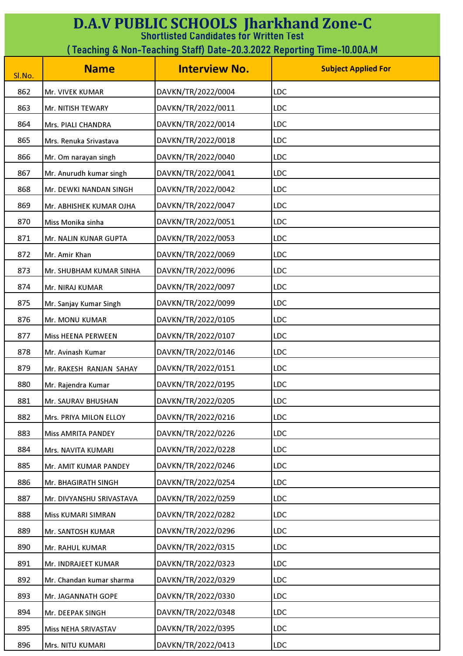| <b>D.A.V PUBLIC SCHOOLS Jharkhand Zone-C</b><br><b>Shortlisted Candidates for Written Test</b> |                                                                        |                      |                            |  |
|------------------------------------------------------------------------------------------------|------------------------------------------------------------------------|----------------------|----------------------------|--|
|                                                                                                | (Teaching & Non-Teaching Staff) Date-20.3.2022 Reporting Time-10.00A.M |                      |                            |  |
| Sl.No.                                                                                         | <b>Name</b>                                                            | <b>Interview No.</b> | <b>Subject Applied For</b> |  |
| 862                                                                                            | Mr. VIVEK KUMAR                                                        | DAVKN/TR/2022/0004   | <b>LDC</b>                 |  |
| 863                                                                                            | Mr. NITISH TEWARY                                                      | DAVKN/TR/2022/0011   | <b>LDC</b>                 |  |
| 864                                                                                            | Mrs. PIALI CHANDRA                                                     | DAVKN/TR/2022/0014   | <b>LDC</b>                 |  |
| 865                                                                                            | Mrs. Renuka Srivastava                                                 | DAVKN/TR/2022/0018   | <b>LDC</b>                 |  |
| 866                                                                                            | Mr. Om narayan singh                                                   | DAVKN/TR/2022/0040   | <b>LDC</b>                 |  |
| 867                                                                                            | Mr. Anurudh kumar singh                                                | DAVKN/TR/2022/0041   | <b>LDC</b>                 |  |
| 868                                                                                            | Mr. DEWKI NANDAN SINGH                                                 | DAVKN/TR/2022/0042   | LDC                        |  |
| 869                                                                                            | Mr. ABHISHEK KUMAR OJHA                                                | DAVKN/TR/2022/0047   | <b>LDC</b>                 |  |
| 870                                                                                            | Miss Monika sinha                                                      | DAVKN/TR/2022/0051   | <b>LDC</b>                 |  |
| 871                                                                                            | Mr. NALIN KUNAR GUPTA                                                  | DAVKN/TR/2022/0053   | <b>LDC</b>                 |  |
| 872                                                                                            | Mr. Amir Khan                                                          | DAVKN/TR/2022/0069   | <b>LDC</b>                 |  |
| 873                                                                                            | Mr. SHUBHAM KUMAR SINHA                                                | DAVKN/TR/2022/0096   | <b>LDC</b>                 |  |
| 874                                                                                            | Mr. NIRAJ KUMAR                                                        | DAVKN/TR/2022/0097   | <b>LDC</b>                 |  |
| 875                                                                                            | Mr. Sanjay Kumar Singh                                                 | DAVKN/TR/2022/0099   | <b>LDC</b>                 |  |
| 876                                                                                            | Mr. MONU KUMAR                                                         | DAVKN/TR/2022/0105   | <b>LDC</b>                 |  |
| 877                                                                                            | <b>Miss HEENA PERWEEN</b>                                              | DAVKN/TR/2022/0107   | LDC                        |  |
| 878                                                                                            | Mr. Avinash Kumar                                                      | DAVKN/TR/2022/0146   | LDC                        |  |
| 879                                                                                            | Mr. RAKESH RANJAN SAHAY                                                | DAVKN/TR/2022/0151   | <b>LDC</b>                 |  |
| 880                                                                                            | Mr. Rajendra Kumar                                                     | DAVKN/TR/2022/0195   | LDC                        |  |
| 881                                                                                            | Mr. SAURAV BHUSHAN                                                     | DAVKN/TR/2022/0205   | <b>LDC</b>                 |  |
| 882                                                                                            | Mrs. PRIYA MILON ELLOY                                                 | DAVKN/TR/2022/0216   | LDC                        |  |
| 883                                                                                            | <b>Miss AMRITA PANDEY</b>                                              | DAVKN/TR/2022/0226   | <b>LDC</b>                 |  |
| 884                                                                                            | Mrs. NAVITA KUMARI                                                     | DAVKN/TR/2022/0228   | <b>LDC</b>                 |  |
| 885                                                                                            | Mr. AMIT KUMAR PANDEY                                                  | DAVKN/TR/2022/0246   | <b>LDC</b>                 |  |
| 886                                                                                            | Mr. BHAGIRATH SINGH                                                    | DAVKN/TR/2022/0254   | <b>LDC</b>                 |  |
| 887                                                                                            | Mr. DIVYANSHU SRIVASTAVA                                               | DAVKN/TR/2022/0259   | <b>LDC</b>                 |  |
| 888                                                                                            | Miss KUMARI SIMRAN                                                     | DAVKN/TR/2022/0282   | LDC                        |  |
| 889                                                                                            | Mr. SANTOSH KUMAR                                                      | DAVKN/TR/2022/0296   | <b>LDC</b>                 |  |
| 890                                                                                            | Mr. RAHUL KUMAR                                                        | DAVKN/TR/2022/0315   | LDC                        |  |
| 891                                                                                            | Mr. INDRAJEET KUMAR                                                    | DAVKN/TR/2022/0323   | <b>LDC</b>                 |  |
| 892                                                                                            | Mr. Chandan kumar sharma                                               | DAVKN/TR/2022/0329   | LDC                        |  |
| 893                                                                                            | Mr. JAGANNATH GOPE                                                     | DAVKN/TR/2022/0330   | <b>LDC</b>                 |  |
| 894                                                                                            | Mr. DEEPAK SINGH                                                       | DAVKN/TR/2022/0348   | <b>LDC</b>                 |  |
| 895                                                                                            | Miss NEHA SRIVASTAV                                                    | DAVKN/TR/2022/0395   | <b>LDC</b>                 |  |
| 896                                                                                            | Mrs. NITU KUMARI                                                       | DAVKN/TR/2022/0413   | <b>LDC</b>                 |  |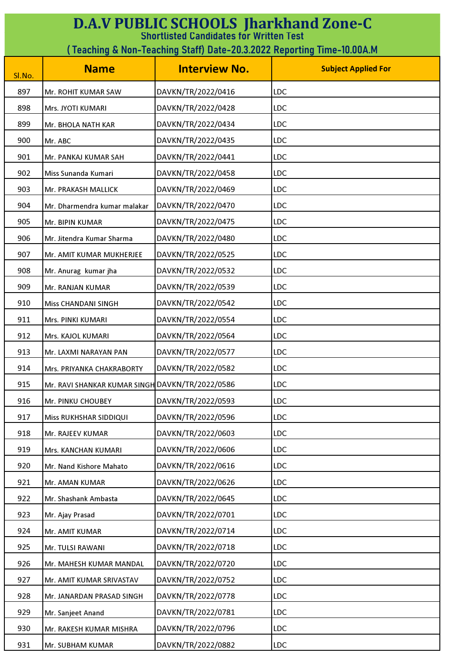| <b>D.A.V PUBLIC SCHOOLS Jharkhand Zone-C</b><br><b>Shortlisted Candidates for Written Test</b> |                                                                        |                      |                            |  |
|------------------------------------------------------------------------------------------------|------------------------------------------------------------------------|----------------------|----------------------------|--|
|                                                                                                | (Teaching & Non-Teaching Staff) Date-20.3.2022 Reporting Time-10.00A.M |                      |                            |  |
| Sl.No.                                                                                         | <b>Name</b>                                                            | <b>Interview No.</b> | <b>Subject Applied For</b> |  |
| 897                                                                                            | Mr. ROHIT KUMAR SAW                                                    | DAVKN/TR/2022/0416   | <b>LDC</b>                 |  |
| 898                                                                                            | Mrs. JYOTI KUMARI                                                      | DAVKN/TR/2022/0428   | <b>LDC</b>                 |  |
| 899                                                                                            | Mr. BHOLA NATH KAR                                                     | DAVKN/TR/2022/0434   | <b>LDC</b>                 |  |
| 900                                                                                            | Mr. ABC                                                                | DAVKN/TR/2022/0435   | <b>LDC</b>                 |  |
| 901                                                                                            | Mr. PANKAJ KUMAR SAH                                                   | DAVKN/TR/2022/0441   | <b>LDC</b>                 |  |
| 902                                                                                            | Miss Sunanda Kumari                                                    | DAVKN/TR/2022/0458   | <b>LDC</b>                 |  |
| 903                                                                                            | Mr. PRAKASH MALLICK                                                    | DAVKN/TR/2022/0469   | <b>LDC</b>                 |  |
| 904                                                                                            | Mr. Dharmendra kumar malakar                                           | DAVKN/TR/2022/0470   | <b>LDC</b>                 |  |
| 905                                                                                            | <b>Mr. BIPIN KUMAR</b>                                                 | DAVKN/TR/2022/0475   | <b>LDC</b>                 |  |
| 906                                                                                            | Mr. Jitendra Kumar Sharma                                              | DAVKN/TR/2022/0480   | <b>LDC</b>                 |  |
| 907                                                                                            | Mr. AMIT KUMAR MUKHERJEE                                               | DAVKN/TR/2022/0525   | <b>LDC</b>                 |  |
| 908                                                                                            | Mr. Anurag kumar jha                                                   | DAVKN/TR/2022/0532   | LDC                        |  |
| 909                                                                                            | Mr. RANJAN KUMAR                                                       | DAVKN/TR/2022/0539   | <b>LDC</b>                 |  |
| 910                                                                                            | <b>Miss CHANDANI SINGH</b>                                             | DAVKN/TR/2022/0542   | <b>LDC</b>                 |  |
| 911                                                                                            | Mrs. PINKI KUMARI                                                      | DAVKN/TR/2022/0554   | <b>LDC</b>                 |  |
| 912                                                                                            | Mrs. KAJOL KUMARI                                                      | DAVKN/TR/2022/0564   | <b>LDC</b>                 |  |
| 913                                                                                            | Mr. LAXMI NARAYAN PAN                                                  | DAVKN/TR/2022/0577   | LDC                        |  |
| 914                                                                                            | Mrs. PRIYANKA CHAKRABORTY                                              | DAVKN/TR/2022/0582   | <b>LDC</b>                 |  |
| 915                                                                                            | Mr. RAVI SHANKAR KUMAR SINGH DAVKN/TR/2022/0586                        |                      | <b>LDC</b>                 |  |
| 916                                                                                            | Mr. PINKU CHOUBEY                                                      | DAVKN/TR/2022/0593   | <b>LDC</b>                 |  |
| 917                                                                                            | Miss RUKHSHAR SIDDIQUI                                                 | DAVKN/TR/2022/0596   | <b>LDC</b>                 |  |
| 918                                                                                            | Mr. RAJEEV KUMAR                                                       | DAVKN/TR/2022/0603   | <b>LDC</b>                 |  |
| 919                                                                                            | Mrs. KANCHAN KUMARI                                                    | DAVKN/TR/2022/0606   | LDC                        |  |
| 920                                                                                            | Mr. Nand Kishore Mahato                                                | DAVKN/TR/2022/0616   | <b>LDC</b>                 |  |
| 921                                                                                            | Mr. AMAN KUMAR                                                         | DAVKN/TR/2022/0626   | LDC                        |  |
| 922                                                                                            | Mr. Shashank Ambasta                                                   | DAVKN/TR/2022/0645   | <b>LDC</b>                 |  |
| 923                                                                                            | Mr. Ajay Prasad                                                        | DAVKN/TR/2022/0701   | <b>LDC</b>                 |  |
| 924                                                                                            | Mr. AMIT KUMAR                                                         | DAVKN/TR/2022/0714   | <b>LDC</b>                 |  |
| 925                                                                                            | Mr. TULSI RAWANI                                                       | DAVKN/TR/2022/0718   | <b>LDC</b>                 |  |
| 926                                                                                            | Mr. MAHESH KUMAR MANDAL                                                | DAVKN/TR/2022/0720   | <b>LDC</b>                 |  |
| 927                                                                                            | Mr. AMIT KUMAR SRIVASTAV                                               | DAVKN/TR/2022/0752   | <b>LDC</b>                 |  |
| 928                                                                                            | Mr. JANARDAN PRASAD SINGH                                              | DAVKN/TR/2022/0778   | <b>LDC</b>                 |  |
| 929                                                                                            | Mr. Sanjeet Anand                                                      | DAVKN/TR/2022/0781   | <b>LDC</b>                 |  |
| 930                                                                                            | Mr. RAKESH KUMAR MISHRA                                                | DAVKN/TR/2022/0796   | <b>LDC</b>                 |  |
| 931                                                                                            | Mr. SUBHAM KUMAR                                                       | DAVKN/TR/2022/0882   | <b>LDC</b>                 |  |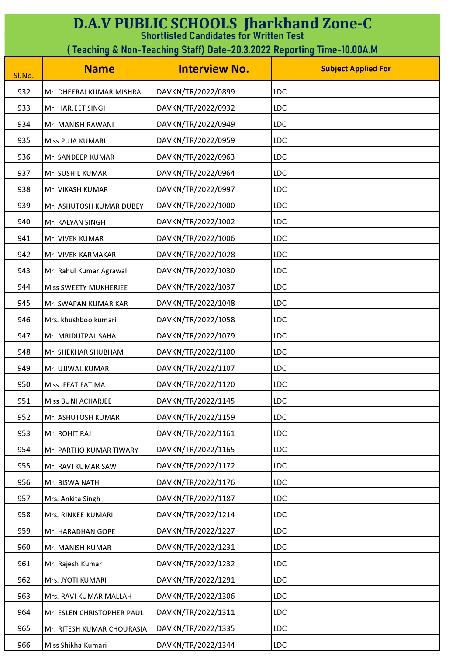| <b>D.A.V PUBLIC SCHOOLS Jharkhand Zone-C</b><br><b>Shortlisted Candidates for Written Test</b> |                                                                        |                      |                            |  |
|------------------------------------------------------------------------------------------------|------------------------------------------------------------------------|----------------------|----------------------------|--|
|                                                                                                | (Teaching & Non-Teaching Staff) Date-20.3.2022 Reporting Time-10.00A.M |                      |                            |  |
| Sl.No.                                                                                         | <b>Name</b>                                                            | <b>Interview No.</b> | <b>Subject Applied For</b> |  |
| 932                                                                                            | Mr. DHEERAJ KUMAR MISHRA                                               | DAVKN/TR/2022/0899   | <b>LDC</b>                 |  |
| 933                                                                                            | Mr. HARJEET SINGH                                                      | DAVKN/TR/2022/0932   | <b>LDC</b>                 |  |
| 934                                                                                            | Mr. MANISH RAWANI                                                      | DAVKN/TR/2022/0949   | <b>LDC</b>                 |  |
| 935                                                                                            | Miss PUJA KUMARI                                                       | DAVKN/TR/2022/0959   | LDC                        |  |
| 936                                                                                            | Mr. SANDEEP KUMAR                                                      | DAVKN/TR/2022/0963   | <b>LDC</b>                 |  |
| 937                                                                                            | Mr. SUSHIL KUMAR                                                       | DAVKN/TR/2022/0964   | <b>LDC</b>                 |  |
| 938                                                                                            | Mr. VIKASH KUMAR                                                       | DAVKN/TR/2022/0997   | LDC                        |  |
| 939                                                                                            | Mr. ASHUTOSH KUMAR DUBEY                                               | DAVKN/TR/2022/1000   | <b>LDC</b>                 |  |
| 940                                                                                            | Mr. KALYAN SINGH                                                       | DAVKN/TR/2022/1002   | <b>LDC</b>                 |  |
| 941                                                                                            | Mr. VIVEK KUMAR                                                        | DAVKN/TR/2022/1006   | <b>LDC</b>                 |  |
| 942                                                                                            | Mr. VIVEK KARMAKAR                                                     | DAVKN/TR/2022/1028   | <b>LDC</b>                 |  |
| 943                                                                                            | Mr. Rahul Kumar Agrawal                                                | DAVKN/TR/2022/1030   | <b>LDC</b>                 |  |
| 944                                                                                            | Miss SWEETY MUKHERJEE                                                  | DAVKN/TR/2022/1037   | <b>LDC</b>                 |  |
| 945                                                                                            | Mr. SWAPAN KUMAR KAR                                                   | DAVKN/TR/2022/1048   | LDC                        |  |
| 946                                                                                            | Mrs. khushboo kumari                                                   | DAVKN/TR/2022/1058   | <b>LDC</b>                 |  |
| 947                                                                                            | Mr. MRIDUTPAL SAHA                                                     | DAVKN/TR/2022/1079   | LDC                        |  |
| 948                                                                                            | Mr. SHEKHAR SHUBHAM                                                    | DAVKN/TR/2022/1100   | LDC                        |  |
| 949                                                                                            | Mr. UJJWAL KUMAR                                                       | DAVKN/TR/2022/1107   | <b>LDC</b>                 |  |
| 950                                                                                            | Miss IFFAT FATIMA                                                      | DAVKN/TR/2022/1120   | <b>LDC</b>                 |  |
| 951                                                                                            | <b>Miss BUNI ACHARJEE</b>                                              | DAVKN/TR/2022/1145   | <b>LDC</b>                 |  |
| 952                                                                                            | Mr. ASHUTOSH KUMAR                                                     | DAVKN/TR/2022/1159   | <b>LDC</b>                 |  |
| 953                                                                                            | Mr. ROHIT RAJ                                                          | DAVKN/TR/2022/1161   | <b>LDC</b>                 |  |
| 954                                                                                            | Mr. PARTHO KUMAR TIWARY                                                | DAVKN/TR/2022/1165   | <b>LDC</b>                 |  |
| 955                                                                                            | Mr. RAVI KUMAR SAW                                                     | DAVKN/TR/2022/1172   | <b>LDC</b>                 |  |
| 956                                                                                            | Mr. BISWA NATH                                                         | DAVKN/TR/2022/1176   | LDC                        |  |
| 957                                                                                            | Mrs. Ankita Singh                                                      | DAVKN/TR/2022/1187   | <b>LDC</b>                 |  |
| 958                                                                                            | Mrs. RINKEE KUMARI                                                     | DAVKN/TR/2022/1214   | LDC                        |  |
| 959                                                                                            | Mr. HARADHAN GOPE                                                      | DAVKN/TR/2022/1227   | <b>LDC</b>                 |  |
| 960                                                                                            | Mr. MANISH KUMAR                                                       | DAVKN/TR/2022/1231   | <b>LDC</b>                 |  |
| 961                                                                                            | Mr. Rajesh Kumar                                                       | DAVKN/TR/2022/1232   | <b>LDC</b>                 |  |
| 962                                                                                            | Mrs. JYOTI KUMARI                                                      | DAVKN/TR/2022/1291   | <b>LDC</b>                 |  |
| 963                                                                                            | Mrs. RAVI KUMAR MALLAH                                                 | DAVKN/TR/2022/1306   | <b>LDC</b>                 |  |
| 964                                                                                            | Mr. ESLEN CHRISTOPHER PAUL                                             | DAVKN/TR/2022/1311   | LDC                        |  |
| 965                                                                                            | Mr. RITESH KUMAR CHOURASIA                                             | DAVKN/TR/2022/1335   | <b>LDC</b>                 |  |
| 966                                                                                            | Miss Shikha Kumari                                                     | DAVKN/TR/2022/1344   | <b>LDC</b>                 |  |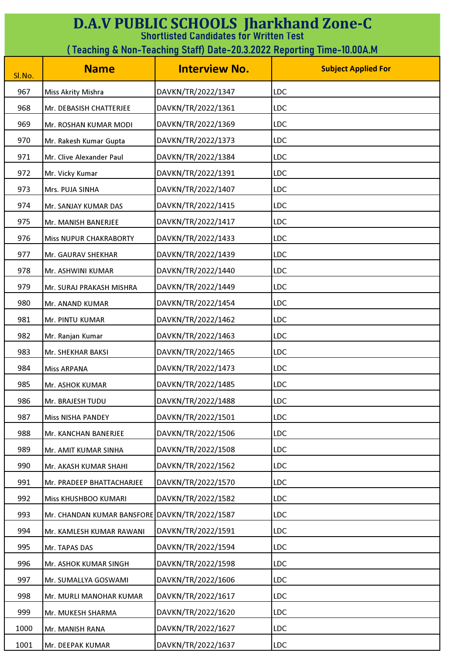| <b>D.A.V PUBLIC SCHOOLS Jharkhand Zone-C</b><br><b>Shortlisted Candidates for Written Test</b> |                                                                        |                      |                            |  |
|------------------------------------------------------------------------------------------------|------------------------------------------------------------------------|----------------------|----------------------------|--|
|                                                                                                | (Teaching & Non-Teaching Staff) Date-20.3.2022 Reporting Time-10.00A.M |                      |                            |  |
| Sl.No.                                                                                         | <b>Name</b>                                                            | <b>Interview No.</b> | <b>Subject Applied For</b> |  |
| 967                                                                                            | Miss Akrity Mishra                                                     | DAVKN/TR/2022/1347   | <b>LDC</b>                 |  |
| 968                                                                                            | Mr. DEBASISH CHATTERJEE                                                | DAVKN/TR/2022/1361   | <b>LDC</b>                 |  |
| 969                                                                                            | Mr. ROSHAN KUMAR MODI                                                  | DAVKN/TR/2022/1369   | <b>LDC</b>                 |  |
| 970                                                                                            | Mr. Rakesh Kumar Gupta                                                 | DAVKN/TR/2022/1373   | <b>LDC</b>                 |  |
| 971                                                                                            | Mr. Clive Alexander Paul                                               | DAVKN/TR/2022/1384   | <b>LDC</b>                 |  |
| 972                                                                                            | Mr. Vicky Kumar                                                        | DAVKN/TR/2022/1391   | <b>LDC</b>                 |  |
| 973                                                                                            | Mrs. PUJA SINHA                                                        | DAVKN/TR/2022/1407   | <b>LDC</b>                 |  |
| 974                                                                                            | Mr. SANJAY KUMAR DAS                                                   | DAVKN/TR/2022/1415   | <b>LDC</b>                 |  |
| 975                                                                                            | Mr. MANISH BANERJEE                                                    | DAVKN/TR/2022/1417   | <b>LDC</b>                 |  |
| 976                                                                                            | <b>Miss NUPUR CHAKRABORTY</b>                                          | DAVKN/TR/2022/1433   | <b>LDC</b>                 |  |
| 977                                                                                            | Mr. GAURAV SHEKHAR                                                     | DAVKN/TR/2022/1439   | <b>LDC</b>                 |  |
| 978                                                                                            | Mr. ASHWINI KUMAR                                                      | DAVKN/TR/2022/1440   | LDC                        |  |
| 979                                                                                            | Mr. SURAJ PRAKASH MISHRA                                               | DAVKN/TR/2022/1449   | <b>LDC</b>                 |  |
| 980                                                                                            | Mr. ANAND KUMAR                                                        | DAVKN/TR/2022/1454   | <b>LDC</b>                 |  |
| 981                                                                                            | Mr. PINTU KUMAR                                                        | DAVKN/TR/2022/1462   | <b>LDC</b>                 |  |
| 982                                                                                            | Mr. Ranjan Kumar                                                       | DAVKN/TR/2022/1463   | <b>LDC</b>                 |  |
| 983                                                                                            | Mr. SHEKHAR BAKSI                                                      | DAVKN/TR/2022/1465   | LDC                        |  |
| 984                                                                                            | <b>Miss ARPANA</b>                                                     | DAVKN/TR/2022/1473   | <b>LDC</b>                 |  |
| 985                                                                                            | Mr. ASHOK KUMAR                                                        | DAVKN/TR/2022/1485   | <b>LDC</b>                 |  |
| 986                                                                                            | Mr. BRAJESH TUDU                                                       | DAVKN/TR/2022/1488   | <b>LDC</b>                 |  |
| 987                                                                                            | <b>Miss NISHA PANDEY</b>                                               | DAVKN/TR/2022/1501   | <b>LDC</b>                 |  |
| 988                                                                                            | Mr. KANCHAN BANERJEE                                                   | DAVKN/TR/2022/1506   | <b>LDC</b>                 |  |
| 989                                                                                            | Mr. AMIT KUMAR SINHA                                                   | DAVKN/TR/2022/1508   | LDC                        |  |
| 990                                                                                            | Mr. AKASH KUMAR SHAHI                                                  | DAVKN/TR/2022/1562   | <b>LDC</b>                 |  |
| 991                                                                                            | Mr. PRADEEP BHATTACHARJEE                                              | DAVKN/TR/2022/1570   | <b>LDC</b>                 |  |
| 992                                                                                            | Miss KHUSHBOO KUMARI                                                   | DAVKN/TR/2022/1582   | <b>LDC</b>                 |  |
| 993                                                                                            | Mr. CHANDAN KUMAR BANSFORE DAVKN/TR/2022/1587                          |                      | <b>LDC</b>                 |  |
| 994                                                                                            | Mr. KAMLESH KUMAR RAWANI                                               | DAVKN/TR/2022/1591   | <b>LDC</b>                 |  |
| 995                                                                                            | Mr. TAPAS DAS                                                          | DAVKN/TR/2022/1594   | <b>LDC</b>                 |  |
| 996                                                                                            | Mr. ASHOK KUMAR SINGH                                                  | DAVKN/TR/2022/1598   | <b>LDC</b>                 |  |
| 997                                                                                            | Mr. SUMALLYA GOSWAMI                                                   | DAVKN/TR/2022/1606   | <b>LDC</b>                 |  |
| 998                                                                                            | Mr. MURLI MANOHAR KUMAR                                                | DAVKN/TR/2022/1617   | <b>LDC</b>                 |  |
| 999                                                                                            | Mr. MUKESH SHARMA                                                      | DAVKN/TR/2022/1620   | <b>LDC</b>                 |  |
| 1000                                                                                           | Mr. MANISH RANA                                                        | DAVKN/TR/2022/1627   | <b>LDC</b>                 |  |
| 1001                                                                                           | Mr. DEEPAK KUMAR                                                       | DAVKN/TR/2022/1637   | <b>LDC</b>                 |  |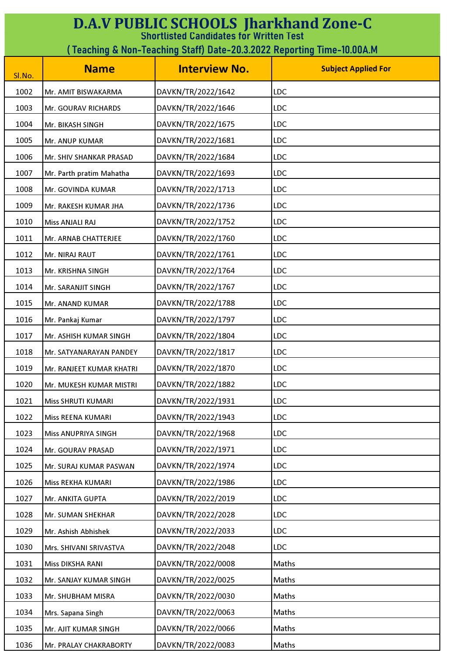| <b>D.A.V PUBLIC SCHOOLS Jharkhand Zone-C</b><br><b>Shortlisted Candidates for Written Test</b> |                                                                         |                      |                            |  |
|------------------------------------------------------------------------------------------------|-------------------------------------------------------------------------|----------------------|----------------------------|--|
|                                                                                                | ( Teaching & Non-Teaching Staff) Date-20.3.2022 Reporting Time-10.00A.M |                      |                            |  |
| Sl.No.                                                                                         | <b>Name</b>                                                             | <b>Interview No.</b> | <b>Subject Applied For</b> |  |
| 1002                                                                                           | Mr. AMIT BISWAKARMA                                                     | DAVKN/TR/2022/1642   | LDC                        |  |
| 1003                                                                                           | Mr. GOURAV RICHARDS                                                     | DAVKN/TR/2022/1646   | <b>LDC</b>                 |  |
| 1004                                                                                           | Mr. BIKASH SINGH                                                        | DAVKN/TR/2022/1675   | <b>LDC</b>                 |  |
| 1005                                                                                           | Mr. ANUP KUMAR                                                          | DAVKN/TR/2022/1681   | <b>LDC</b>                 |  |
| 1006                                                                                           | Mr. SHIV SHANKAR PRASAD                                                 | DAVKN/TR/2022/1684   | <b>LDC</b>                 |  |
| 1007                                                                                           | Mr. Parth pratim Mahatha                                                | DAVKN/TR/2022/1693   | <b>LDC</b>                 |  |
| 1008                                                                                           | Mr. GOVINDA KUMAR                                                       | DAVKN/TR/2022/1713   | <b>LDC</b>                 |  |
| 1009                                                                                           | Mr. RAKESH KUMAR JHA                                                    | DAVKN/TR/2022/1736   | <b>LDC</b>                 |  |
| 1010                                                                                           | Miss ANJALI RAJ                                                         | DAVKN/TR/2022/1752   | <b>LDC</b>                 |  |
| 1011                                                                                           | Mr. ARNAB CHATTERJEE                                                    | DAVKN/TR/2022/1760   | <b>LDC</b>                 |  |
| 1012                                                                                           | Mr. NIRAJ RAUT                                                          | DAVKN/TR/2022/1761   | <b>LDC</b>                 |  |
| 1013                                                                                           | Mr. KRISHNA SINGH                                                       | DAVKN/TR/2022/1764   | LDC                        |  |
| 1014                                                                                           | Mr. SARANJIT SINGH                                                      | DAVKN/TR/2022/1767   | LDC                        |  |
| 1015                                                                                           | Mr. ANAND KUMAR                                                         | DAVKN/TR/2022/1788   | <b>LDC</b>                 |  |
| 1016                                                                                           | Mr. Pankaj Kumar                                                        | DAVKN/TR/2022/1797   | <b>LDC</b>                 |  |
| 1017                                                                                           | Mr. ASHISH KUMAR SINGH                                                  | DAVKN/TR/2022/1804   | <b>LDC</b>                 |  |
| 1018                                                                                           | Mr. SATYANARAYAN PANDEY                                                 | DAVKN/TR/2022/1817   | LDC                        |  |
| 1019                                                                                           | Mr. RANJEET KUMAR KHATRI                                                | DAVKN/TR/2022/1870   | <b>LDC</b>                 |  |
| 1020                                                                                           | Mr. MUKESH KUMAR MISTRI                                                 | DAVKN/TR/2022/1882   | <b>LDC</b>                 |  |
| 1021                                                                                           | Miss SHRUTI KUMARI                                                      | DAVKN/TR/2022/1931   | <b>LDC</b>                 |  |
| 1022                                                                                           | Miss REENA KUMARI                                                       | DAVKN/TR/2022/1943   | <b>LDC</b>                 |  |
| 1023                                                                                           | Miss ANUPRIYA SINGH                                                     | DAVKN/TR/2022/1968   | <b>LDC</b>                 |  |
| 1024                                                                                           | Mr. GOURAV PRASAD                                                       | DAVKN/TR/2022/1971   | LDC                        |  |
| 1025                                                                                           | Mr. SURAJ KUMAR PASWAN                                                  | DAVKN/TR/2022/1974   | <b>LDC</b>                 |  |
| 1026                                                                                           | Miss REKHA KUMARI                                                       | DAVKN/TR/2022/1986   | LDC                        |  |
| 1027                                                                                           | Mr. ANKITA GUPTA                                                        | DAVKN/TR/2022/2019   | <b>LDC</b>                 |  |
| 1028                                                                                           | Mr. SUMAN SHEKHAR                                                       | DAVKN/TR/2022/2028   | <b>LDC</b>                 |  |
| 1029                                                                                           | Mr. Ashish Abhishek                                                     | DAVKN/TR/2022/2033   | <b>LDC</b>                 |  |
| 1030                                                                                           | Mrs. SHIVANI SRIVASTVA                                                  | DAVKN/TR/2022/2048   | <b>LDC</b>                 |  |
| 1031                                                                                           | Miss DIKSHA RANI                                                        | DAVKN/TR/2022/0008   | Maths                      |  |
| 1032                                                                                           | Mr. SANJAY KUMAR SINGH                                                  | DAVKN/TR/2022/0025   | Maths                      |  |
| 1033                                                                                           | Mr. SHUBHAM MISRA                                                       | DAVKN/TR/2022/0030   | Maths                      |  |
| 1034                                                                                           | Mrs. Sapana Singh                                                       | DAVKN/TR/2022/0063   | Maths                      |  |
| 1035                                                                                           | Mr. AJIT KUMAR SINGH                                                    | DAVKN/TR/2022/0066   | Maths                      |  |
| 1036                                                                                           | Mr. PRALAY CHAKRABORTY                                                  | DAVKN/TR/2022/0083   | Maths                      |  |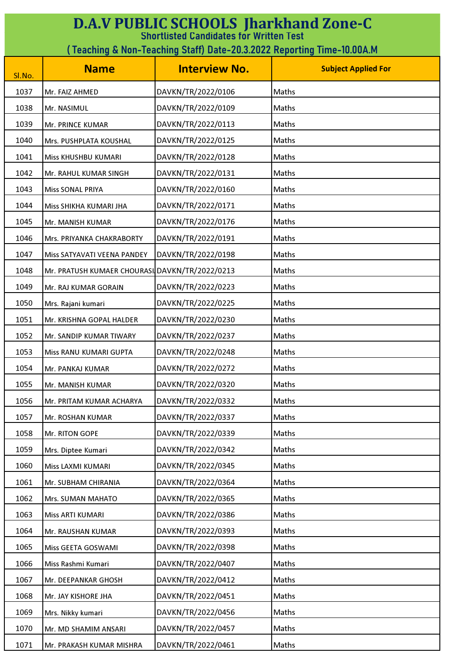| <b>D.A.V PUBLIC SCHOOLS Jharkhand Zone-C</b><br><b>Shortlisted Candidates for Written Test</b> |                                                                        |                      |                            |  |
|------------------------------------------------------------------------------------------------|------------------------------------------------------------------------|----------------------|----------------------------|--|
|                                                                                                | (Teaching & Non-Teaching Staff) Date-20.3.2022 Reporting Time-10.00A.M |                      |                            |  |
| Sl.No.                                                                                         | <b>Name</b>                                                            | <b>Interview No.</b> | <b>Subject Applied For</b> |  |
| 1037                                                                                           | Mr. FAIZ AHMED                                                         | DAVKN/TR/2022/0106   | Maths                      |  |
| 1038                                                                                           | Mr. NASIMUL                                                            | DAVKN/TR/2022/0109   | Maths                      |  |
| 1039                                                                                           | Mr. PRINCE KUMAR                                                       | DAVKN/TR/2022/0113   | Maths                      |  |
| 1040                                                                                           | Mrs. PUSHPLATA KOUSHAL                                                 | DAVKN/TR/2022/0125   | Maths                      |  |
| 1041                                                                                           | Miss KHUSHBU KUMARI                                                    | DAVKN/TR/2022/0128   | Maths                      |  |
| 1042                                                                                           | Mr. RAHUL KUMAR SINGH                                                  | DAVKN/TR/2022/0131   | Maths                      |  |
| 1043                                                                                           | <b>Miss SONAL PRIYA</b>                                                | DAVKN/TR/2022/0160   | Maths                      |  |
| 1044                                                                                           | Miss SHIKHA KUMARI JHA                                                 | DAVKN/TR/2022/0171   | Maths                      |  |
| 1045                                                                                           | Mr. MANISH KUMAR                                                       | DAVKN/TR/2022/0176   | Maths                      |  |
| 1046                                                                                           | Mrs. PRIYANKA CHAKRABORTY                                              | DAVKN/TR/2022/0191   | Maths                      |  |
| 1047                                                                                           | Miss SATYAVATI VEENA PANDEY                                            | DAVKN/TR/2022/0198   | Maths                      |  |
| 1048                                                                                           | Mr. PRATUSH KUMAER CHOURASI DAVKN/TR/2022/0213                         |                      | Maths                      |  |
| 1049                                                                                           | Mr. RAJ KUMAR GORAIN                                                   | DAVKN/TR/2022/0223   | Maths                      |  |
| 1050                                                                                           | Mrs. Rajani kumari                                                     | DAVKN/TR/2022/0225   | Maths                      |  |
| 1051                                                                                           | Mr. KRISHNA GOPAL HALDER                                               | DAVKN/TR/2022/0230   | Maths                      |  |
| 1052                                                                                           | Mr. SANDIP KUMAR TIWARY                                                | DAVKN/TR/2022/0237   | Maths                      |  |
| 1053                                                                                           | Miss RANU KUMARI GUPTA                                                 | DAVKN/TR/2022/0248   | Maths                      |  |
| 1054                                                                                           | Mr. PANKAJ KUMAR                                                       | DAVKN/TR/2022/0272   | Maths                      |  |
| 1055                                                                                           | Mr. MANISH KUMAR                                                       | DAVKN/TR/2022/0320   | Maths                      |  |
| 1056                                                                                           | Mr. PRITAM KUMAR ACHARYA                                               | DAVKN/TR/2022/0332   | Maths                      |  |
| 1057                                                                                           | Mr. ROSHAN KUMAR                                                       | DAVKN/TR/2022/0337   | Maths                      |  |
| 1058                                                                                           | Mr. RITON GOPE                                                         | DAVKN/TR/2022/0339   | Maths                      |  |
| 1059                                                                                           | Mrs. Diptee Kumari                                                     | DAVKN/TR/2022/0342   | Maths                      |  |
| 1060                                                                                           | Miss LAXMI KUMARI                                                      | DAVKN/TR/2022/0345   | Maths                      |  |
| 1061                                                                                           | Mr. SUBHAM CHIRANIA                                                    | DAVKN/TR/2022/0364   | Maths                      |  |
| 1062                                                                                           | Mrs. SUMAN MAHATO                                                      | DAVKN/TR/2022/0365   | Maths                      |  |
| 1063                                                                                           | Miss ARTI KUMARI                                                       | DAVKN/TR/2022/0386   | Maths                      |  |
| 1064                                                                                           | Mr. RAUSHAN KUMAR                                                      | DAVKN/TR/2022/0393   | Maths                      |  |
| 1065                                                                                           | Miss GEETA GOSWAMI                                                     | DAVKN/TR/2022/0398   | Maths                      |  |
| 1066                                                                                           | Miss Rashmi Kumari                                                     | DAVKN/TR/2022/0407   | Maths                      |  |
| 1067                                                                                           | Mr. DEEPANKAR GHOSH                                                    | DAVKN/TR/2022/0412   | Maths                      |  |
| 1068                                                                                           | Mr. JAY KISHORE JHA                                                    | DAVKN/TR/2022/0451   | Maths                      |  |
| 1069                                                                                           | Mrs. Nikky kumari                                                      | DAVKN/TR/2022/0456   | Maths                      |  |
| 1070                                                                                           | Mr. MD SHAMIM ANSARI                                                   | DAVKN/TR/2022/0457   | Maths                      |  |
| 1071                                                                                           | Mr. PRAKASH KUMAR MISHRA                                               | DAVKN/TR/2022/0461   | Maths                      |  |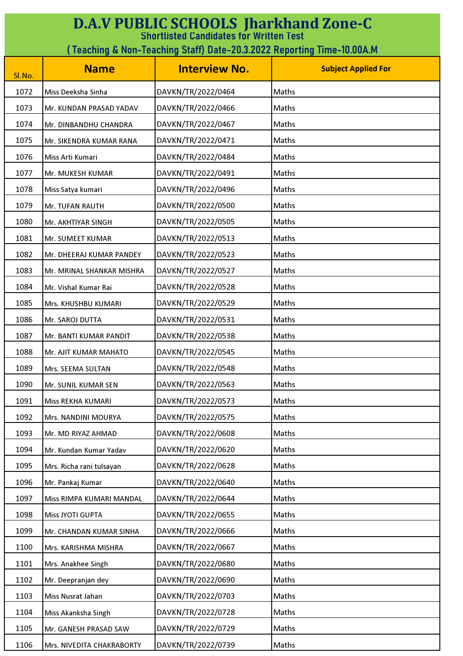| <b>D.A.V PUBLIC SCHOOLS Jharkhand Zone-C</b><br><b>Shortlisted Candidates for Written Test</b> |                                                                        |                      |                            |  |
|------------------------------------------------------------------------------------------------|------------------------------------------------------------------------|----------------------|----------------------------|--|
|                                                                                                | (Teaching & Non-Teaching Staff) Date-20.3.2022 Reporting Time-10.00A.M |                      |                            |  |
| Sl.No.                                                                                         | <b>Name</b>                                                            | <b>Interview No.</b> | <b>Subject Applied For</b> |  |
| 1072                                                                                           | Miss Deeksha Sinha                                                     | DAVKN/TR/2022/0464   | Maths                      |  |
| 1073                                                                                           | Mr. KUNDAN PRASAD YADAV                                                | DAVKN/TR/2022/0466   | <b>Maths</b>               |  |
| 1074                                                                                           | Mr. DINBANDHU CHANDRA                                                  | DAVKN/TR/2022/0467   | Maths                      |  |
| 1075                                                                                           | Mr. SIKENDRA KUMAR RANA                                                | DAVKN/TR/2022/0471   | Maths                      |  |
| 1076                                                                                           | Miss Arti Kumari                                                       | DAVKN/TR/2022/0484   | Maths                      |  |
| 1077                                                                                           | Mr. MUKESH KUMAR                                                       | DAVKN/TR/2022/0491   | Maths                      |  |
| 1078                                                                                           | Miss Satya kumari                                                      | DAVKN/TR/2022/0496   | Maths                      |  |
| 1079                                                                                           | Mr. TUFAN RAUTH                                                        | DAVKN/TR/2022/0500   | Maths                      |  |
| 1080                                                                                           | Mr. AKHTIYAR SINGH                                                     | DAVKN/TR/2022/0505   | <b>Maths</b>               |  |
| 1081                                                                                           | Mr. SUMEET KUMAR                                                       | DAVKN/TR/2022/0513   | Maths                      |  |
| 1082                                                                                           | Mr. DHEERAJ KUMAR PANDEY                                               | DAVKN/TR/2022/0523   | Maths                      |  |
| 1083                                                                                           | Mr. MRINAL SHANKAR MISHRA                                              | DAVKN/TR/2022/0527   | Maths                      |  |
| 1084                                                                                           | Mr. Vishal Kumar Rai                                                   | DAVKN/TR/2022/0528   | Maths                      |  |
| 1085                                                                                           | Mrs. KHUSHBU KUMARI                                                    | DAVKN/TR/2022/0529   | Maths                      |  |
| 1086                                                                                           | Mr. SAROJ DUTTA                                                        | DAVKN/TR/2022/0531   | Maths                      |  |
| 1087                                                                                           | Mr. BANTI KUMAR PANDIT                                                 | DAVKN/TR/2022/0538   | Maths                      |  |
| 1088                                                                                           | Mr. AJIT KUMAR MAHATO                                                  | DAVKN/TR/2022/0545   | Maths                      |  |
| 1089                                                                                           | Mrs. SEEMA SULTAN                                                      | DAVKN/TR/2022/0548   | Maths                      |  |
| 1090                                                                                           | Mr. SUNIL KUMAR SEN                                                    | DAVKN/TR/2022/0563   | Maths                      |  |
| 1091                                                                                           | Miss REKHA KUMARI                                                      | DAVKN/TR/2022/0573   | Maths                      |  |
| 1092                                                                                           | Mrs. NANDINI MOURYA                                                    | DAVKN/TR/2022/0575   | Maths                      |  |
| 1093                                                                                           | Mr. MD RIYAZ AHMAD                                                     | DAVKN/TR/2022/0608   | Maths                      |  |
| 1094                                                                                           | Mr. Kundan Kumar Yadav                                                 | DAVKN/TR/2022/0620   | Maths                      |  |
| 1095                                                                                           | Mrs. Richa rani tulsayan                                               | DAVKN/TR/2022/0628   | Maths                      |  |
| 1096                                                                                           | Mr. Pankaj Kumar                                                       | DAVKN/TR/2022/0640   | Maths                      |  |
| 1097                                                                                           | Miss RIMPA KUMARI MANDAL                                               | DAVKN/TR/2022/0644   | Maths                      |  |
| 1098                                                                                           | Miss JYOTI GUPTA                                                       | DAVKN/TR/2022/0655   | Maths                      |  |
| 1099                                                                                           | Mr. CHANDAN KUMAR SINHA                                                | DAVKN/TR/2022/0666   | Maths                      |  |
| 1100                                                                                           | Mrs. KARISHMA MISHRA                                                   | DAVKN/TR/2022/0667   | Maths                      |  |
| 1101                                                                                           | Mrs. Anakhee Singh                                                     | DAVKN/TR/2022/0680   | Maths                      |  |
| 1102                                                                                           | Mr. Deepranjan dey                                                     | DAVKN/TR/2022/0690   | Maths                      |  |
| 1103                                                                                           | Miss Nusrat Jahan                                                      | DAVKN/TR/2022/0703   | Maths                      |  |
| 1104                                                                                           | Miss Akanksha Singh                                                    | DAVKN/TR/2022/0728   | Maths                      |  |
| 1105                                                                                           | Mr. GANESH PRASAD SAW                                                  | DAVKN/TR/2022/0729   | Maths                      |  |
| 1106                                                                                           | Mrs. NIVEDITA CHAKRABORTY                                              | DAVKN/TR/2022/0739   | Maths                      |  |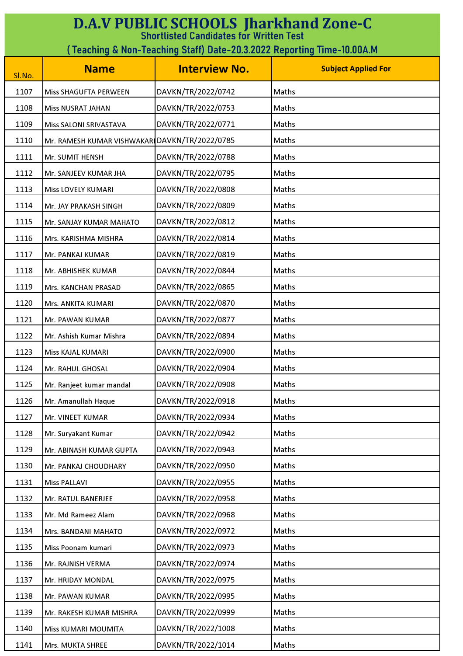| <b>D.A.V PUBLIC SCHOOLS Jharkhand Zone-C</b><br><b>Shortlisted Candidates for Written Test</b> |                                                                         |                      |                            |  |
|------------------------------------------------------------------------------------------------|-------------------------------------------------------------------------|----------------------|----------------------------|--|
|                                                                                                | ( Teaching & Non-Teaching Staff) Date-20.3.2022 Reporting Time-10.00A.M |                      |                            |  |
| Sl.No.                                                                                         | <b>Name</b>                                                             | <b>Interview No.</b> | <b>Subject Applied For</b> |  |
| 1107                                                                                           | Miss SHAGUFTA PERWEEN                                                   | DAVKN/TR/2022/0742   | Maths                      |  |
| 1108                                                                                           | <b>Miss NUSRAT JAHAN</b>                                                | DAVKN/TR/2022/0753   | Maths                      |  |
| 1109                                                                                           | Miss SALONI SRIVASTAVA                                                  | DAVKN/TR/2022/0771   | Maths                      |  |
| 1110                                                                                           | Mr. RAMESH KUMAR VISHWAKARI DAVKN/TR/2022/0785                          |                      | Maths                      |  |
| 1111                                                                                           | Mr. SUMIT HENSH                                                         | DAVKN/TR/2022/0788   | Maths                      |  |
| 1112                                                                                           | Mr. SANJEEV KUMAR JHA                                                   | DAVKN/TR/2022/0795   | Maths                      |  |
| 1113                                                                                           | Miss LOVELY KUMARI                                                      | DAVKN/TR/2022/0808   | Maths                      |  |
| 1114                                                                                           | Mr. JAY PRAKASH SINGH                                                   | DAVKN/TR/2022/0809   | Maths                      |  |
| 1115                                                                                           | Mr. SANJAY KUMAR MAHATO                                                 | DAVKN/TR/2022/0812   | Maths                      |  |
| 1116                                                                                           | Mrs. KARISHMA MISHRA                                                    | DAVKN/TR/2022/0814   | Maths                      |  |
| 1117                                                                                           | Mr. PANKAJ KUMAR                                                        | DAVKN/TR/2022/0819   | Maths                      |  |
| 1118                                                                                           | Mr. ABHISHEK KUMAR                                                      | DAVKN/TR/2022/0844   | Maths                      |  |
| 1119                                                                                           | Mrs. KANCHAN PRASAD                                                     | DAVKN/TR/2022/0865   | Maths                      |  |
| 1120                                                                                           | Mrs. ANKITA KUMARI                                                      | DAVKN/TR/2022/0870   | Maths                      |  |
| 1121                                                                                           | Mr. PAWAN KUMAR                                                         | DAVKN/TR/2022/0877   | Maths                      |  |
| 1122                                                                                           | Mr. Ashish Kumar Mishra                                                 | DAVKN/TR/2022/0894   | Maths                      |  |
| 1123                                                                                           | Miss KAJAL KUMARI                                                       | DAVKN/TR/2022/0900   | Maths                      |  |
| 1124                                                                                           | Mr. RAHUL GHOSAL                                                        | DAVKN/TR/2022/0904   | Maths                      |  |
| 1125                                                                                           | Mr. Ranjeet kumar mandal                                                | DAVKN/TR/2022/0908   | Maths                      |  |
| 1126                                                                                           | Mr. Amanullah Haque                                                     | DAVKN/TR/2022/0918   | Maths                      |  |
| 1127                                                                                           | Mr. VINEET KUMAR                                                        | DAVKN/TR/2022/0934   | Maths                      |  |
| 1128                                                                                           | Mr. Suryakant Kumar                                                     | DAVKN/TR/2022/0942   | Maths                      |  |
| 1129                                                                                           | Mr. ABINASH KUMAR GUPTA                                                 | DAVKN/TR/2022/0943   | Maths                      |  |
| 1130                                                                                           | Mr. PANKAJ CHOUDHARY                                                    | DAVKN/TR/2022/0950   | Maths                      |  |
| 1131                                                                                           | <b>Miss PALLAVI</b>                                                     | DAVKN/TR/2022/0955   | Maths                      |  |
| 1132                                                                                           | Mr. RATUL BANERJEE                                                      | DAVKN/TR/2022/0958   | Maths                      |  |
| 1133                                                                                           | Mr. Md Rameez Alam                                                      | DAVKN/TR/2022/0968   | Maths                      |  |
| 1134                                                                                           | Mrs. BANDANI MAHATO                                                     | DAVKN/TR/2022/0972   | Maths                      |  |
| 1135                                                                                           | Miss Poonam kumari                                                      | DAVKN/TR/2022/0973   | Maths                      |  |
| 1136                                                                                           | Mr. RAJNISH VERMA                                                       | DAVKN/TR/2022/0974   | Maths                      |  |
| 1137                                                                                           | Mr. HRIDAY MONDAL                                                       | DAVKN/TR/2022/0975   | Maths                      |  |
| 1138                                                                                           | Mr. PAWAN KUMAR                                                         | DAVKN/TR/2022/0995   | Maths                      |  |
| 1139                                                                                           | Mr. RAKESH KUMAR MISHRA                                                 | DAVKN/TR/2022/0999   | Maths                      |  |
| 1140                                                                                           | Miss KUMARI MOUMITA                                                     | DAVKN/TR/2022/1008   | Maths                      |  |
| 1141                                                                                           | Mrs. MUKTA SHREE                                                        | DAVKN/TR/2022/1014   | Maths                      |  |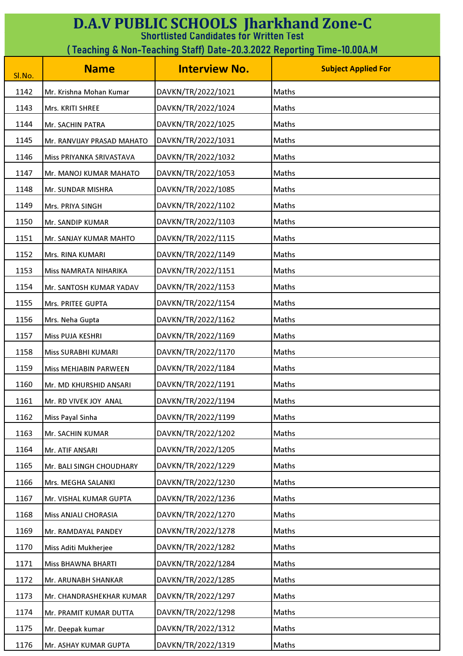| <b>D.A.V PUBLIC SCHOOLS Jharkhand Zone-C</b><br><b>Shortlisted Candidates for Written Test</b> |                            |                      |                            |
|------------------------------------------------------------------------------------------------|----------------------------|----------------------|----------------------------|
| ( Teaching & Non-Teaching Staff) Date-20.3.2022 Reporting Time-10.00A.M                        |                            |                      |                            |
| Sl.No.                                                                                         | <b>Name</b>                | <b>Interview No.</b> | <b>Subject Applied For</b> |
| 1142                                                                                           | Mr. Krishna Mohan Kumar    | DAVKN/TR/2022/1021   | Maths                      |
| 1143                                                                                           | Mrs. KRITI SHREE           | DAVKN/TR/2022/1024   | Maths                      |
| 1144                                                                                           | Mr. SACHIN PATRA           | DAVKN/TR/2022/1025   | Maths                      |
| 1145                                                                                           | Mr. RANVIJAY PRASAD MAHATO | DAVKN/TR/2022/1031   | Maths                      |
| 1146                                                                                           | Miss PRIYANKA SRIVASTAVA   | DAVKN/TR/2022/1032   | Maths                      |
| 1147                                                                                           | Mr. MANOJ KUMAR MAHATO     | DAVKN/TR/2022/1053   | Maths                      |
| 1148                                                                                           | Mr. SUNDAR MISHRA          | DAVKN/TR/2022/1085   | Maths                      |
| 1149                                                                                           | Mrs. PRIYA SINGH           | DAVKN/TR/2022/1102   | Maths                      |
| 1150                                                                                           | Mr. SANDIP KUMAR           | DAVKN/TR/2022/1103   | Maths                      |
| 1151                                                                                           | Mr. SANJAY KUMAR MAHTO     | DAVKN/TR/2022/1115   | <b>Maths</b>               |
| 1152                                                                                           | Mrs. RINA KUMARI           | DAVKN/TR/2022/1149   | Maths                      |
| 1153                                                                                           | Miss NAMRATA NIHARIKA      | DAVKN/TR/2022/1151   | Maths                      |
| 1154                                                                                           | Mr. SANTOSH KUMAR YADAV    | DAVKN/TR/2022/1153   | Maths                      |
| 1155                                                                                           | Mrs. PRITEE GUPTA          | DAVKN/TR/2022/1154   | Maths                      |
| 1156                                                                                           | Mrs. Neha Gupta            | DAVKN/TR/2022/1162   | <b>Maths</b>               |
| 1157                                                                                           | Miss PUJA KESHRI           | DAVKN/TR/2022/1169   | Maths                      |
| 1158                                                                                           | Miss SURABHI KUMARI        | DAVKN/TR/2022/1170   | Maths                      |
| 1159                                                                                           | Miss MEHJABIN PARWEEN      | DAVKN/TR/2022/1184   | Maths                      |
| 1160                                                                                           | Mr. MD KHURSHID ANSARI     | DAVKN/TR/2022/1191   | Maths                      |
| 1161                                                                                           | Mr. RD VIVEK JOY ANAL      | DAVKN/TR/2022/1194   | Maths                      |
| 1162                                                                                           | Miss Payal Sinha           | DAVKN/TR/2022/1199   | Maths                      |
| 1163                                                                                           | Mr. SACHIN KUMAR           | DAVKN/TR/2022/1202   | Maths                      |
| 1164                                                                                           | Mr. ATIF ANSARI            | DAVKN/TR/2022/1205   | Maths                      |
| 1165                                                                                           | Mr. BALI SINGH CHOUDHARY   | DAVKN/TR/2022/1229   | Maths                      |
| 1166                                                                                           | Mrs. MEGHA SALANKI         | DAVKN/TR/2022/1230   | Maths                      |
| 1167                                                                                           | Mr. VISHAL KUMAR GUPTA     | DAVKN/TR/2022/1236   | Maths                      |
| 1168                                                                                           | Miss ANJALI CHORASIA       | DAVKN/TR/2022/1270   | Maths                      |
| 1169                                                                                           | Mr. RAMDAYAL PANDEY        | DAVKN/TR/2022/1278   | Maths                      |
| 1170                                                                                           | Miss Aditi Mukherjee       | DAVKN/TR/2022/1282   | Maths                      |
| 1171                                                                                           | Miss BHAWNA BHARTI         | DAVKN/TR/2022/1284   | Maths                      |
| 1172                                                                                           | Mr. ARUNABH SHANKAR        | DAVKN/TR/2022/1285   | Maths                      |
| 1173                                                                                           | Mr. CHANDRASHEKHAR KUMAR   | DAVKN/TR/2022/1297   | Maths                      |
| 1174                                                                                           | Mr. PRAMIT KUMAR DUTTA     | DAVKN/TR/2022/1298   | Maths                      |
| 1175                                                                                           | Mr. Deepak kumar           | DAVKN/TR/2022/1312   | Maths                      |
| 1176                                                                                           | Mr. ASHAY KUMAR GUPTA      | DAVKN/TR/2022/1319   | Maths                      |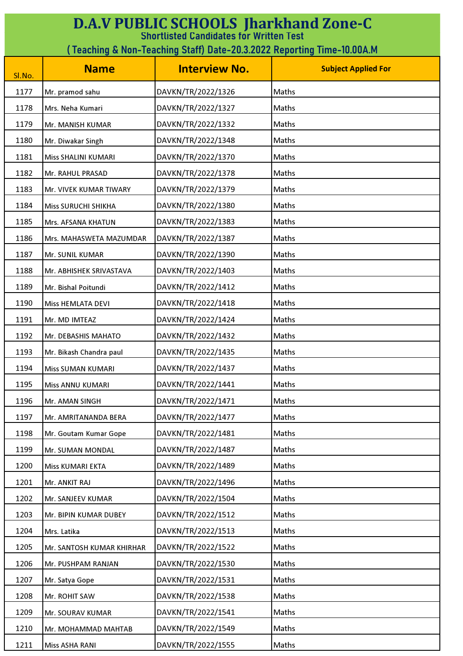| <b>D.A.V PUBLIC SCHOOLS Jharkhand Zone-C</b><br><b>Shortlisted Candidates for Written Test</b> |                            |                      |                            |
|------------------------------------------------------------------------------------------------|----------------------------|----------------------|----------------------------|
| (Teaching & Non-Teaching Staff) Date-20.3.2022 Reporting Time-10.00A.M                         |                            |                      |                            |
| Sl.No.                                                                                         | <b>Name</b>                | <b>Interview No.</b> | <b>Subject Applied For</b> |
| 1177                                                                                           | Mr. pramod sahu            | DAVKN/TR/2022/1326   | Maths                      |
| 1178                                                                                           | Mrs. Neha Kumari           | DAVKN/TR/2022/1327   | Maths                      |
| 1179                                                                                           | Mr. MANISH KUMAR           | DAVKN/TR/2022/1332   | Maths                      |
| 1180                                                                                           | Mr. Diwakar Singh          | DAVKN/TR/2022/1348   | Maths                      |
| 1181                                                                                           | Miss SHALINI KUMARI        | DAVKN/TR/2022/1370   | Maths                      |
| 1182                                                                                           | Mr. RAHUL PRASAD           | DAVKN/TR/2022/1378   | Maths                      |
| 1183                                                                                           | Mr. VIVEK KUMAR TIWARY     | DAVKN/TR/2022/1379   | Maths                      |
| 1184                                                                                           | <b>Miss SURUCHI SHIKHA</b> | DAVKN/TR/2022/1380   | Maths                      |
| 1185                                                                                           | Mrs. AFSANA KHATUN         | DAVKN/TR/2022/1383   | Maths                      |
| 1186                                                                                           | Mrs. MAHASWETA MAZUMDAR    | DAVKN/TR/2022/1387   | Maths                      |
| 1187                                                                                           | Mr. SUNIL KUMAR            | DAVKN/TR/2022/1390   | Maths                      |
| 1188                                                                                           | Mr. ABHISHEK SRIVASTAVA    | DAVKN/TR/2022/1403   | Maths                      |
| 1189                                                                                           | Mr. Bishal Poitundi        | DAVKN/TR/2022/1412   | Maths                      |
| 1190                                                                                           | Miss HEMLATA DEVI          | DAVKN/TR/2022/1418   | Maths                      |
| 1191                                                                                           | Mr. MD IMTEAZ              | DAVKN/TR/2022/1424   | Maths                      |
| 1192                                                                                           | Mr. DEBASHIS MAHATO        | DAVKN/TR/2022/1432   | Maths                      |
| 1193                                                                                           | Mr. Bikash Chandra paul    | DAVKN/TR/2022/1435   | Maths                      |
| 1194                                                                                           | Miss SUMAN KUMARI          | DAVKN/TR/2022/1437   | Maths                      |
| 1195                                                                                           | Miss ANNU KUMARI           | DAVKN/TR/2022/1441   | Maths                      |
| 1196                                                                                           | Mr. AMAN SINGH             | DAVKN/TR/2022/1471   | Maths                      |
| 1197                                                                                           | Mr. AMRITANANDA BERA       | DAVKN/TR/2022/1477   | Maths                      |
| 1198                                                                                           | Mr. Goutam Kumar Gope      | DAVKN/TR/2022/1481   | Maths                      |
| 1199                                                                                           | Mr. SUMAN MONDAL           | DAVKN/TR/2022/1487   | Maths                      |
| 1200                                                                                           | Miss KUMARI EKTA           | DAVKN/TR/2022/1489   | Maths                      |
| 1201                                                                                           | Mr. ANKIT RAJ              | DAVKN/TR/2022/1496   | Maths                      |
| 1202                                                                                           | Mr. SANJEEV KUMAR          | DAVKN/TR/2022/1504   | Maths                      |
| 1203                                                                                           | Mr. BIPIN KUMAR DUBEY      | DAVKN/TR/2022/1512   | Maths                      |
| 1204                                                                                           | Mrs. Latika                | DAVKN/TR/2022/1513   | Maths                      |
| 1205                                                                                           | Mr. SANTOSH KUMAR KHIRHAR  | DAVKN/TR/2022/1522   | Maths                      |
| 1206                                                                                           | Mr. PUSHPAM RANJAN         | DAVKN/TR/2022/1530   | Maths                      |
| 1207                                                                                           | Mr. Satya Gope             | DAVKN/TR/2022/1531   | Maths                      |
| 1208                                                                                           | Mr. ROHIT SAW              | DAVKN/TR/2022/1538   | Maths                      |
| 1209                                                                                           | Mr. SOURAV KUMAR           | DAVKN/TR/2022/1541   | Maths                      |
| 1210                                                                                           | Mr. MOHAMMAD MAHTAB        | DAVKN/TR/2022/1549   | Maths                      |
| 1211                                                                                           | Miss ASHA RANI             | DAVKN/TR/2022/1555   | Maths                      |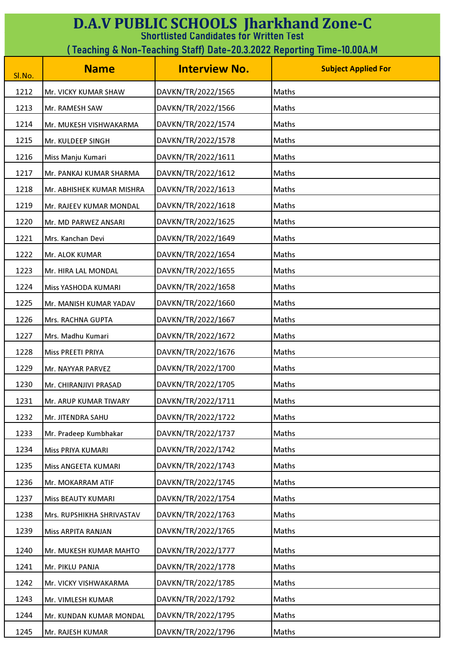| <b>D.A.V PUBLIC SCHOOLS Jharkhand Zone-C</b><br><b>Shortlisted Candidates for Written Test</b> |                           |                      |                            |
|------------------------------------------------------------------------------------------------|---------------------------|----------------------|----------------------------|
| ( Teaching & Non-Teaching Staff) Date-20.3.2022 Reporting Time-10.00A.M                        |                           |                      |                            |
| Sl.No.                                                                                         | <b>Name</b>               | <b>Interview No.</b> | <b>Subject Applied For</b> |
| 1212                                                                                           | Mr. VICKY KUMAR SHAW      | DAVKN/TR/2022/1565   | Maths                      |
| 1213                                                                                           | Mr. RAMESH SAW            | DAVKN/TR/2022/1566   | Maths                      |
| 1214                                                                                           | Mr. MUKESH VISHWAKARMA    | DAVKN/TR/2022/1574   | <b>Maths</b>               |
| 1215                                                                                           | Mr. KULDEEP SINGH         | DAVKN/TR/2022/1578   | Maths                      |
| 1216                                                                                           | Miss Manju Kumari         | DAVKN/TR/2022/1611   | Maths                      |
| 1217                                                                                           | Mr. PANKAJ KUMAR SHARMA   | DAVKN/TR/2022/1612   | Maths                      |
| 1218                                                                                           | Mr. ABHISHEK KUMAR MISHRA | DAVKN/TR/2022/1613   | Maths                      |
| 1219                                                                                           | Mr. RAJEEV KUMAR MONDAL   | DAVKN/TR/2022/1618   | Maths                      |
| 1220                                                                                           | Mr. MD PARWEZ ANSARI      | DAVKN/TR/2022/1625   | Maths                      |
| 1221                                                                                           | Mrs. Kanchan Devi         | DAVKN/TR/2022/1649   | Maths                      |
| 1222                                                                                           | Mr. ALOK KUMAR            | DAVKN/TR/2022/1654   | Maths                      |
| 1223                                                                                           | Mr. HIRA LAL MONDAL       | DAVKN/TR/2022/1655   | Maths                      |
| 1224                                                                                           | Miss YASHODA KUMARI       | DAVKN/TR/2022/1658   | Maths                      |
| 1225                                                                                           | Mr. MANISH KUMAR YADAV    | DAVKN/TR/2022/1660   | Maths                      |
| 1226                                                                                           | Mrs. RACHNA GUPTA         | DAVKN/TR/2022/1667   | Maths                      |
| 1227                                                                                           | Mrs. Madhu Kumari         | DAVKN/TR/2022/1672   | Maths                      |
| 1228                                                                                           | Miss PREETI PRIYA         | DAVKN/TR/2022/1676   | Maths                      |
| 1229                                                                                           | Mr. NAYYAR PARVEZ         | DAVKN/TR/2022/1700   | Maths                      |
| 1230                                                                                           | Mr. CHIRANJIVI PRASAD     | DAVKN/TR/2022/1705   | Maths                      |
| 1231                                                                                           | Mr. ARUP KUMAR TIWARY     | DAVKN/TR/2022/1711   | Maths                      |
| 1232                                                                                           | Mr. JITENDRA SAHU         | DAVKN/TR/2022/1722   | Maths                      |
| 1233                                                                                           | Mr. Pradeep Kumbhakar     | DAVKN/TR/2022/1737   | Maths                      |
| 1234                                                                                           | Miss PRIYA KUMARI         | DAVKN/TR/2022/1742   | Maths                      |
| 1235                                                                                           | Miss ANGEETA KUMARI       | DAVKN/TR/2022/1743   | Maths                      |
| 1236                                                                                           | Mr. MOKARRAM ATIF         | DAVKN/TR/2022/1745   | Maths                      |
| 1237                                                                                           | Miss BEAUTY KUMARI        | DAVKN/TR/2022/1754   | Maths                      |
| 1238                                                                                           | Mrs. RUPSHIKHA SHRIVASTAV | DAVKN/TR/2022/1763   | Maths                      |
| 1239                                                                                           | Miss ARPITA RANJAN        | DAVKN/TR/2022/1765   | Maths                      |
| 1240                                                                                           | Mr. MUKESH KUMAR MAHTO    | DAVKN/TR/2022/1777   | Maths                      |
| 1241                                                                                           | Mr. PIKLU PANJA           | DAVKN/TR/2022/1778   | Maths                      |
| 1242                                                                                           | Mr. VICKY VISHWAKARMA     | DAVKN/TR/2022/1785   | Maths                      |
| 1243                                                                                           | Mr. VIMLESH KUMAR         | DAVKN/TR/2022/1792   | Maths                      |
| 1244                                                                                           | Mr. KUNDAN KUMAR MONDAL   | DAVKN/TR/2022/1795   | Maths                      |
| 1245                                                                                           | Mr. RAJESH KUMAR          | DAVKN/TR/2022/1796   | Maths                      |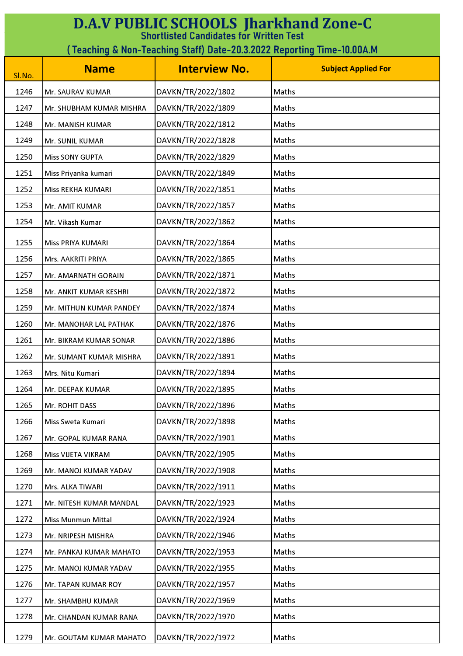| <b>D.A.V PUBLIC SCHOOLS Jharkhand Zone-C</b><br><b>Shortlisted Candidates for Written Test</b> |                                                                         |                      |                            |  |
|------------------------------------------------------------------------------------------------|-------------------------------------------------------------------------|----------------------|----------------------------|--|
|                                                                                                | ( Teaching & Non-Teaching Staff) Date-20.3.2022 Reporting Time-10.00A.M |                      |                            |  |
| Sl.No.                                                                                         | <b>Name</b>                                                             | <b>Interview No.</b> | <b>Subject Applied For</b> |  |
| 1246                                                                                           | Mr. SAURAV KUMAR                                                        | DAVKN/TR/2022/1802   | Maths                      |  |
| 1247                                                                                           | Mr. SHUBHAM KUMAR MISHRA                                                | DAVKN/TR/2022/1809   | Maths                      |  |
| 1248                                                                                           | Mr. MANISH KUMAR                                                        | DAVKN/TR/2022/1812   | Maths                      |  |
| 1249                                                                                           | Mr. SUNIL KUMAR                                                         | DAVKN/TR/2022/1828   | Maths                      |  |
| 1250                                                                                           | <b>Miss SONY GUPTA</b>                                                  | DAVKN/TR/2022/1829   | Maths                      |  |
| 1251                                                                                           | Miss Priyanka kumari                                                    | DAVKN/TR/2022/1849   | Maths                      |  |
| 1252                                                                                           | Miss REKHA KUMARI                                                       | DAVKN/TR/2022/1851   | Maths                      |  |
| 1253                                                                                           | Mr. AMIT KUMAR                                                          | DAVKN/TR/2022/1857   | Maths                      |  |
| 1254                                                                                           | Mr. Vikash Kumar                                                        | DAVKN/TR/2022/1862   | Maths                      |  |
| 1255                                                                                           | Miss PRIYA KUMARI                                                       | DAVKN/TR/2022/1864   | Maths                      |  |
| 1256                                                                                           | Mrs. AAKRITI PRIYA                                                      | DAVKN/TR/2022/1865   | Maths                      |  |
| 1257                                                                                           | Mr. AMARNATH GORAIN                                                     | DAVKN/TR/2022/1871   | Maths                      |  |
| 1258                                                                                           | Mr. ANKIT KUMAR KESHRI                                                  | DAVKN/TR/2022/1872   | Maths                      |  |
| 1259                                                                                           | Mr. MITHUN KUMAR PANDEY                                                 | DAVKN/TR/2022/1874   | Maths                      |  |
| 1260                                                                                           | Mr. MANOHAR LAL PATHAK                                                  | DAVKN/TR/2022/1876   | Maths                      |  |
| 1261                                                                                           | Mr. BIKRAM KUMAR SONAR                                                  | DAVKN/TR/2022/1886   | Maths                      |  |
| 1262                                                                                           | Mr. SUMANT KUMAR MISHRA                                                 | DAVKN/TR/2022/1891   | Maths                      |  |
| 1263                                                                                           | Mrs. Nitu Kumari                                                        | DAVKN/TR/2022/1894   | Maths                      |  |
| 1264                                                                                           | Mr. DEEPAK KUMAR                                                        | DAVKN/TR/2022/1895   | Maths                      |  |
| 1265                                                                                           | Mr. ROHIT DASS                                                          | DAVKN/TR/2022/1896   | Maths                      |  |
| 1266                                                                                           | Miss Sweta Kumari                                                       | DAVKN/TR/2022/1898   | Maths                      |  |
| 1267                                                                                           | Mr. GOPAL KUMAR RANA                                                    | DAVKN/TR/2022/1901   | Maths                      |  |
| 1268                                                                                           | Miss VIJETA VIKRAM                                                      | DAVKN/TR/2022/1905   | Maths                      |  |
| 1269                                                                                           | Mr. MANOJ KUMAR YADAV                                                   | DAVKN/TR/2022/1908   | Maths                      |  |
| 1270                                                                                           | Mrs. ALKA TIWARI                                                        | DAVKN/TR/2022/1911   | Maths                      |  |
| 1271                                                                                           | Mr. NITESH KUMAR MANDAL                                                 | DAVKN/TR/2022/1923   | Maths                      |  |
| 1272                                                                                           | Miss Munmun Mittal                                                      | DAVKN/TR/2022/1924   | Maths                      |  |
| 1273                                                                                           | Mr. NRIPESH MISHRA                                                      | DAVKN/TR/2022/1946   | Maths                      |  |
| 1274                                                                                           | Mr. PANKAJ KUMAR MAHATO                                                 | DAVKN/TR/2022/1953   | Maths                      |  |
| 1275                                                                                           | Mr. MANOJ KUMAR YADAV                                                   | DAVKN/TR/2022/1955   | Maths                      |  |
| 1276                                                                                           | Mr. TAPAN KUMAR ROY                                                     | DAVKN/TR/2022/1957   | Maths                      |  |
| 1277                                                                                           | Mr. SHAMBHU KUMAR                                                       | DAVKN/TR/2022/1969   | Maths                      |  |
| 1278                                                                                           | Mr. CHANDAN KUMAR RANA                                                  | DAVKN/TR/2022/1970   | Maths                      |  |
| 1279                                                                                           | Mr. GOUTAM KUMAR MAHATO                                                 | DAVKN/TR/2022/1972   | Maths                      |  |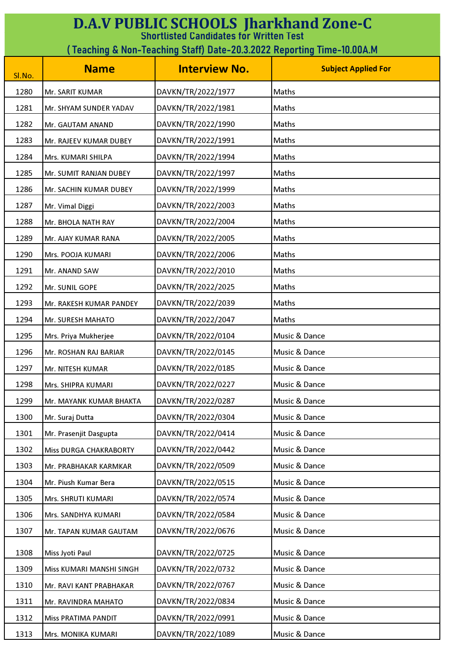| <b>D.A.V PUBLIC SCHOOLS Jharkhand Zone-C</b><br><b>Shortlisted Candidates for Written Test</b> |                          |                      |                            |
|------------------------------------------------------------------------------------------------|--------------------------|----------------------|----------------------------|
| (Teaching & Non-Teaching Staff) Date-20.3.2022 Reporting Time-10.00A.M                         |                          |                      |                            |
| Sl.No.                                                                                         | <b>Name</b>              | <b>Interview No.</b> | <b>Subject Applied For</b> |
| 1280                                                                                           | Mr. SARIT KUMAR          | DAVKN/TR/2022/1977   | Maths                      |
| 1281                                                                                           | Mr. SHYAM SUNDER YADAV   | DAVKN/TR/2022/1981   | Maths                      |
| 1282                                                                                           | Mr. GAUTAM ANAND         | DAVKN/TR/2022/1990   | Maths                      |
| 1283                                                                                           | Mr. RAJEEV KUMAR DUBEY   | DAVKN/TR/2022/1991   | Maths                      |
| 1284                                                                                           | Mrs. KUMARI SHILPA       | DAVKN/TR/2022/1994   | Maths                      |
| 1285                                                                                           | Mr. SUMIT RANJAN DUBEY   | DAVKN/TR/2022/1997   | Maths                      |
| 1286                                                                                           | Mr. SACHIN KUMAR DUBEY   | DAVKN/TR/2022/1999   | Maths                      |
| 1287                                                                                           | Mr. Vimal Diggi          | DAVKN/TR/2022/2003   | Maths                      |
| 1288                                                                                           | Mr. BHOLA NATH RAY       | DAVKN/TR/2022/2004   | Maths                      |
| 1289                                                                                           | Mr. AJAY KUMAR RANA      | DAVKN/TR/2022/2005   | Maths                      |
| 1290                                                                                           | Mrs. POOJA KUMARI        | DAVKN/TR/2022/2006   | Maths                      |
| 1291                                                                                           | Mr. ANAND SAW            | DAVKN/TR/2022/2010   | Maths                      |
| 1292                                                                                           | Mr. SUNIL GOPE           | DAVKN/TR/2022/2025   | Maths                      |
| 1293                                                                                           | Mr. RAKESH KUMAR PANDEY  | DAVKN/TR/2022/2039   | Maths                      |
| 1294                                                                                           | Mr. SURESH MAHATO        | DAVKN/TR/2022/2047   | Maths                      |
| 1295                                                                                           | Mrs. Priya Mukherjee     | DAVKN/TR/2022/0104   | Music & Dance              |
| 1296                                                                                           | Mr. ROSHAN RAJ BARIAR    | DAVKN/TR/2022/0145   | Music & Dance              |
| 1297                                                                                           | Mr. NITESH KUMAR         | DAVKN/TR/2022/0185   | Music & Dance              |
| 1298                                                                                           | Mrs. SHIPRA KUMARI       | DAVKN/TR/2022/0227   | Music & Dance              |
| 1299                                                                                           | Mr. MAYANK KUMAR BHAKTA  | DAVKN/TR/2022/0287   | Music & Dance              |
| 1300                                                                                           | Mr. Suraj Dutta          | DAVKN/TR/2022/0304   | Music & Dance              |
| 1301                                                                                           | Mr. Prasenjit Dasgupta   | DAVKN/TR/2022/0414   | Music & Dance              |
| 1302                                                                                           | Miss DURGA CHAKRABORTY   | DAVKN/TR/2022/0442   | Music & Dance              |
| 1303                                                                                           | Mr. PRABHAKAR KARMKAR    | DAVKN/TR/2022/0509   | Music & Dance              |
| 1304                                                                                           | Mr. Piush Kumar Bera     | DAVKN/TR/2022/0515   | Music & Dance              |
| 1305                                                                                           | Mrs. SHRUTI KUMARI       | DAVKN/TR/2022/0574   | Music & Dance              |
| 1306                                                                                           | Mrs. SANDHYA KUMARI      | DAVKN/TR/2022/0584   | Music & Dance              |
| 1307                                                                                           | Mr. TAPAN KUMAR GAUTAM   | DAVKN/TR/2022/0676   | Music & Dance              |
| 1308                                                                                           | Miss Jyoti Paul          | DAVKN/TR/2022/0725   | Music & Dance              |
| 1309                                                                                           | Miss KUMARI MANSHI SINGH | DAVKN/TR/2022/0732   | Music & Dance              |
| 1310                                                                                           | Mr. RAVI KANT PRABHAKAR  | DAVKN/TR/2022/0767   | Music & Dance              |
| 1311                                                                                           | Mr. RAVINDRA MAHATO      | DAVKN/TR/2022/0834   | Music & Dance              |
| 1312                                                                                           | Miss PRATIMA PANDIT      | DAVKN/TR/2022/0991   | Music & Dance              |
| 1313                                                                                           | Mrs. MONIKA KUMARI       | DAVKN/TR/2022/1089   | Music & Dance              |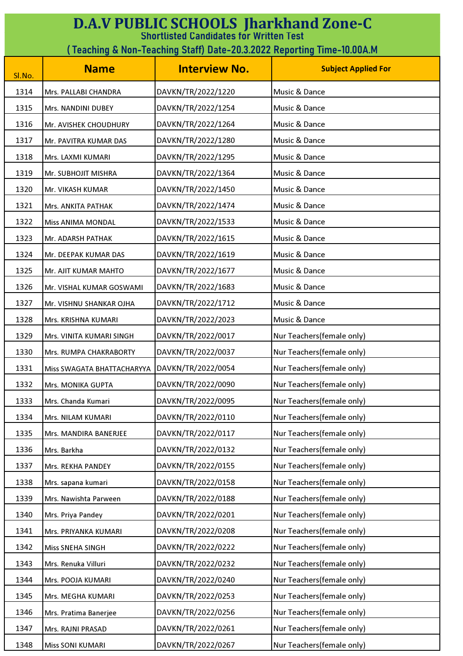| <b>D.A.V PUBLIC SCHOOLS Jharkhand Zone-C</b><br><b>Shortlisted Candidates for Written Test</b> |                                                                        |                      |                            |  |
|------------------------------------------------------------------------------------------------|------------------------------------------------------------------------|----------------------|----------------------------|--|
|                                                                                                | (Teaching & Non-Teaching Staff) Date-20.3.2022 Reporting Time-10.00A.M |                      |                            |  |
| Sl.No.                                                                                         | <b>Name</b>                                                            | <b>Interview No.</b> | <b>Subject Applied For</b> |  |
| 1314                                                                                           | Mrs. PALLABI CHANDRA                                                   | DAVKN/TR/2022/1220   | Music & Dance              |  |
| 1315                                                                                           | Mrs. NANDINI DUBEY                                                     | DAVKN/TR/2022/1254   | Music & Dance              |  |
| 1316                                                                                           | Mr. AVISHEK CHOUDHURY                                                  | DAVKN/TR/2022/1264   | Music & Dance              |  |
| 1317                                                                                           | Mr. PAVITRA KUMAR DAS                                                  | DAVKN/TR/2022/1280   | Music & Dance              |  |
| 1318                                                                                           | Mrs. LAXMI KUMARI                                                      | DAVKN/TR/2022/1295   | Music & Dance              |  |
| 1319                                                                                           | Mr. SUBHOJIT MISHRA                                                    | DAVKN/TR/2022/1364   | Music & Dance              |  |
| 1320                                                                                           | Mr. VIKASH KUMAR                                                       | DAVKN/TR/2022/1450   | Music & Dance              |  |
| 1321                                                                                           | Mrs. ANKITA PATHAK                                                     | DAVKN/TR/2022/1474   | Music & Dance              |  |
| 1322                                                                                           | <b>Miss ANIMA MONDAL</b>                                               | DAVKN/TR/2022/1533   | Music & Dance              |  |
| 1323                                                                                           | Mr. ADARSH PATHAK                                                      | DAVKN/TR/2022/1615   | Music & Dance              |  |
| 1324                                                                                           | Mr. DEEPAK KUMAR DAS                                                   | DAVKN/TR/2022/1619   | Music & Dance              |  |
| 1325                                                                                           | Mr. AJIT KUMAR MAHTO                                                   | DAVKN/TR/2022/1677   | Music & Dance              |  |
| 1326                                                                                           | Mr. VISHAL KUMAR GOSWAMI                                               | DAVKN/TR/2022/1683   | Music & Dance              |  |
| 1327                                                                                           | Mr. VISHNU SHANKAR OJHA                                                | DAVKN/TR/2022/1712   | Music & Dance              |  |
| 1328                                                                                           | Mrs. KRISHNA KUMARI                                                    | DAVKN/TR/2022/2023   | Music & Dance              |  |
| 1329                                                                                           | Mrs. VINITA KUMARI SINGH                                               | DAVKN/TR/2022/0017   | Nur Teachers(female only)  |  |
| 1330                                                                                           | Mrs. RUMPA CHAKRABORTY                                                 | DAVKN/TR/2022/0037   | Nur Teachers(female only)  |  |
| 1331                                                                                           | Miss SWAGATA BHATTACHARYYA                                             | DAVKN/TR/2022/0054   | Nur Teachers(female only)  |  |
| 1332                                                                                           | Mrs. MONIKA GUPTA                                                      | DAVKN/TR/2022/0090   | Nur Teachers(female only)  |  |
| 1333                                                                                           | Mrs. Chanda Kumari                                                     | DAVKN/TR/2022/0095   | Nur Teachers(female only)  |  |
| 1334                                                                                           | Mrs. NILAM KUMARI                                                      | DAVKN/TR/2022/0110   | Nur Teachers(female only)  |  |
| 1335                                                                                           | Mrs. MANDIRA BANERJEE                                                  | DAVKN/TR/2022/0117   | Nur Teachers(female only)  |  |
| 1336                                                                                           | Mrs. Barkha                                                            | DAVKN/TR/2022/0132   | Nur Teachers(female only)  |  |
| 1337                                                                                           | Mrs. REKHA PANDEY                                                      | DAVKN/TR/2022/0155   | Nur Teachers(female only)  |  |
| 1338                                                                                           | Mrs. sapana kumari                                                     | DAVKN/TR/2022/0158   | Nur Teachers(female only)  |  |
| 1339                                                                                           | Mrs. Nawishta Parween                                                  | DAVKN/TR/2022/0188   | Nur Teachers(female only)  |  |
| 1340                                                                                           | Mrs. Priya Pandey                                                      | DAVKN/TR/2022/0201   | Nur Teachers(female only)  |  |
| 1341                                                                                           | Mrs. PRIYANKA KUMARI                                                   | DAVKN/TR/2022/0208   | Nur Teachers(female only)  |  |
| 1342                                                                                           | <b>Miss SNEHA SINGH</b>                                                | DAVKN/TR/2022/0222   | Nur Teachers(female only)  |  |
| 1343                                                                                           | Mrs. Renuka Villuri                                                    | DAVKN/TR/2022/0232   | Nur Teachers(female only)  |  |
| 1344                                                                                           | Mrs. POOJA KUMARI                                                      | DAVKN/TR/2022/0240   | Nur Teachers(female only)  |  |
| 1345                                                                                           | Mrs. MEGHA KUMARI                                                      | DAVKN/TR/2022/0253   | Nur Teachers(female only)  |  |
| 1346                                                                                           | Mrs. Pratima Banerjee                                                  | DAVKN/TR/2022/0256   | Nur Teachers(female only)  |  |
| 1347                                                                                           | Mrs. RAJNI PRASAD                                                      | DAVKN/TR/2022/0261   | Nur Teachers(female only)  |  |
| 1348                                                                                           | Miss SONI KUMARI                                                       | DAVKN/TR/2022/0267   | Nur Teachers(female only)  |  |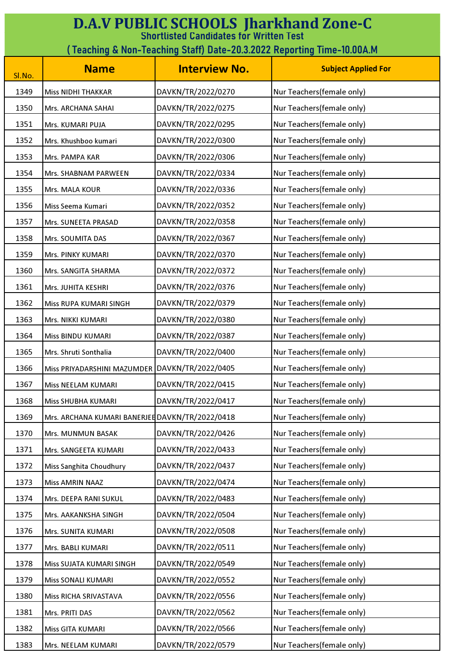| <b>D.A.V PUBLIC SCHOOLS Jharkhand Zone-C</b><br><b>Shortlisted Candidates for Written Test</b> |                                                                        |                      |                            |  |
|------------------------------------------------------------------------------------------------|------------------------------------------------------------------------|----------------------|----------------------------|--|
|                                                                                                | (Teaching & Non-Teaching Staff) Date-20.3.2022 Reporting Time-10.00A.M |                      |                            |  |
| Sl.No.                                                                                         | <b>Name</b>                                                            | <b>Interview No.</b> | <b>Subject Applied For</b> |  |
| 1349                                                                                           | <b>Miss NIDHI THAKKAR</b>                                              | DAVKN/TR/2022/0270   | Nur Teachers(female only)  |  |
| 1350                                                                                           | Mrs. ARCHANA SAHAI                                                     | DAVKN/TR/2022/0275   | Nur Teachers(female only)  |  |
| 1351                                                                                           | Mrs. KUMARI PUJA                                                       | DAVKN/TR/2022/0295   | Nur Teachers(female only)  |  |
| 1352                                                                                           | Mrs. Khushboo kumari                                                   | DAVKN/TR/2022/0300   | Nur Teachers(female only)  |  |
| 1353                                                                                           | Mrs. PAMPA KAR                                                         | DAVKN/TR/2022/0306   | Nur Teachers(female only)  |  |
| 1354                                                                                           | Mrs. SHABNAM PARWEEN                                                   | DAVKN/TR/2022/0334   | Nur Teachers(female only)  |  |
| 1355                                                                                           | Mrs. MALA KOUR                                                         | DAVKN/TR/2022/0336   | Nur Teachers(female only)  |  |
| 1356                                                                                           | Miss Seema Kumari                                                      | DAVKN/TR/2022/0352   | Nur Teachers(female only)  |  |
| 1357                                                                                           | Mrs. SUNEETA PRASAD                                                    | DAVKN/TR/2022/0358   | Nur Teachers(female only)  |  |
| 1358                                                                                           | Mrs. SOUMITA DAS                                                       | DAVKN/TR/2022/0367   | Nur Teachers(female only)  |  |
| 1359                                                                                           | Mrs. PINKY KUMARI                                                      | DAVKN/TR/2022/0370   | Nur Teachers(female only)  |  |
| 1360                                                                                           | Mrs. SANGITA SHARMA                                                    | DAVKN/TR/2022/0372   | Nur Teachers(female only)  |  |
| 1361                                                                                           | Mrs. JUHITA KESHRI                                                     | DAVKN/TR/2022/0376   | Nur Teachers(female only)  |  |
| 1362                                                                                           | Miss RUPA KUMARI SINGH                                                 | DAVKN/TR/2022/0379   | Nur Teachers(female only)  |  |
| 1363                                                                                           | Mrs. NIKKI KUMARI                                                      | DAVKN/TR/2022/0380   | Nur Teachers(female only)  |  |
| 1364                                                                                           | Miss BINDU KUMARI                                                      | DAVKN/TR/2022/0387   | Nur Teachers(female only)  |  |
| 1365                                                                                           | Mrs. Shruti Sonthalia                                                  | DAVKN/TR/2022/0400   | Nur Teachers(female only)  |  |
| 1366                                                                                           | Miss PRIYADARSHINI MAZUMDER DAVKN/TR/2022/0405                         |                      | Nur Teachers(female only)  |  |
| 1367                                                                                           | Miss NEELAM KUMARI                                                     | DAVKN/TR/2022/0415   | Nur Teachers(female only)  |  |
| 1368                                                                                           | Miss SHUBHA KUMARI                                                     | DAVKN/TR/2022/0417   | Nur Teachers(female only)  |  |
| 1369                                                                                           | Mrs. ARCHANA KUMARI BANERJEE DAVKN/TR/2022/0418                        |                      | Nur Teachers(female only)  |  |
| 1370                                                                                           | Mrs. MUNMUN BASAK                                                      | DAVKN/TR/2022/0426   | Nur Teachers(female only)  |  |
| 1371                                                                                           | Mrs. SANGEETA KUMARI                                                   | DAVKN/TR/2022/0433   | Nur Teachers(female only)  |  |
| 1372                                                                                           | Miss Sanghita Choudhury                                                | DAVKN/TR/2022/0437   | Nur Teachers(female only)  |  |
| 1373                                                                                           | <b>Miss AMRIN NAAZ</b>                                                 | DAVKN/TR/2022/0474   | Nur Teachers(female only)  |  |
| 1374                                                                                           | Mrs. DEEPA RANI SUKUL                                                  | DAVKN/TR/2022/0483   | Nur Teachers(female only)  |  |
| 1375                                                                                           | Mrs. AAKANKSHA SINGH                                                   | DAVKN/TR/2022/0504   | Nur Teachers(female only)  |  |
| 1376                                                                                           | Mrs. SUNITA KUMARI                                                     | DAVKN/TR/2022/0508   | Nur Teachers(female only)  |  |
| 1377                                                                                           | Mrs. BABLI KUMARI                                                      | DAVKN/TR/2022/0511   | Nur Teachers(female only)  |  |
| 1378                                                                                           | Miss SUJATA KUMARI SINGH                                               | DAVKN/TR/2022/0549   | Nur Teachers(female only)  |  |
| 1379                                                                                           | Miss SONALI KUMARI                                                     | DAVKN/TR/2022/0552   | Nur Teachers(female only)  |  |
| 1380                                                                                           | Miss RICHA SRIVASTAVA                                                  | DAVKN/TR/2022/0556   | Nur Teachers(female only)  |  |
| 1381                                                                                           | Mrs. PRITI DAS                                                         | DAVKN/TR/2022/0562   | Nur Teachers(female only)  |  |
| 1382                                                                                           | Miss GITA KUMARI                                                       | DAVKN/TR/2022/0566   | Nur Teachers(female only)  |  |
| 1383                                                                                           | Mrs. NEELAM KUMARI                                                     | DAVKN/TR/2022/0579   | Nur Teachers(female only)  |  |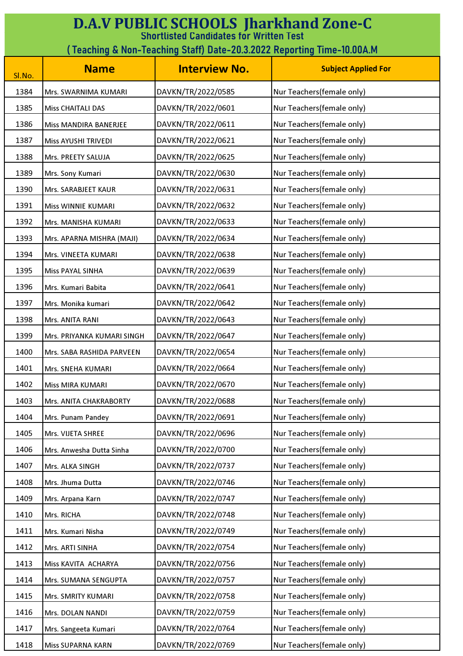| <b>D.A.V PUBLIC SCHOOLS Jharkhand Zone-C</b><br><b>Shortlisted Candidates for Written Test</b> |                                                                        |                      |                            |  |  |
|------------------------------------------------------------------------------------------------|------------------------------------------------------------------------|----------------------|----------------------------|--|--|
|                                                                                                | (Teaching & Non-Teaching Staff) Date-20.3.2022 Reporting Time-10.00A.M |                      |                            |  |  |
| Sl.No.                                                                                         | <b>Name</b>                                                            | <b>Interview No.</b> | <b>Subject Applied For</b> |  |  |
| 1384                                                                                           | Mrs. SWARNIMA KUMARI                                                   | DAVKN/TR/2022/0585   | Nur Teachers(female only)  |  |  |
| 1385                                                                                           | <b>Miss CHAITALI DAS</b>                                               | DAVKN/TR/2022/0601   | Nur Teachers(female only)  |  |  |
| 1386                                                                                           | Miss MANDIRA BANERJEE                                                  | DAVKN/TR/2022/0611   | Nur Teachers(female only)  |  |  |
| 1387                                                                                           | Miss AYUSHI TRIVEDI                                                    | DAVKN/TR/2022/0621   | Nur Teachers(female only)  |  |  |
| 1388                                                                                           | Mrs. PREETY SALUJA                                                     | DAVKN/TR/2022/0625   | Nur Teachers(female only)  |  |  |
| 1389                                                                                           | Mrs. Sony Kumari                                                       | DAVKN/TR/2022/0630   | Nur Teachers(female only)  |  |  |
| 1390                                                                                           | Mrs. SARABJEET KAUR                                                    | DAVKN/TR/2022/0631   | Nur Teachers(female only)  |  |  |
| 1391                                                                                           | Miss WINNIE KUMARI                                                     | DAVKN/TR/2022/0632   | Nur Teachers(female only)  |  |  |
| 1392                                                                                           | Mrs. MANISHA KUMARI                                                    | DAVKN/TR/2022/0633   | Nur Teachers(female only)  |  |  |
| 1393                                                                                           | Mrs. APARNA MISHRA (MAJI)                                              | DAVKN/TR/2022/0634   | Nur Teachers(female only)  |  |  |
| 1394                                                                                           | Mrs. VINEETA KUMARI                                                    | DAVKN/TR/2022/0638   | Nur Teachers(female only)  |  |  |
| 1395                                                                                           | Miss PAYAL SINHA                                                       | DAVKN/TR/2022/0639   | Nur Teachers(female only)  |  |  |
| 1396                                                                                           | Mrs. Kumari Babita                                                     | DAVKN/TR/2022/0641   | Nur Teachers(female only)  |  |  |
| 1397                                                                                           | Mrs. Monika kumari                                                     | DAVKN/TR/2022/0642   | Nur Teachers(female only)  |  |  |
| 1398                                                                                           | Mrs. ANITA RANI                                                        | DAVKN/TR/2022/0643   | Nur Teachers(female only)  |  |  |
| 1399                                                                                           | Mrs. PRIYANKA KUMARI SINGH                                             | DAVKN/TR/2022/0647   | Nur Teachers(female only)  |  |  |
| 1400                                                                                           | Mrs. SABA RASHIDA PARVEEN                                              | DAVKN/TR/2022/0654   | Nur Teachers(female only)  |  |  |
| 1401                                                                                           | Mrs. SNEHA KUMARI                                                      | DAVKN/TR/2022/0664   | Nur Teachers(female only)  |  |  |
| 1402                                                                                           | <b>Miss MIRA KUMARI</b>                                                | DAVKN/TR/2022/0670   | Nur Teachers(female only)  |  |  |
| 1403                                                                                           | Mrs. ANITA CHAKRABORTY                                                 | DAVKN/TR/2022/0688   | Nur Teachers(female only)  |  |  |
| 1404                                                                                           | Mrs. Punam Pandey                                                      | DAVKN/TR/2022/0691   | Nur Teachers(female only)  |  |  |
| 1405                                                                                           | Mrs. VIJETA SHREE                                                      | DAVKN/TR/2022/0696   | Nur Teachers(female only)  |  |  |
| 1406                                                                                           | Mrs. Anwesha Dutta Sinha                                               | DAVKN/TR/2022/0700   | Nur Teachers(female only)  |  |  |
| 1407                                                                                           | Mrs. ALKA SINGH                                                        | DAVKN/TR/2022/0737   | Nur Teachers(female only)  |  |  |
| 1408                                                                                           | Mrs. Jhuma Dutta                                                       | DAVKN/TR/2022/0746   | Nur Teachers(female only)  |  |  |
| 1409                                                                                           | Mrs. Arpana Karn                                                       | DAVKN/TR/2022/0747   | Nur Teachers(female only)  |  |  |
| 1410                                                                                           | Mrs. RICHA                                                             | DAVKN/TR/2022/0748   | Nur Teachers(female only)  |  |  |
| 1411                                                                                           | Mrs. Kumari Nisha                                                      | DAVKN/TR/2022/0749   | Nur Teachers(female only)  |  |  |
| 1412                                                                                           | Mrs. ARTI SINHA                                                        | DAVKN/TR/2022/0754   | Nur Teachers(female only)  |  |  |
| 1413                                                                                           | Miss KAVITA ACHARYA                                                    | DAVKN/TR/2022/0756   | Nur Teachers(female only)  |  |  |
| 1414                                                                                           | Mrs. SUMANA SENGUPTA                                                   | DAVKN/TR/2022/0757   | Nur Teachers(female only)  |  |  |
| 1415                                                                                           | Mrs. SMRITY KUMARI                                                     | DAVKN/TR/2022/0758   | Nur Teachers(female only)  |  |  |
| 1416                                                                                           | Mrs. DOLAN NANDI                                                       | DAVKN/TR/2022/0759   | Nur Teachers(female only)  |  |  |
| 1417                                                                                           | Mrs. Sangeeta Kumari                                                   | DAVKN/TR/2022/0764   | Nur Teachers(female only)  |  |  |
| 1418                                                                                           | Miss SUPARNA KARN                                                      | DAVKN/TR/2022/0769   | Nur Teachers(female only)  |  |  |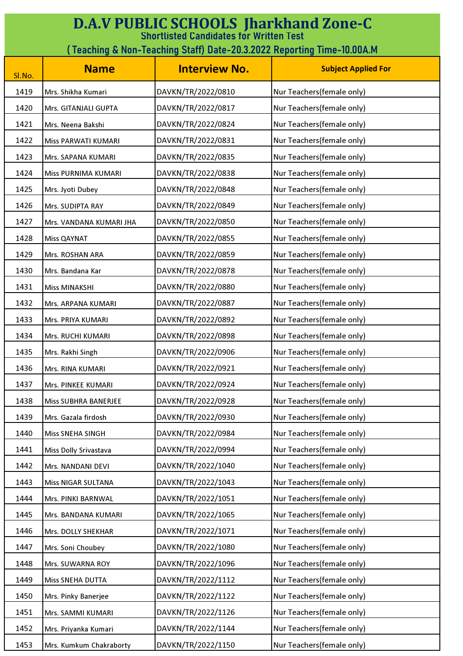| <b>D.A.V PUBLIC SCHOOLS Jharkhand Zone-C</b><br><b>Shortlisted Candidates for Written Test</b><br>(Teaching & Non-Teaching Staff) Date-20.3.2022 Reporting Time-10.00A.M |                         |                      |                            |
|--------------------------------------------------------------------------------------------------------------------------------------------------------------------------|-------------------------|----------------------|----------------------------|
| Sl.No.                                                                                                                                                                   | <b>Name</b>             | <b>Interview No.</b> | <b>Subject Applied For</b> |
| 1419                                                                                                                                                                     | Mrs. Shikha Kumari      | DAVKN/TR/2022/0810   | Nur Teachers(female only)  |
| 1420                                                                                                                                                                     | Mrs. GITANJALI GUPTA    | DAVKN/TR/2022/0817   | Nur Teachers(female only)  |
| 1421                                                                                                                                                                     | Mrs. Neena Bakshi       | DAVKN/TR/2022/0824   | Nur Teachers(female only)  |
| 1422                                                                                                                                                                     | Miss PARWATI KUMARI     | DAVKN/TR/2022/0831   | Nur Teachers(female only)  |
| 1423                                                                                                                                                                     | Mrs. SAPANA KUMARI      | DAVKN/TR/2022/0835   | Nur Teachers(female only)  |
| 1424                                                                                                                                                                     | Miss PURNIMA KUMARI     | DAVKN/TR/2022/0838   | Nur Teachers(female only)  |
| 1425                                                                                                                                                                     | Mrs. Jyoti Dubey        | DAVKN/TR/2022/0848   | Nur Teachers(female only)  |
| 1426                                                                                                                                                                     | Mrs. SUDIPTA RAY        | DAVKN/TR/2022/0849   | Nur Teachers(female only)  |
| 1427                                                                                                                                                                     | Mrs. VANDANA KUMARI JHA | DAVKN/TR/2022/0850   | Nur Teachers(female only)  |
| 1428                                                                                                                                                                     | <b>Miss QAYNAT</b>      | DAVKN/TR/2022/0855   | Nur Teachers(female only)  |
| 1429                                                                                                                                                                     | Mrs. ROSHAN ARA         | DAVKN/TR/2022/0859   | Nur Teachers(female only)  |
| 1430                                                                                                                                                                     | Mrs. Bandana Kar        | DAVKN/TR/2022/0878   | Nur Teachers(female only)  |
| 1431                                                                                                                                                                     | <b>Miss MINAKSHI</b>    | DAVKN/TR/2022/0880   | Nur Teachers(female only)  |
| 1432                                                                                                                                                                     | Mrs. ARPANA KUMARI      | DAVKN/TR/2022/0887   | Nur Teachers(female only)  |
| 1433                                                                                                                                                                     | Mrs. PRIYA KUMARI       | DAVKN/TR/2022/0892   | Nur Teachers(female only)  |
| 1434                                                                                                                                                                     | Mrs. RUCHI KUMARI       | DAVKN/TR/2022/0898   | Nur Teachers(female only)  |
| 1435                                                                                                                                                                     | Mrs. Rakhi Singh        | DAVKN/TR/2022/0906   | Nur Teachers(female only)  |
| 1436                                                                                                                                                                     | Mrs. RINA KUMARI        | DAVKN/TR/2022/0921   | Nur Teachers(female only)  |
| 1437                                                                                                                                                                     | Mrs. PINKEE KUMARI      | DAVKN/TR/2022/0924   | Nur Teachers(female only)  |
| 1438                                                                                                                                                                     | Miss SUBHRA BANERJEE    | DAVKN/TR/2022/0928   | Nur Teachers(female only)  |
| 1439                                                                                                                                                                     | Mrs. Gazala firdosh     | DAVKN/TR/2022/0930   | Nur Teachers(female only)  |
| 1440                                                                                                                                                                     | Miss SNEHA SINGH        | DAVKN/TR/2022/0984   | Nur Teachers(female only)  |
| 1441                                                                                                                                                                     | Miss Dolly Srivastava   | DAVKN/TR/2022/0994   | Nur Teachers(female only)  |
| 1442                                                                                                                                                                     | Mrs. NANDANI DEVI       | DAVKN/TR/2022/1040   | Nur Teachers(female only)  |
| 1443                                                                                                                                                                     | Miss NIGAR SULTANA      | DAVKN/TR/2022/1043   | Nur Teachers(female only)  |
| 1444                                                                                                                                                                     | Mrs. PINKI BARNWAL      | DAVKN/TR/2022/1051   | Nur Teachers(female only)  |
| 1445                                                                                                                                                                     | Mrs. BANDANA KUMARI     | DAVKN/TR/2022/1065   | Nur Teachers(female only)  |
| 1446                                                                                                                                                                     | Mrs. DOLLY SHEKHAR      | DAVKN/TR/2022/1071   | Nur Teachers(female only)  |
| 1447                                                                                                                                                                     | Mrs. Soni Choubey       | DAVKN/TR/2022/1080   | Nur Teachers(female only)  |
| 1448                                                                                                                                                                     | Mrs. SUWARNA ROY        | DAVKN/TR/2022/1096   | Nur Teachers(female only)  |
| 1449                                                                                                                                                                     | Miss SNEHA DUTTA        | DAVKN/TR/2022/1112   | Nur Teachers(female only)  |
| 1450                                                                                                                                                                     | Mrs. Pinky Banerjee     | DAVKN/TR/2022/1122   | Nur Teachers(female only)  |
| 1451                                                                                                                                                                     | Mrs. SAMMI KUMARI       | DAVKN/TR/2022/1126   | Nur Teachers(female only)  |
| 1452                                                                                                                                                                     | Mrs. Priyanka Kumari    | DAVKN/TR/2022/1144   | Nur Teachers(female only)  |
| 1453                                                                                                                                                                     | Mrs. Kumkum Chakraborty | DAVKN/TR/2022/1150   | Nur Teachers(female only)  |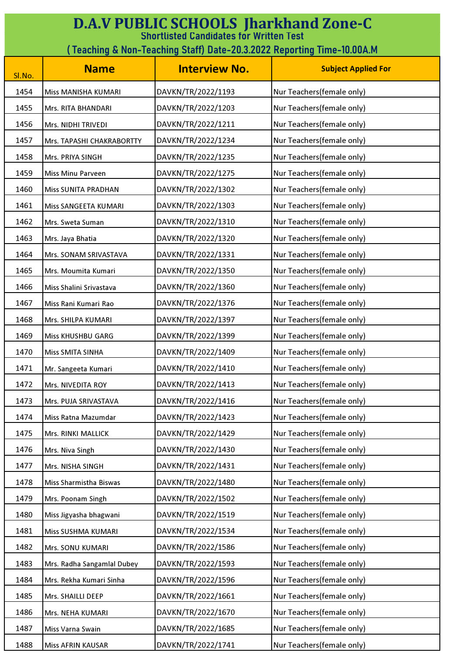| <b>D.A.V PUBLIC SCHOOLS Jharkhand Zone-C</b><br><b>Shortlisted Candidates for Written Test</b> |                            |                      |                            |
|------------------------------------------------------------------------------------------------|----------------------------|----------------------|----------------------------|
| ( Teaching & Non-Teaching Staff) Date-20.3.2022 Reporting Time-10.00A.M                        |                            |                      |                            |
| Sl.No.                                                                                         | <b>Name</b>                | <b>Interview No.</b> | <b>Subject Applied For</b> |
| 1454                                                                                           | Miss MANISHA KUMARI        | DAVKN/TR/2022/1193   | Nur Teachers(female only)  |
| 1455                                                                                           | Mrs. RITA BHANDARI         | DAVKN/TR/2022/1203   | Nur Teachers(female only)  |
| 1456                                                                                           | Mrs. NIDHI TRIVEDI         | DAVKN/TR/2022/1211   | Nur Teachers(female only)  |
| 1457                                                                                           | Mrs. TAPASHI CHAKRABORTTY  | DAVKN/TR/2022/1234   | Nur Teachers(female only)  |
| 1458                                                                                           | Mrs. PRIYA SINGH           | DAVKN/TR/2022/1235   | Nur Teachers(female only)  |
| 1459                                                                                           | <b>Miss Minu Parveen</b>   | DAVKN/TR/2022/1275   | Nur Teachers(female only)  |
| 1460                                                                                           | <b>Miss SUNITA PRADHAN</b> | DAVKN/TR/2022/1302   | Nur Teachers(female only)  |
| 1461                                                                                           | Miss SANGEETA KUMARI       | DAVKN/TR/2022/1303   | Nur Teachers(female only)  |
| 1462                                                                                           | Mrs. Sweta Suman           | DAVKN/TR/2022/1310   | Nur Teachers(female only)  |
| 1463                                                                                           | Mrs. Jaya Bhatia           | DAVKN/TR/2022/1320   | Nur Teachers(female only)  |
| 1464                                                                                           | Mrs. SONAM SRIVASTAVA      | DAVKN/TR/2022/1331   | Nur Teachers(female only)  |
| 1465                                                                                           | Mrs. Moumita Kumari        | DAVKN/TR/2022/1350   | Nur Teachers(female only)  |
| 1466                                                                                           | Miss Shalini Srivastava    | DAVKN/TR/2022/1360   | Nur Teachers(female only)  |
| 1467                                                                                           | Miss Rani Kumari Rao       | DAVKN/TR/2022/1376   | Nur Teachers(female only)  |
| 1468                                                                                           | Mrs. SHILPA KUMARI         | DAVKN/TR/2022/1397   | Nur Teachers(female only)  |
| 1469                                                                                           | <b>Miss KHUSHBU GARG</b>   | DAVKN/TR/2022/1399   | Nur Teachers(female only)  |
| 1470                                                                                           | Miss SMITA SINHA           | DAVKN/TR/2022/1409   | Nur Teachers(female only)  |
| 1471                                                                                           | Mr. Sangeeta Kumari        | DAVKN/TR/2022/1410   | Nur Teachers(female only)  |
| 1472                                                                                           | Mrs. NIVEDITA ROY          | DAVKN/TR/2022/1413   | Nur Teachers(female only)  |
| 1473                                                                                           | Mrs. PUJA SRIVASTAVA       | DAVKN/TR/2022/1416   | Nur Teachers(female only)  |
| 1474                                                                                           | Miss Ratna Mazumdar        | DAVKN/TR/2022/1423   | Nur Teachers(female only)  |
| 1475                                                                                           | Mrs. RINKI MALLICK         | DAVKN/TR/2022/1429   | Nur Teachers(female only)  |
| 1476                                                                                           | Mrs. Niva Singh            | DAVKN/TR/2022/1430   | Nur Teachers(female only)  |
| 1477                                                                                           | Mrs. NISHA SINGH           | DAVKN/TR/2022/1431   | Nur Teachers(female only)  |
| 1478                                                                                           | Miss Sharmistha Biswas     | DAVKN/TR/2022/1480   | Nur Teachers(female only)  |
| 1479                                                                                           | Mrs. Poonam Singh          | DAVKN/TR/2022/1502   | Nur Teachers(female only)  |
| 1480                                                                                           | Miss Jigyasha bhagwani     | DAVKN/TR/2022/1519   | Nur Teachers(female only)  |
| 1481                                                                                           | Miss SUSHMA KUMARI         | DAVKN/TR/2022/1534   | Nur Teachers(female only)  |
| 1482                                                                                           | Mrs. SONU KUMARI           | DAVKN/TR/2022/1586   | Nur Teachers(female only)  |
| 1483                                                                                           | Mrs. Radha Sangamlal Dubey | DAVKN/TR/2022/1593   | Nur Teachers(female only)  |
| 1484                                                                                           | Mrs. Rekha Kumari Sinha    | DAVKN/TR/2022/1596   | Nur Teachers(female only)  |
| 1485                                                                                           | Mrs. SHAILLI DEEP          | DAVKN/TR/2022/1661   | Nur Teachers(female only)  |
| 1486                                                                                           | Mrs. NEHA KUMARI           | DAVKN/TR/2022/1670   | Nur Teachers(female only)  |
| 1487                                                                                           | Miss Varna Swain           | DAVKN/TR/2022/1685   | Nur Teachers(female only)  |
| 1488                                                                                           | Miss AFRIN KAUSAR          | DAVKN/TR/2022/1741   | Nur Teachers(female only)  |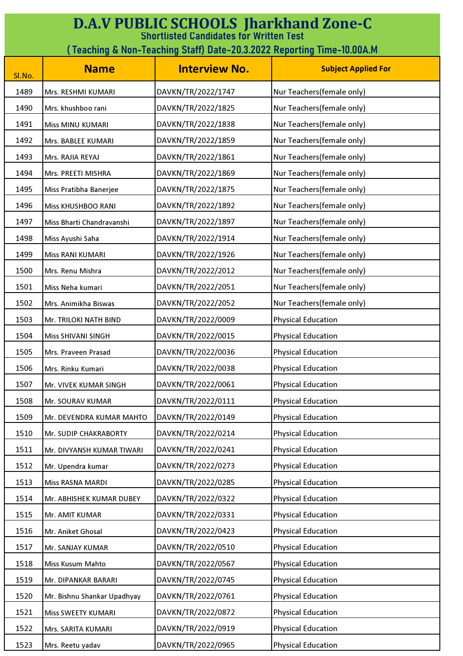| <b>D.A.V PUBLIC SCHOOLS Jharkhand Zone-C</b><br><b>Shortlisted Candidates for Written Test</b> |                             |                      |                            |
|------------------------------------------------------------------------------------------------|-----------------------------|----------------------|----------------------------|
| (Teaching & Non-Teaching Staff) Date-20.3.2022 Reporting Time-10.00A.M                         |                             |                      |                            |
| Sl.No.                                                                                         | <b>Name</b>                 | <b>Interview No.</b> | <b>Subject Applied For</b> |
| 1489                                                                                           | Mrs. RESHMI KUMARI          | DAVKN/TR/2022/1747   | Nur Teachers(female only)  |
| 1490                                                                                           | Mrs. khushboo rani          | DAVKN/TR/2022/1825   | Nur Teachers(female only)  |
| 1491                                                                                           | <b>Miss MINU KUMARI</b>     | DAVKN/TR/2022/1838   | Nur Teachers(female only)  |
| 1492                                                                                           | Mrs. BABLEE KUMARI          | DAVKN/TR/2022/1859   | Nur Teachers(female only)  |
| 1493                                                                                           | Mrs. RAJIA REYAJ            | DAVKN/TR/2022/1861   | Nur Teachers(female only)  |
| 1494                                                                                           | Mrs. PREETI MISHRA          | DAVKN/TR/2022/1869   | Nur Teachers(female only)  |
| 1495                                                                                           | Miss Pratibha Banerjee      | DAVKN/TR/2022/1875   | Nur Teachers(female only)  |
| 1496                                                                                           | Miss KHUSHBOO RANI          | DAVKN/TR/2022/1892   | Nur Teachers(female only)  |
| 1497                                                                                           | Miss Bharti Chandravanshi   | DAVKN/TR/2022/1897   | Nur Teachers(female only)  |
| 1498                                                                                           | Miss Ayushi Saha            | DAVKN/TR/2022/1914   | Nur Teachers(female only)  |
| 1499                                                                                           | Miss RANI KUMARI            | DAVKN/TR/2022/1926   | Nur Teachers(female only)  |
| 1500                                                                                           | Mrs. Renu Mishra            | DAVKN/TR/2022/2012   | Nur Teachers(female only)  |
| 1501                                                                                           | Miss Neha kumari            | DAVKN/TR/2022/2051   | Nur Teachers(female only)  |
| 1502                                                                                           | Mrs. Animikha Biswas        | DAVKN/TR/2022/2052   | Nur Teachers(female only)  |
| 1503                                                                                           | Mr. TRILOKI NATH BIND       | DAVKN/TR/2022/0009   | <b>Physical Education</b>  |
| 1504                                                                                           | Miss SHIVANI SINGH          | DAVKN/TR/2022/0015   | <b>Physical Education</b>  |
| 1505                                                                                           | Mrs. Praveen Prasad         | DAVKN/TR/2022/0036   | <b>Physical Education</b>  |
| 1506                                                                                           | Mrs. Rinku Kumari           | DAVKN/TR/2022/0038   | <b>Physical Education</b>  |
| 1507                                                                                           | Mr. VIVEK KUMAR SINGH       | DAVKN/TR/2022/0061   | <b>Physical Education</b>  |
| 1508                                                                                           | Mr. SOURAV KUMAR            | DAVKN/TR/2022/0111   | <b>Physical Education</b>  |
| 1509                                                                                           | Mr. DEVENDRA KUMAR MAHTO    | DAVKN/TR/2022/0149   | <b>Physical Education</b>  |
| 1510                                                                                           | Mr. SUDIP CHAKRABORTY       | DAVKN/TR/2022/0214   | <b>Physical Education</b>  |
| 1511                                                                                           | Mr. DIVYANSH KUMAR TIWARI   | DAVKN/TR/2022/0241   | <b>Physical Education</b>  |
| 1512                                                                                           | Mr. Upendra kumar           | DAVKN/TR/2022/0273   | <b>Physical Education</b>  |
| 1513                                                                                           | Miss RASNA MARDI            | DAVKN/TR/2022/0285   | <b>Physical Education</b>  |
| 1514                                                                                           | Mr. ABHISHEK KUMAR DUBEY    | DAVKN/TR/2022/0322   | Physical Education         |
| 1515                                                                                           | Mr. AMIT KUMAR              | DAVKN/TR/2022/0331   | <b>Physical Education</b>  |
| 1516                                                                                           | Mr. Aniket Ghosal           | DAVKN/TR/2022/0423   | <b>Physical Education</b>  |
| 1517                                                                                           | Mr. SANJAY KUMAR            | DAVKN/TR/2022/0510   | <b>Physical Education</b>  |
| 1518                                                                                           | Miss Kusum Mahto            | DAVKN/TR/2022/0567   | Physical Education         |
| 1519                                                                                           | Mr. DIPANKAR BARARI         | DAVKN/TR/2022/0745   | <b>Physical Education</b>  |
| 1520                                                                                           | Mr. Bishnu Shankar Upadhyay | DAVKN/TR/2022/0761   | <b>Physical Education</b>  |
| 1521                                                                                           | Miss SWEETY KUMARI          | DAVKN/TR/2022/0872   | <b>Physical Education</b>  |
| 1522                                                                                           | Mrs. SARITA KUMARI          | DAVKN/TR/2022/0919   | <b>Physical Education</b>  |
| 1523                                                                                           | Mrs. Reetu yadav            | DAVKN/TR/2022/0965   | <b>Physical Education</b>  |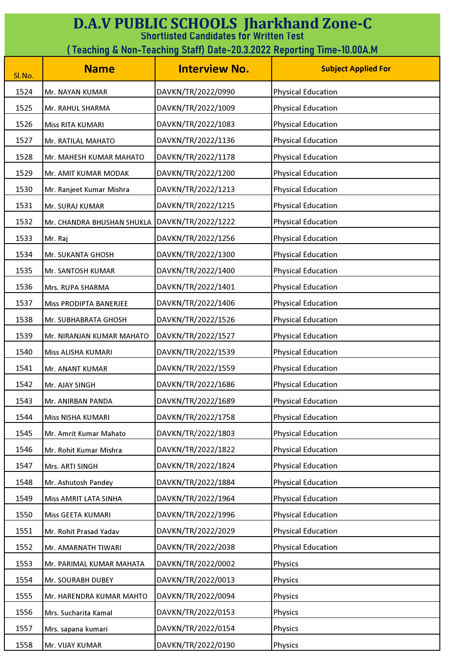| <b>D.A.V PUBLIC SCHOOLS Jharkhand Zone-C</b><br><b>Shortlisted Candidates for Written Test</b> |                                                                        |                      |                            |  |
|------------------------------------------------------------------------------------------------|------------------------------------------------------------------------|----------------------|----------------------------|--|
|                                                                                                | (Teaching & Non-Teaching Staff) Date-20.3.2022 Reporting Time-10.00A.M |                      |                            |  |
| Sl.No.                                                                                         | <b>Name</b>                                                            | <b>Interview No.</b> | <b>Subject Applied For</b> |  |
| 1524                                                                                           | Mr. NAYAN KUMAR                                                        | DAVKN/TR/2022/0990   | <b>Physical Education</b>  |  |
| 1525                                                                                           | Mr. RAHUL SHARMA                                                       | DAVKN/TR/2022/1009   | <b>Physical Education</b>  |  |
| 1526                                                                                           | Miss RITA KUMARI                                                       | DAVKN/TR/2022/1083   | <b>Physical Education</b>  |  |
| 1527                                                                                           | Mr. RATILAL MAHATO                                                     | DAVKN/TR/2022/1136   | <b>Physical Education</b>  |  |
| 1528                                                                                           | Mr. MAHESH KUMAR MAHATO                                                | DAVKN/TR/2022/1178   | <b>Physical Education</b>  |  |
| 1529                                                                                           | Mr. AMIT KUMAR MODAK                                                   | DAVKN/TR/2022/1200   | <b>Physical Education</b>  |  |
| 1530                                                                                           | Mr. Ranjeet Kumar Mishra                                               | DAVKN/TR/2022/1213   | <b>Physical Education</b>  |  |
| 1531                                                                                           | Mr. SURAJ KUMAR                                                        | DAVKN/TR/2022/1215   | <b>Physical Education</b>  |  |
| 1532                                                                                           | Mr. CHANDRA BHUSHAN SHUKLA                                             | DAVKN/TR/2022/1222   | <b>Physical Education</b>  |  |
| 1533                                                                                           | Mr. Raj                                                                | DAVKN/TR/2022/1256   | <b>Physical Education</b>  |  |
| 1534                                                                                           | Mr. SUKANTA GHOSH                                                      | DAVKN/TR/2022/1300   | <b>Physical Education</b>  |  |
| 1535                                                                                           | Mr. SANTOSH KUMAR                                                      | DAVKN/TR/2022/1400   | <b>Physical Education</b>  |  |
| 1536                                                                                           | Mrs. RUPA SHARMA                                                       | DAVKN/TR/2022/1401   | <b>Physical Education</b>  |  |
| 1537                                                                                           | Miss PRODIPTA BANERJEE                                                 | DAVKN/TR/2022/1406   | <b>Physical Education</b>  |  |
| 1538                                                                                           | Mr. SUBHABRATA GHOSH                                                   | DAVKN/TR/2022/1526   | <b>Physical Education</b>  |  |
| 1539                                                                                           | Mr. NIRANJAN KUMAR MAHATO                                              | DAVKN/TR/2022/1527   | <b>Physical Education</b>  |  |
| 1540                                                                                           | Miss ALISHA KUMARI                                                     | DAVKN/TR/2022/1539   | <b>Physical Education</b>  |  |
| 1541                                                                                           | Mr. ANANT KUMAR                                                        | DAVKN/TR/2022/1559   | <b>Physical Education</b>  |  |
| 1542                                                                                           | Mr. AJAY SINGH                                                         | DAVKN/TR/2022/1686   | <b>Physical Education</b>  |  |
| 1543                                                                                           | Mr. ANIRBAN PANDA                                                      | DAVKN/TR/2022/1689   | <b>Physical Education</b>  |  |
| 1544                                                                                           | Miss NISHA KUMARI                                                      | DAVKN/TR/2022/1758   | <b>Physical Education</b>  |  |
| 1545                                                                                           | Mr. Amrit Kumar Mahato                                                 | DAVKN/TR/2022/1803   | <b>Physical Education</b>  |  |
| 1546                                                                                           | Mr. Rohit Kumar Mishra                                                 | DAVKN/TR/2022/1822   | <b>Physical Education</b>  |  |
| 1547                                                                                           | Mrs. ARTI SINGH                                                        | DAVKN/TR/2022/1824   | <b>Physical Education</b>  |  |
| 1548                                                                                           | Mr. Ashutosh Pandey                                                    | DAVKN/TR/2022/1884   | <b>Physical Education</b>  |  |
| 1549                                                                                           | Miss AMRIT LATA SINHA                                                  | DAVKN/TR/2022/1964   | <b>Physical Education</b>  |  |
| 1550                                                                                           | Miss GEETA KUMARI                                                      | DAVKN/TR/2022/1996   | <b>Physical Education</b>  |  |
| 1551                                                                                           | Mr. Rohit Prasad Yadav                                                 | DAVKN/TR/2022/2029   | <b>Physical Education</b>  |  |
| 1552                                                                                           | Mr. AMARNATH TIWARI                                                    | DAVKN/TR/2022/2038   | <b>Physical Education</b>  |  |
| 1553                                                                                           | Mr. PARIMAL KUMAR MAHATA                                               | DAVKN/TR/2022/0002   | Physics                    |  |
| 1554                                                                                           | Mr. SOURABH DUBEY                                                      | DAVKN/TR/2022/0013   | Physics                    |  |
| 1555                                                                                           | Mr. HARENDRA KUMAR MAHTO                                               | DAVKN/TR/2022/0094   | Physics                    |  |
| 1556                                                                                           | Mrs. Sucharita Kamal                                                   | DAVKN/TR/2022/0153   | Physics                    |  |
| 1557                                                                                           | Mrs. sapana kumari                                                     | DAVKN/TR/2022/0154   | Physics                    |  |
| 1558                                                                                           | Mr. VIJAY KUMAR                                                        | DAVKN/TR/2022/0190   | Physics                    |  |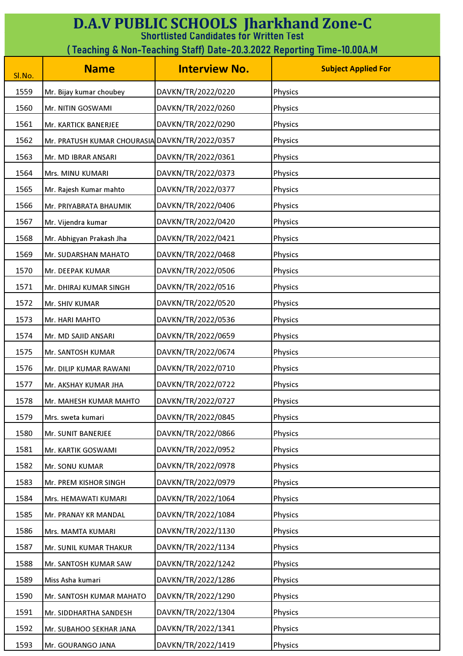| <b>D.A.V PUBLIC SCHOOLS Jharkhand Zone-C</b><br><b>Shortlisted Candidates for Written Test</b> |                                                                         |                      |                            |  |
|------------------------------------------------------------------------------------------------|-------------------------------------------------------------------------|----------------------|----------------------------|--|
|                                                                                                | ( Teaching & Non-Teaching Staff) Date-20.3.2022 Reporting Time-10.00A.M |                      |                            |  |
| Sl.No.                                                                                         | <b>Name</b>                                                             | <b>Interview No.</b> | <b>Subject Applied For</b> |  |
| 1559                                                                                           | Mr. Bijay kumar choubey                                                 | DAVKN/TR/2022/0220   | Physics                    |  |
| 1560                                                                                           | Mr. NITIN GOSWAMI                                                       | DAVKN/TR/2022/0260   | Physics                    |  |
| 1561                                                                                           | Mr. KARTICK BANERJEE                                                    | DAVKN/TR/2022/0290   | Physics                    |  |
| 1562                                                                                           | Mr. PRATUSH KUMAR CHOURASIA DAVKN/TR/2022/0357                          |                      | Physics                    |  |
| 1563                                                                                           | Mr. MD IBRAR ANSARI                                                     | DAVKN/TR/2022/0361   | Physics                    |  |
| 1564                                                                                           | Mrs. MINU KUMARI                                                        | DAVKN/TR/2022/0373   | Physics                    |  |
| 1565                                                                                           | Mr. Rajesh Kumar mahto                                                  | DAVKN/TR/2022/0377   | Physics                    |  |
| 1566                                                                                           | Mr. PRIYABRATA BHAUMIK                                                  | DAVKN/TR/2022/0406   | Physics                    |  |
| 1567                                                                                           | Mr. Vijendra kumar                                                      | DAVKN/TR/2022/0420   | Physics                    |  |
| 1568                                                                                           | Mr. Abhigyan Prakash Jha                                                | DAVKN/TR/2022/0421   | Physics                    |  |
| 1569                                                                                           | Mr. SUDARSHAN MAHATO                                                    | DAVKN/TR/2022/0468   | Physics                    |  |
| 1570                                                                                           | Mr. DEEPAK KUMAR                                                        | DAVKN/TR/2022/0506   | Physics                    |  |
| 1571                                                                                           | Mr. DHIRAJ KUMAR SINGH                                                  | DAVKN/TR/2022/0516   | Physics                    |  |
| 1572                                                                                           | Mr. SHIV KUMAR                                                          | DAVKN/TR/2022/0520   | Physics                    |  |
| 1573                                                                                           | Mr. HARI MAHTO                                                          | DAVKN/TR/2022/0536   | Physics                    |  |
| 1574                                                                                           | Mr. MD SAJID ANSARI                                                     | DAVKN/TR/2022/0659   | Physics                    |  |
| 1575                                                                                           | Mr. SANTOSH KUMAR                                                       | DAVKN/TR/2022/0674   | Physics                    |  |
| 1576                                                                                           | Mr. DILIP KUMAR RAWANI                                                  | DAVKN/TR/2022/0710   | Physics                    |  |
| 1577                                                                                           | Mr. AKSHAY KUMAR JHA                                                    | DAVKN/TR/2022/0722   | Physics                    |  |
| 1578                                                                                           | Mr. MAHESH KUMAR MAHTO                                                  | DAVKN/TR/2022/0727   | Physics                    |  |
| 1579                                                                                           | Mrs. sweta kumari                                                       | DAVKN/TR/2022/0845   | Physics                    |  |
| 1580                                                                                           | Mr. SUNIT BANERJEE                                                      | DAVKN/TR/2022/0866   | Physics                    |  |
| 1581                                                                                           | Mr. KARTIK GOSWAMI                                                      | DAVKN/TR/2022/0952   | Physics                    |  |
| 1582                                                                                           | Mr. SONU KUMAR                                                          | DAVKN/TR/2022/0978   | Physics                    |  |
| 1583                                                                                           | Mr. PREM KISHOR SINGH                                                   | DAVKN/TR/2022/0979   | Physics                    |  |
| 1584                                                                                           | Mrs. HEMAWATI KUMARI                                                    | DAVKN/TR/2022/1064   | Physics                    |  |
| 1585                                                                                           | Mr. PRANAY KR MANDAL                                                    | DAVKN/TR/2022/1084   | Physics                    |  |
| 1586                                                                                           | Mrs. MAMTA KUMARI                                                       | DAVKN/TR/2022/1130   | Physics                    |  |
| 1587                                                                                           | Mr. SUNIL KUMAR THAKUR                                                  | DAVKN/TR/2022/1134   | Physics                    |  |
| 1588                                                                                           | Mr. SANTOSH KUMAR SAW                                                   | DAVKN/TR/2022/1242   | Physics                    |  |
| 1589                                                                                           | Miss Asha kumari                                                        | DAVKN/TR/2022/1286   | Physics                    |  |
| 1590                                                                                           | Mr. SANTOSH KUMAR MAHATO                                                | DAVKN/TR/2022/1290   | Physics                    |  |
| 1591                                                                                           | Mr. SIDDHARTHA SANDESH                                                  | DAVKN/TR/2022/1304   | Physics                    |  |
| 1592                                                                                           | Mr. SUBAHOO SEKHAR JANA                                                 | DAVKN/TR/2022/1341   | Physics                    |  |
| 1593                                                                                           | Mr. GOURANGO JANA                                                       | DAVKN/TR/2022/1419   | Physics                    |  |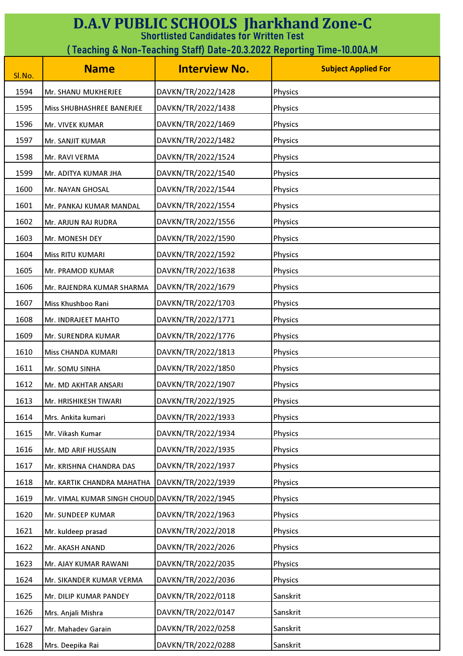| <b>D.A.V PUBLIC SCHOOLS Jharkhand Zone-C</b><br><b>Shortlisted Candidates for Written Test</b> |                                                                        |                      |                            |  |
|------------------------------------------------------------------------------------------------|------------------------------------------------------------------------|----------------------|----------------------------|--|
|                                                                                                | (Teaching & Non-Teaching Staff) Date-20.3.2022 Reporting Time-10.00A.M |                      |                            |  |
| Sl.No.                                                                                         | <b>Name</b>                                                            | <b>Interview No.</b> | <b>Subject Applied For</b> |  |
| 1594                                                                                           | Mr. SHANU MUKHERJEE                                                    | DAVKN/TR/2022/1428   | Physics                    |  |
| 1595                                                                                           | Miss SHUBHASHREE BANERJEE                                              | DAVKN/TR/2022/1438   | Physics                    |  |
| 1596                                                                                           | Mr. VIVEK KUMAR                                                        | DAVKN/TR/2022/1469   | Physics                    |  |
| 1597                                                                                           | Mr. SANJIT KUMAR                                                       | DAVKN/TR/2022/1482   | Physics                    |  |
| 1598                                                                                           | Mr. RAVI VERMA                                                         | DAVKN/TR/2022/1524   | Physics                    |  |
| 1599                                                                                           | Mr. ADITYA KUMAR JHA                                                   | DAVKN/TR/2022/1540   | Physics                    |  |
| 1600                                                                                           | Mr. NAYAN GHOSAL                                                       | DAVKN/TR/2022/1544   | Physics                    |  |
| 1601                                                                                           | Mr. PANKAJ KUMAR MANDAL                                                | DAVKN/TR/2022/1554   | Physics                    |  |
| 1602                                                                                           | Mr. ARJUN RAJ RUDRA                                                    | DAVKN/TR/2022/1556   | Physics                    |  |
| 1603                                                                                           | Mr. MONESH DEY                                                         | DAVKN/TR/2022/1590   | Physics                    |  |
| 1604                                                                                           | Miss RITU KUMARI                                                       | DAVKN/TR/2022/1592   | Physics                    |  |
| 1605                                                                                           | Mr. PRAMOD KUMAR                                                       | DAVKN/TR/2022/1638   | Physics                    |  |
| 1606                                                                                           | Mr. RAJENDRA KUMAR SHARMA                                              | DAVKN/TR/2022/1679   | Physics                    |  |
| 1607                                                                                           | Miss Khushboo Rani                                                     | DAVKN/TR/2022/1703   | Physics                    |  |
| 1608                                                                                           | Mr. INDRAJEET MAHTO                                                    | DAVKN/TR/2022/1771   | Physics                    |  |
| 1609                                                                                           | Mr. SURENDRA KUMAR                                                     | DAVKN/TR/2022/1776   | Physics                    |  |
| 1610                                                                                           | Miss CHANDA KUMARI                                                     | DAVKN/TR/2022/1813   | Physics                    |  |
| 1611                                                                                           | Mr. SOMU SINHA                                                         | DAVKN/TR/2022/1850   | Physics                    |  |
| 1612                                                                                           | Mr. MD AKHTAR ANSARI                                                   | DAVKN/TR/2022/1907   | Physics                    |  |
| 1613                                                                                           | Mr. HRISHIKESH TIWARI                                                  | DAVKN/TR/2022/1925   | Physics                    |  |
| 1614                                                                                           | Mrs. Ankita kumari                                                     | DAVKN/TR/2022/1933   | Physics                    |  |
| 1615                                                                                           | Mr. Vikash Kumar                                                       | DAVKN/TR/2022/1934   | Physics                    |  |
| 1616                                                                                           | Mr. MD ARIF HUSSAIN                                                    | DAVKN/TR/2022/1935   | Physics                    |  |
| 1617                                                                                           | Mr. KRISHNA CHANDRA DAS                                                | DAVKN/TR/2022/1937   | Physics                    |  |
| 1618                                                                                           | Mr. KARTIK CHANDRA MAHATHA                                             | DAVKN/TR/2022/1939   | Physics                    |  |
| 1619                                                                                           | Mr. VIMAL KUMAR SINGH CHOUD DAVKN/TR/2022/1945                         |                      | Physics                    |  |
| 1620                                                                                           | Mr. SUNDEEP KUMAR                                                      | DAVKN/TR/2022/1963   | Physics                    |  |
| 1621                                                                                           | Mr. kuldeep prasad                                                     | DAVKN/TR/2022/2018   | Physics                    |  |
| 1622                                                                                           | Mr. AKASH ANAND                                                        | DAVKN/TR/2022/2026   | Physics                    |  |
| 1623                                                                                           | Mr. AJAY KUMAR RAWANI                                                  | DAVKN/TR/2022/2035   | Physics                    |  |
| 1624                                                                                           | Mr. SIKANDER KUMAR VERMA                                               | DAVKN/TR/2022/2036   | Physics                    |  |
| 1625                                                                                           | Mr. DILIP KUMAR PANDEY                                                 | DAVKN/TR/2022/0118   | Sanskrit                   |  |
| 1626                                                                                           | Mrs. Anjali Mishra                                                     | DAVKN/TR/2022/0147   | Sanskrit                   |  |
| 1627                                                                                           | Mr. Mahadev Garain                                                     | DAVKN/TR/2022/0258   | Sanskrit                   |  |
| 1628                                                                                           | Mrs. Deepika Rai                                                       | DAVKN/TR/2022/0288   | Sanskrit                   |  |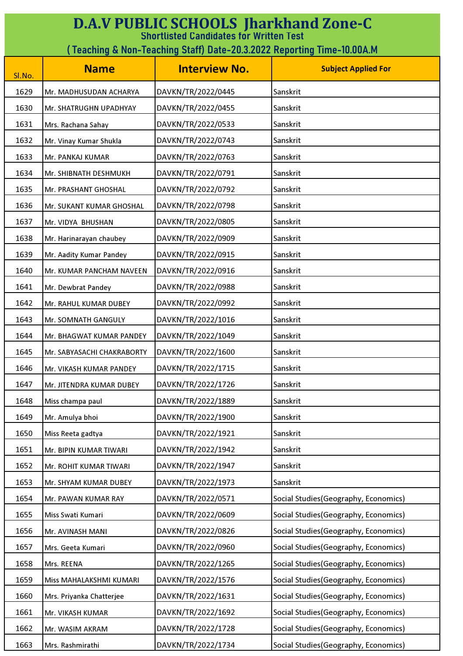| <b>D.A.V PUBLIC SCHOOLS Jharkhand Zone-C</b><br><b>Shortlisted Candidates for Written Test</b> |                                                                        |                      |                                       |  |
|------------------------------------------------------------------------------------------------|------------------------------------------------------------------------|----------------------|---------------------------------------|--|
|                                                                                                | (Teaching & Non-Teaching Staff) Date-20.3.2022 Reporting Time-10.00A.M |                      |                                       |  |
| Sl.No.                                                                                         | <b>Name</b>                                                            | <b>Interview No.</b> | <b>Subject Applied For</b>            |  |
| 1629                                                                                           | Mr. MADHUSUDAN ACHARYA                                                 | DAVKN/TR/2022/0445   | Sanskrit                              |  |
| 1630                                                                                           | Mr. SHATRUGHN UPADHYAY                                                 | DAVKN/TR/2022/0455   | Sanskrit                              |  |
| 1631                                                                                           | Mrs. Rachana Sahay                                                     | DAVKN/TR/2022/0533   | Sanskrit                              |  |
| 1632                                                                                           | Mr. Vinay Kumar Shukla                                                 | DAVKN/TR/2022/0743   | Sanskrit                              |  |
| 1633                                                                                           | Mr. PANKAJ KUMAR                                                       | DAVKN/TR/2022/0763   | Sanskrit                              |  |
| 1634                                                                                           | Mr. SHIBNATH DESHMUKH                                                  | DAVKN/TR/2022/0791   | Sanskrit                              |  |
| 1635                                                                                           | Mr. PRASHANT GHOSHAL                                                   | DAVKN/TR/2022/0792   | Sanskrit                              |  |
| 1636                                                                                           | Mr. SUKANT KUMAR GHOSHAL                                               | DAVKN/TR/2022/0798   | Sanskrit                              |  |
| 1637                                                                                           | Mr. VIDYA BHUSHAN                                                      | DAVKN/TR/2022/0805   | Sanskrit                              |  |
| 1638                                                                                           | Mr. Harinarayan chaubey                                                | DAVKN/TR/2022/0909   | Sanskrit                              |  |
| 1639                                                                                           | Mr. Aadity Kumar Pandey                                                | DAVKN/TR/2022/0915   | Sanskrit                              |  |
| 1640                                                                                           | Mr. KUMAR PANCHAM NAVEEN                                               | DAVKN/TR/2022/0916   | Sanskrit                              |  |
| 1641                                                                                           | Mr. Dewbrat Pandey                                                     | DAVKN/TR/2022/0988   | Sanskrit                              |  |
| 1642                                                                                           | Mr. RAHUL KUMAR DUBEY                                                  | DAVKN/TR/2022/0992   | Sanskrit                              |  |
| 1643                                                                                           | Mr. SOMNATH GANGULY                                                    | DAVKN/TR/2022/1016   | Sanskrit                              |  |
| 1644                                                                                           | Mr. BHAGWAT KUMAR PANDEY                                               | DAVKN/TR/2022/1049   | Sanskrit                              |  |
| 1645                                                                                           | Mr. SABYASACHI CHAKRABORTY                                             | DAVKN/TR/2022/1600   | Sanskrit                              |  |
| 1646                                                                                           | Mr. VIKASH KUMAR PANDEY                                                | DAVKN/TR/2022/1715   | Sanskrit                              |  |
| 1647                                                                                           | Mr. JITENDRA KUMAR DUBEY                                               | DAVKN/TR/2022/1726   | Sanskrit                              |  |
| 1648                                                                                           | Miss champa paul                                                       | DAVKN/TR/2022/1889   | Sanskrit                              |  |
| 1649                                                                                           | Mr. Amulya bhoi                                                        | DAVKN/TR/2022/1900   | Sanskrit                              |  |
| 1650                                                                                           | Miss Reeta gadtya                                                      | DAVKN/TR/2022/1921   | Sanskrit                              |  |
| 1651                                                                                           | Mr. BIPIN KUMAR TIWARI                                                 | DAVKN/TR/2022/1942   | Sanskrit                              |  |
| 1652                                                                                           | Mr. ROHIT KUMAR TIWARI                                                 | DAVKN/TR/2022/1947   | Sanskrit                              |  |
| 1653                                                                                           | Mr. SHYAM KUMAR DUBEY                                                  | DAVKN/TR/2022/1973   | Sanskrit                              |  |
| 1654                                                                                           | Mr. PAWAN KUMAR RAY                                                    | DAVKN/TR/2022/0571   | Social Studies (Geography, Economics) |  |
| 1655                                                                                           | Miss Swati Kumari                                                      | DAVKN/TR/2022/0609   | Social Studies (Geography, Economics) |  |
| 1656                                                                                           | Mr. AVINASH MANI                                                       | DAVKN/TR/2022/0826   | Social Studies (Geography, Economics) |  |
| 1657                                                                                           | Mrs. Geeta Kumari                                                      | DAVKN/TR/2022/0960   | Social Studies (Geography, Economics) |  |
| 1658                                                                                           | Mrs. REENA                                                             | DAVKN/TR/2022/1265   | Social Studies (Geography, Economics) |  |
| 1659                                                                                           | Miss MAHALAKSHMI KUMARI                                                | DAVKN/TR/2022/1576   | Social Studies (Geography, Economics) |  |
| 1660                                                                                           | Mrs. Priyanka Chatterjee                                               | DAVKN/TR/2022/1631   | Social Studies (Geography, Economics) |  |
| 1661                                                                                           | Mr. VIKASH KUMAR                                                       | DAVKN/TR/2022/1692   | Social Studies (Geography, Economics) |  |
| 1662                                                                                           | Mr. WASIM AKRAM                                                        | DAVKN/TR/2022/1728   | Social Studies (Geography, Economics) |  |
| 1663                                                                                           | Mrs. Rashmirathi                                                       | DAVKN/TR/2022/1734   | Social Studies (Geography, Economics) |  |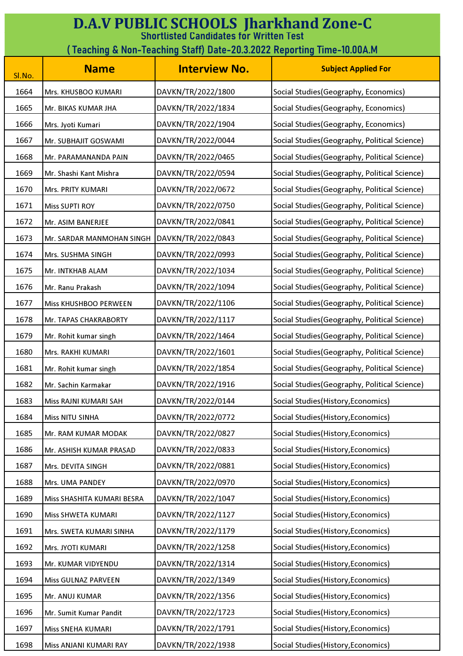| <b>D.A.V PUBLIC SCHOOLS Jharkhand Zone-C</b><br><b>Shortlisted Candidates for Written Test</b><br>(Teaching & Non-Teaching Staff) Date-20.3.2022 Reporting Time-10.00A.M |                            |                      |                                               |
|--------------------------------------------------------------------------------------------------------------------------------------------------------------------------|----------------------------|----------------------|-----------------------------------------------|
| Sl.No.                                                                                                                                                                   | <b>Name</b>                | <b>Interview No.</b> | <b>Subject Applied For</b>                    |
| 1664                                                                                                                                                                     | Mrs. KHUSBOO KUMARI        | DAVKN/TR/2022/1800   | Social Studies (Geography, Economics)         |
| 1665                                                                                                                                                                     | Mr. BIKAS KUMAR JHA        | DAVKN/TR/2022/1834   | Social Studies (Geography, Economics)         |
| 1666                                                                                                                                                                     | Mrs. Jyoti Kumari          | DAVKN/TR/2022/1904   | Social Studies (Geography, Economics)         |
| 1667                                                                                                                                                                     | Mr. SUBHAJIT GOSWAMI       | DAVKN/TR/2022/0044   | Social Studies (Geography, Political Science) |
| 1668                                                                                                                                                                     | Mr. PARAMANANDA PAIN       | DAVKN/TR/2022/0465   | Social Studies (Geography, Political Science) |
| 1669                                                                                                                                                                     | Mr. Shashi Kant Mishra     | DAVKN/TR/2022/0594   | Social Studies (Geography, Political Science) |
| 1670                                                                                                                                                                     | Mrs. PRITY KUMARI          | DAVKN/TR/2022/0672   | Social Studies (Geography, Political Science) |
| 1671                                                                                                                                                                     | <b>Miss SUPTI ROY</b>      | DAVKN/TR/2022/0750   | Social Studies (Geography, Political Science) |
| 1672                                                                                                                                                                     | Mr. ASIM BANERJEE          | DAVKN/TR/2022/0841   | Social Studies (Geography, Political Science) |
| 1673                                                                                                                                                                     | Mr. SARDAR MANMOHAN SINGH  | DAVKN/TR/2022/0843   | Social Studies (Geography, Political Science) |
| 1674                                                                                                                                                                     | Mrs. SUSHMA SINGH          | DAVKN/TR/2022/0993   | Social Studies (Geography, Political Science) |
| 1675                                                                                                                                                                     | Mr. INTKHAB ALAM           | DAVKN/TR/2022/1034   | Social Studies (Geography, Political Science) |
| 1676                                                                                                                                                                     | Mr. Ranu Prakash           | DAVKN/TR/2022/1094   | Social Studies (Geography, Political Science) |
| 1677                                                                                                                                                                     | Miss KHUSHBOO PERWEEN      | DAVKN/TR/2022/1106   | Social Studies (Geography, Political Science) |
| 1678                                                                                                                                                                     | Mr. TAPAS CHAKRABORTY      | DAVKN/TR/2022/1117   | Social Studies (Geography, Political Science) |
| 1679                                                                                                                                                                     | Mr. Rohit kumar singh      | DAVKN/TR/2022/1464   | Social Studies (Geography, Political Science) |
| 1680                                                                                                                                                                     | Mrs. RAKHI KUMARI          | DAVKN/TR/2022/1601   | Social Studies (Geography, Political Science) |
| 1681                                                                                                                                                                     | Mr. Rohit kumar singh      | DAVKN/TR/2022/1854   | Social Studies (Geography, Political Science) |
| 1682                                                                                                                                                                     | Mr. Sachin Karmakar        | DAVKN/TR/2022/1916   | Social Studies (Geography, Political Science) |
| 1683                                                                                                                                                                     | Miss RAJNI KUMARI SAH      | DAVKN/TR/2022/0144   | Social Studies(History, Economics)            |
| 1684                                                                                                                                                                     | Miss NITU SINHA            | DAVKN/TR/2022/0772   | Social Studies(History, Economics)            |
| 1685                                                                                                                                                                     | Mr. RAM KUMAR MODAK        | DAVKN/TR/2022/0827   | Social Studies (History, Economics)           |
| 1686                                                                                                                                                                     | Mr. ASHISH KUMAR PRASAD    | DAVKN/TR/2022/0833   | Social Studies(History, Economics)            |
| 1687                                                                                                                                                                     | Mrs. DEVITA SINGH          | DAVKN/TR/2022/0881   | Social Studies (History, Economics)           |
| 1688                                                                                                                                                                     | Mrs. UMA PANDEY            | DAVKN/TR/2022/0970   | Social Studies(History, Economics)            |
| 1689                                                                                                                                                                     | Miss SHASHITA KUMARI BESRA | DAVKN/TR/2022/1047   | Social Studies(History, Economics)            |
| 1690                                                                                                                                                                     | Miss SHWETA KUMARI         | DAVKN/TR/2022/1127   | Social Studies(History, Economics)            |
| 1691                                                                                                                                                                     | Mrs. SWETA KUMARI SINHA    | DAVKN/TR/2022/1179   | Social Studies(History, Economics)            |
| 1692                                                                                                                                                                     | Mrs. JYOTI KUMARI          | DAVKN/TR/2022/1258   | Social Studies (History, Economics)           |
| 1693                                                                                                                                                                     | Mr. KUMAR VIDYENDU         | DAVKN/TR/2022/1314   | Social Studies(History, Economics)            |
| 1694                                                                                                                                                                     | Miss GULNAZ PARVEEN        | DAVKN/TR/2022/1349   | Social Studies(History, Economics)            |
| 1695                                                                                                                                                                     | Mr. ANUJ KUMAR             | DAVKN/TR/2022/1356   | Social Studies(History, Economics)            |
| 1696                                                                                                                                                                     | Mr. Sumit Kumar Pandit     | DAVKN/TR/2022/1723   | Social Studies (History, Economics)           |
| 1697                                                                                                                                                                     | Miss SNEHA KUMARI          | DAVKN/TR/2022/1791   | Social Studies(History, Economics)            |
| 1698                                                                                                                                                                     | Miss ANJANI KUMARI RAY     | DAVKN/TR/2022/1938   | Social Studies(History, Economics)            |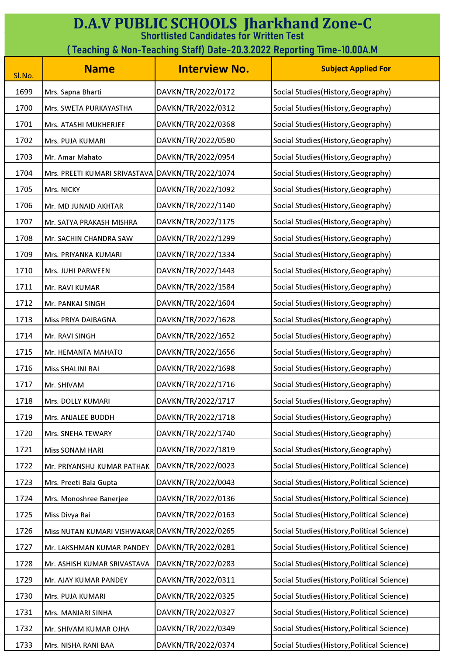| <b>D.A.V PUBLIC SCHOOLS Jharkhand Zone-C</b><br><b>Shortlisted Candidates for Written Test</b><br>( Teaching & Non-Teaching Staff) Date-20.3.2022 Reporting Time-10.00A.M |                                                |                      |                                             |
|---------------------------------------------------------------------------------------------------------------------------------------------------------------------------|------------------------------------------------|----------------------|---------------------------------------------|
|                                                                                                                                                                           |                                                |                      |                                             |
| Sl.No.                                                                                                                                                                    | <b>Name</b>                                    | <b>Interview No.</b> | <b>Subject Applied For</b>                  |
| 1699                                                                                                                                                                      | Mrs. Sapna Bharti                              | DAVKN/TR/2022/0172   | Social Studies (History, Geography)         |
| 1700                                                                                                                                                                      | Mrs. SWETA PURKAYASTHA                         | DAVKN/TR/2022/0312   | Social Studies (History, Geography)         |
| 1701                                                                                                                                                                      | Mrs. ATASHI MUKHERJEE                          | DAVKN/TR/2022/0368   | Social Studies (History, Geography)         |
| 1702                                                                                                                                                                      | Mrs. PUJA KUMARI                               | DAVKN/TR/2022/0580   | Social Studies (History, Geography)         |
| 1703                                                                                                                                                                      | Mr. Amar Mahato                                | DAVKN/TR/2022/0954   | Social Studies (History, Geography)         |
| 1704                                                                                                                                                                      | Mrs. PREETI KUMARI SRIVASTAVA                  | DAVKN/TR/2022/1074   | Social Studies (History, Geography)         |
| 1705                                                                                                                                                                      | Mrs. NICKY                                     | DAVKN/TR/2022/1092   | Social Studies (History, Geography)         |
| 1706                                                                                                                                                                      | Mr. MD JUNAID AKHTAR                           | DAVKN/TR/2022/1140   | Social Studies (History, Geography)         |
| 1707                                                                                                                                                                      | Mr. SATYA PRAKASH MISHRA                       | DAVKN/TR/2022/1175   | Social Studies (History, Geography)         |
| 1708                                                                                                                                                                      | Mr. SACHIN CHANDRA SAW                         | DAVKN/TR/2022/1299   | Social Studies (History, Geography)         |
| 1709                                                                                                                                                                      | Mrs. PRIYANKA KUMARI                           | DAVKN/TR/2022/1334   | Social Studies (History, Geography)         |
| 1710                                                                                                                                                                      | Mrs. JUHI PARWEEN                              | DAVKN/TR/2022/1443   | Social Studies (History, Geography)         |
| 1711                                                                                                                                                                      | Mr. RAVI KUMAR                                 | DAVKN/TR/2022/1584   | Social Studies (History, Geography)         |
| 1712                                                                                                                                                                      | Mr. PANKAJ SINGH                               | DAVKN/TR/2022/1604   | Social Studies (History, Geography)         |
| 1713                                                                                                                                                                      | Miss PRIYA DAIBAGNA                            | DAVKN/TR/2022/1628   | Social Studies (History, Geography)         |
| 1714                                                                                                                                                                      | Mr. RAVI SINGH                                 | DAVKN/TR/2022/1652   | Social Studies(History, Geography)          |
| 1715                                                                                                                                                                      | Mr. HEMANTA MAHATO                             | DAVKN/TR/2022/1656   | Social Studies (History, Geography)         |
| 1716                                                                                                                                                                      | Miss SHALINI RAI                               | DAVKN/TR/2022/1698   | Social Studies(History, Geography)          |
| 1717                                                                                                                                                                      | Mr. SHIVAM                                     | DAVKN/TR/2022/1716   | Social Studies (History, Geography)         |
| 1718                                                                                                                                                                      | Mrs. DOLLY KUMARI                              | DAVKN/TR/2022/1717   | Social Studies(History, Geography)          |
| 1719                                                                                                                                                                      | Mrs. ANJALEE BUDDH                             | DAVKN/TR/2022/1718   | Social Studies (History, Geography)         |
| 1720                                                                                                                                                                      | Mrs. SNEHA TEWARY                              | DAVKN/TR/2022/1740   | Social Studies (History, Geography)         |
| 1721                                                                                                                                                                      | <b>Miss SONAM HARI</b>                         | DAVKN/TR/2022/1819   | Social Studies (History, Geography)         |
| 1722                                                                                                                                                                      | Mr. PRIYANSHU KUMAR PATHAK                     | DAVKN/TR/2022/0023   | Social Studies (History, Political Science) |
| 1723                                                                                                                                                                      | Mrs. Preeti Bala Gupta                         | DAVKN/TR/2022/0043   | Social Studies (History, Political Science) |
| 1724                                                                                                                                                                      | Mrs. Monoshree Banerjee                        | DAVKN/TR/2022/0136   | Social Studies (History, Political Science) |
| 1725                                                                                                                                                                      | Miss Divya Rai                                 | DAVKN/TR/2022/0163   | Social Studies (History, Political Science) |
| 1726                                                                                                                                                                      | Miss NUTAN KUMARI VISHWAKAR DAVKN/TR/2022/0265 |                      | Social Studies (History, Political Science) |
| 1727                                                                                                                                                                      | Mr. LAKSHMAN KUMAR PANDEY                      | DAVKN/TR/2022/0281   | Social Studies (History, Political Science) |
| 1728                                                                                                                                                                      | Mr. ASHISH KUMAR SRIVASTAVA                    | DAVKN/TR/2022/0283   | Social Studies (History, Political Science) |
| 1729                                                                                                                                                                      | Mr. AJAY KUMAR PANDEY                          | DAVKN/TR/2022/0311   | Social Studies (History, Political Science) |
| 1730                                                                                                                                                                      | Mrs. PUJA KUMARI                               | DAVKN/TR/2022/0325   | Social Studies (History, Political Science) |
| 1731                                                                                                                                                                      | Mrs. MANJARI SINHA                             | DAVKN/TR/2022/0327   | Social Studies (History, Political Science) |
| 1732                                                                                                                                                                      | Mr. SHIVAM KUMAR OJHA                          | DAVKN/TR/2022/0349   | Social Studies (History, Political Science) |
| 1733                                                                                                                                                                      | Mrs. NISHA RANI BAA                            | DAVKN/TR/2022/0374   | Social Studies (History, Political Science) |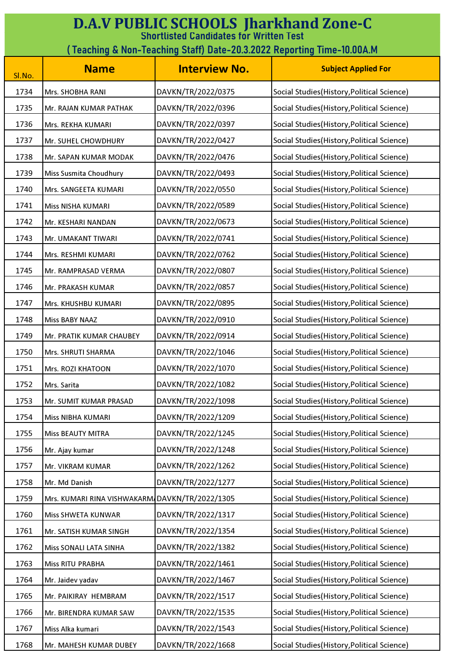| <b>D.A.V PUBLIC SCHOOLS Jharkhand Zone-C</b><br><b>Shortlisted Candidates for Written Test</b> |                                                                         |                      |                                             |  |
|------------------------------------------------------------------------------------------------|-------------------------------------------------------------------------|----------------------|---------------------------------------------|--|
|                                                                                                | ( Teaching & Non-Teaching Staff) Date-20.3.2022 Reporting Time-10.00A.M |                      |                                             |  |
| Sl.No.                                                                                         | <b>Name</b>                                                             | <b>Interview No.</b> | <b>Subject Applied For</b>                  |  |
| 1734                                                                                           | Mrs. SHOBHA RANI                                                        | DAVKN/TR/2022/0375   | Social Studies (History, Political Science) |  |
| 1735                                                                                           | Mr. RAJAN KUMAR PATHAK                                                  | DAVKN/TR/2022/0396   | Social Studies (History, Political Science) |  |
| 1736                                                                                           | Mrs. REKHA KUMARI                                                       | DAVKN/TR/2022/0397   | Social Studies (History, Political Science) |  |
| 1737                                                                                           | Mr. SUHEL CHOWDHURY                                                     | DAVKN/TR/2022/0427   | Social Studies (History, Political Science) |  |
| 1738                                                                                           | Mr. SAPAN KUMAR MODAK                                                   | DAVKN/TR/2022/0476   | Social Studies (History, Political Science) |  |
| 1739                                                                                           | <b>Miss Susmita Choudhury</b>                                           | DAVKN/TR/2022/0493   | Social Studies (History, Political Science) |  |
| 1740                                                                                           | Mrs. SANGEETA KUMARI                                                    | DAVKN/TR/2022/0550   | Social Studies(History, Political Science)  |  |
| 1741                                                                                           | Miss NISHA KUMARI                                                       | DAVKN/TR/2022/0589   | Social Studies (History, Political Science) |  |
| 1742                                                                                           | Mr. KESHARI NANDAN                                                      | DAVKN/TR/2022/0673   | Social Studies (History, Political Science) |  |
| 1743                                                                                           | Mr. UMAKANT TIWARI                                                      | DAVKN/TR/2022/0741   | Social Studies (History, Political Science) |  |
| 1744                                                                                           | Mrs. RESHMI KUMARI                                                      | DAVKN/TR/2022/0762   | Social Studies (History, Political Science) |  |
| 1745                                                                                           | Mr. RAMPRASAD VERMA                                                     | DAVKN/TR/2022/0807   | Social Studies (History, Political Science) |  |
| 1746                                                                                           | Mr. PRAKASH KUMAR                                                       | DAVKN/TR/2022/0857   | Social Studies (History, Political Science) |  |
| 1747                                                                                           | Mrs. KHUSHBU KUMARI                                                     | DAVKN/TR/2022/0895   | Social Studies (History, Political Science) |  |
| 1748                                                                                           | Miss BABY NAAZ                                                          | DAVKN/TR/2022/0910   | Social Studies (History, Political Science) |  |
| 1749                                                                                           | Mr. PRATIK KUMAR CHAUBEY                                                | DAVKN/TR/2022/0914   | Social Studies (History, Political Science) |  |
| 1750                                                                                           | Mrs. SHRUTI SHARMA                                                      | DAVKN/TR/2022/1046   | Social Studies(History, Political Science)  |  |
| 1751                                                                                           | Mrs. ROZI KHATOON                                                       | DAVKN/TR/2022/1070   | Social Studies (History, Political Science) |  |
| 1752                                                                                           | Mrs. Sarita                                                             | DAVKN/TR/2022/1082   | Social Studies (History, Political Science) |  |
| 1753                                                                                           | Mr. SUMIT KUMAR PRASAD                                                  | DAVKN/TR/2022/1098   | Social Studies (History, Political Science) |  |
| 1754                                                                                           | Miss NIBHA KUMARI                                                       | DAVKN/TR/2022/1209   | Social Studies (History, Political Science) |  |
| 1755                                                                                           | Miss BEAUTY MITRA                                                       | DAVKN/TR/2022/1245   | Social Studies (History, Political Science) |  |
| 1756                                                                                           | Mr. Ajay kumar                                                          | DAVKN/TR/2022/1248   | Social Studies(History, Political Science)  |  |
| 1757                                                                                           | Mr. VIKRAM KUMAR                                                        | DAVKN/TR/2022/1262   | Social Studies (History, Political Science) |  |
| 1758                                                                                           | Mr. Md Danish                                                           | DAVKN/TR/2022/1277   | Social Studies(History, Political Science)  |  |
| 1759                                                                                           | Mrs. KUMARI RINA VISHWAKARM DAVKN/TR/2022/1305                          |                      | Social Studies(History, Political Science)  |  |
| 1760                                                                                           | Miss SHWETA KUNWAR                                                      | DAVKN/TR/2022/1317   | Social Studies (History, Political Science) |  |
| 1761                                                                                           | Mr. SATISH KUMAR SINGH                                                  | DAVKN/TR/2022/1354   | Social Studies (History, Political Science) |  |
| 1762                                                                                           | Miss SONALI LATA SINHA                                                  | DAVKN/TR/2022/1382   | Social Studies (History, Political Science) |  |
| 1763                                                                                           | Miss RITU PRABHA                                                        | DAVKN/TR/2022/1461   | Social Studies (History, Political Science) |  |
| 1764                                                                                           | Mr. Jaidev yadav                                                        | DAVKN/TR/2022/1467   | Social Studies (History, Political Science) |  |
| 1765                                                                                           | Mr. PAIKIRAY HEMBRAM                                                    | DAVKN/TR/2022/1517   | Social Studies (History, Political Science) |  |
| 1766                                                                                           | Mr. BIRENDRA KUMAR SAW                                                  | DAVKN/TR/2022/1535   | Social Studies (History, Political Science) |  |
| 1767                                                                                           | Miss Alka kumari                                                        | DAVKN/TR/2022/1543   | Social Studies (History, Political Science) |  |
| 1768                                                                                           | Mr. MAHESH KUMAR DUBEY                                                  | DAVKN/TR/2022/1668   | Social Studies (History, Political Science) |  |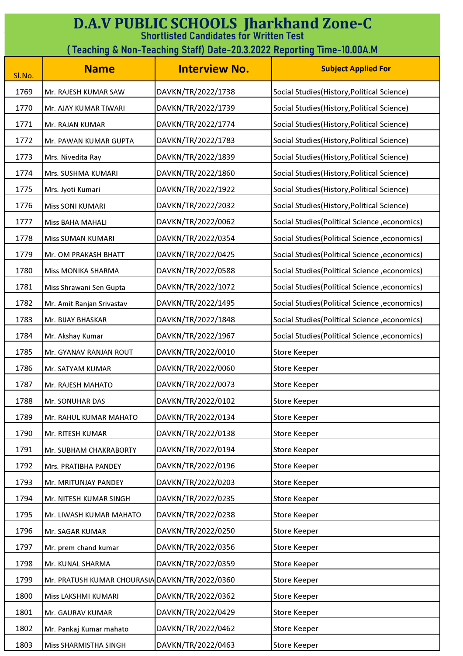| <b>D.A.V PUBLIC SCHOOLS Jharkhand Zone-C</b><br><b>Shortlisted Candidates for Written Test</b> |                                                |                      |                                               |
|------------------------------------------------------------------------------------------------|------------------------------------------------|----------------------|-----------------------------------------------|
| (Teaching & Non-Teaching Staff) Date-20.3.2022 Reporting Time-10.00A.M                         |                                                |                      |                                               |
| Sl.No.                                                                                         | <b>Name</b>                                    | <b>Interview No.</b> | <b>Subject Applied For</b>                    |
| 1769                                                                                           | Mr. RAJESH KUMAR SAW                           | DAVKN/TR/2022/1738   | Social Studies (History, Political Science)   |
| 1770                                                                                           | Mr. AJAY KUMAR TIWARI                          | DAVKN/TR/2022/1739   | Social Studies (History, Political Science)   |
| 1771                                                                                           | Mr. RAJAN KUMAR                                | DAVKN/TR/2022/1774   | Social Studies (History, Political Science)   |
| 1772                                                                                           | Mr. PAWAN KUMAR GUPTA                          | DAVKN/TR/2022/1783   | Social Studies (History, Political Science)   |
| 1773                                                                                           | Mrs. Nivedita Ray                              | DAVKN/TR/2022/1839   | Social Studies (History, Political Science)   |
| 1774                                                                                           | Mrs. SUSHMA KUMARI                             | DAVKN/TR/2022/1860   | Social Studies (History, Political Science)   |
| 1775                                                                                           | Mrs. Jyoti Kumari                              | DAVKN/TR/2022/1922   | Social Studies (History, Political Science)   |
| 1776                                                                                           | Miss SONI KUMARI                               | DAVKN/TR/2022/2032   | Social Studies (History, Political Science)   |
| 1777                                                                                           | <b>Miss BAHA MAHALI</b>                        | DAVKN/TR/2022/0062   | Social Studies (Political Science, economics) |
| 1778                                                                                           | <b>Miss SUMAN KUMARI</b>                       | DAVKN/TR/2022/0354   | Social Studies(Political Science, economics)  |
| 1779                                                                                           | Mr. OM PRAKASH BHATT                           | DAVKN/TR/2022/0425   | Social Studies (Political Science, economics) |
| 1780                                                                                           | Miss MONIKA SHARMA                             | DAVKN/TR/2022/0588   | Social Studies (Political Science, economics) |
| 1781                                                                                           | Miss Shrawani Sen Gupta                        | DAVKN/TR/2022/1072   | Social Studies (Political Science, economics) |
| 1782                                                                                           | Mr. Amit Ranjan Srivastav                      | DAVKN/TR/2022/1495   | Social Studies (Political Science, economics) |
| 1783                                                                                           | Mr. BIJAY BHASKAR                              | DAVKN/TR/2022/1848   | Social Studies (Political Science, economics) |
| 1784                                                                                           | Mr. Akshay Kumar                               | DAVKN/TR/2022/1967   | Social Studies (Political Science, economics) |
| 1785                                                                                           | Mr. GYANAV RANJAN ROUT                         | DAVKN/TR/2022/0010   | <b>Store Keeper</b>                           |
| 1786                                                                                           | Mr. SATYAM KUMAR                               | DAVKN/TR/2022/0060   | <b>Store Keeper</b>                           |
| 1787                                                                                           | Mr. RAJESH MAHATO                              | DAVKN/TR/2022/0073   | <b>Store Keeper</b>                           |
| 1788                                                                                           | Mr. SONUHAR DAS                                | DAVKN/TR/2022/0102   | <b>Store Keeper</b>                           |
| 1789                                                                                           | Mr. RAHUL KUMAR MAHATO                         | DAVKN/TR/2022/0134   | <b>Store Keeper</b>                           |
| 1790                                                                                           | Mr. RITESH KUMAR                               | DAVKN/TR/2022/0138   | <b>Store Keeper</b>                           |
| 1791                                                                                           | Mr. SUBHAM CHAKRABORTY                         | DAVKN/TR/2022/0194   | <b>Store Keeper</b>                           |
| 1792                                                                                           | Mrs. PRATIBHA PANDEY                           | DAVKN/TR/2022/0196   | <b>Store Keeper</b>                           |
| 1793                                                                                           | Mr. MRITUNJAY PANDEY                           | DAVKN/TR/2022/0203   | <b>Store Keeper</b>                           |
| 1794                                                                                           | Mr. NITESH KUMAR SINGH                         | DAVKN/TR/2022/0235   | <b>Store Keeper</b>                           |
| 1795                                                                                           | Mr. LIWASH KUMAR MAHATO                        | DAVKN/TR/2022/0238   | <b>Store Keeper</b>                           |
| 1796                                                                                           | Mr. SAGAR KUMAR                                | DAVKN/TR/2022/0250   | <b>Store Keeper</b>                           |
| 1797                                                                                           | Mr. prem chand kumar                           | DAVKN/TR/2022/0356   | <b>Store Keeper</b>                           |
| 1798                                                                                           | Mr. KUNAL SHARMA                               | DAVKN/TR/2022/0359   | <b>Store Keeper</b>                           |
| 1799                                                                                           | Mr. PRATUSH KUMAR CHOURASIA DAVKN/TR/2022/0360 |                      | <b>Store Keeper</b>                           |
| 1800                                                                                           | Miss LAKSHMI KUMARI                            | DAVKN/TR/2022/0362   | <b>Store Keeper</b>                           |
| 1801                                                                                           | Mr. GAURAV KUMAR                               | DAVKN/TR/2022/0429   | <b>Store Keeper</b>                           |
| 1802                                                                                           | Mr. Pankaj Kumar mahato                        | DAVKN/TR/2022/0462   | <b>Store Keeper</b>                           |
| 1803                                                                                           | Miss SHARMISTHA SINGH                          | DAVKN/TR/2022/0463   | <b>Store Keeper</b>                           |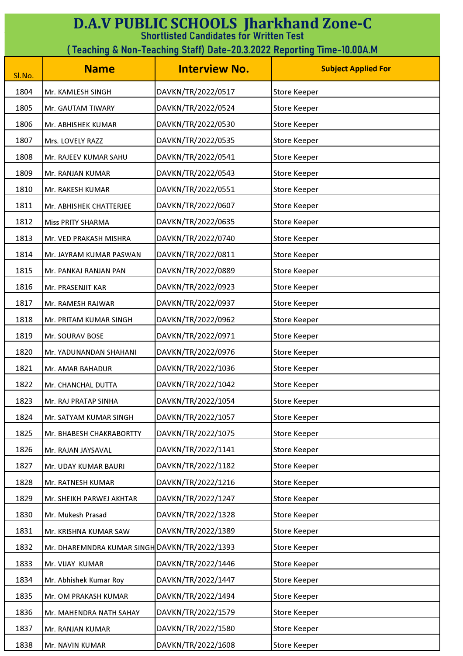| <b>D.A.V PUBLIC SCHOOLS Jharkhand Zone-C</b><br><b>Shortlisted Candidates for Written Test</b> |                                               |                      |                            |
|------------------------------------------------------------------------------------------------|-----------------------------------------------|----------------------|----------------------------|
| (Teaching & Non-Teaching Staff) Date-20.3.2022 Reporting Time-10.00A.M                         |                                               |                      |                            |
| Sl.No.                                                                                         | <b>Name</b>                                   | <b>Interview No.</b> | <b>Subject Applied For</b> |
| 1804                                                                                           | Mr. KAMLESH SINGH                             | DAVKN/TR/2022/0517   | <b>Store Keeper</b>        |
| 1805                                                                                           | Mr. GAUTAM TIWARY                             | DAVKN/TR/2022/0524   | <b>Store Keeper</b>        |
| 1806                                                                                           | Mr. ABHISHEK KUMAR                            | DAVKN/TR/2022/0530   | <b>Store Keeper</b>        |
| 1807                                                                                           | Mrs. LOVELY RAZZ                              | DAVKN/TR/2022/0535   | <b>Store Keeper</b>        |
| 1808                                                                                           | Mr. RAJEEV KUMAR SAHU                         | DAVKN/TR/2022/0541   | <b>Store Keeper</b>        |
| 1809                                                                                           | Mr. RANJAN KUMAR                              | DAVKN/TR/2022/0543   | <b>Store Keeper</b>        |
| 1810                                                                                           | Mr. RAKESH KUMAR                              | DAVKN/TR/2022/0551   | <b>Store Keeper</b>        |
| 1811                                                                                           | Mr. ABHISHEK CHATTERJEE                       | DAVKN/TR/2022/0607   | <b>Store Keeper</b>        |
| 1812                                                                                           | <b>Miss PRITY SHARMA</b>                      | DAVKN/TR/2022/0635   | <b>Store Keeper</b>        |
| 1813                                                                                           | Mr. VED PRAKASH MISHRA                        | DAVKN/TR/2022/0740   | <b>Store Keeper</b>        |
| 1814                                                                                           | Mr. JAYRAM KUMAR PASWAN                       | DAVKN/TR/2022/0811   | <b>Store Keeper</b>        |
| 1815                                                                                           | Mr. PANKAJ RANJAN PAN                         | DAVKN/TR/2022/0889   | <b>Store Keeper</b>        |
| 1816                                                                                           | Mr. PRASENJIT KAR                             | DAVKN/TR/2022/0923   | <b>Store Keeper</b>        |
| 1817                                                                                           | Mr. RAMESH RAJWAR                             | DAVKN/TR/2022/0937   | <b>Store Keeper</b>        |
| 1818                                                                                           | Mr. PRITAM KUMAR SINGH                        | DAVKN/TR/2022/0962   | <b>Store Keeper</b>        |
| 1819                                                                                           | Mr. SOURAV BOSE                               | DAVKN/TR/2022/0971   | <b>Store Keeper</b>        |
| 1820                                                                                           | Mr. YADUNANDAN SHAHANI                        | DAVKN/TR/2022/0976   | <b>Store Keeper</b>        |
| 1821                                                                                           | Mr. AMAR BAHADUR                              | DAVKN/TR/2022/1036   | <b>Store Keeper</b>        |
| 1822                                                                                           | Mr. CHANCHAL DUTTA                            | DAVKN/TR/2022/1042   | <b>Store Keeper</b>        |
| 1823                                                                                           | Mr. RAJ PRATAP SINHA                          | DAVKN/TR/2022/1054   | <b>Store Keeper</b>        |
| 1824                                                                                           | Mr. SATYAM KUMAR SINGH                        | DAVKN/TR/2022/1057   | <b>Store Keeper</b>        |
| 1825                                                                                           | Mr. BHABESH CHAKRABORTTY                      | DAVKN/TR/2022/1075   | <b>Store Keeper</b>        |
| 1826                                                                                           | Mr. RAJAN JAYSAVAL                            | DAVKN/TR/2022/1141   | <b>Store Keeper</b>        |
| 1827                                                                                           | Mr. UDAY KUMAR BAURI                          | DAVKN/TR/2022/1182   | <b>Store Keeper</b>        |
| 1828                                                                                           | Mr. RATNESH KUMAR                             | DAVKN/TR/2022/1216   | <b>Store Keeper</b>        |
| 1829                                                                                           | Mr. SHEIKH PARWEJ AKHTAR                      | DAVKN/TR/2022/1247   | <b>Store Keeper</b>        |
| 1830                                                                                           | Mr. Mukesh Prasad                             | DAVKN/TR/2022/1328   | <b>Store Keeper</b>        |
| 1831                                                                                           | Mr. KRISHNA KUMAR SAW                         | DAVKN/TR/2022/1389   | <b>Store Keeper</b>        |
| 1832                                                                                           | Mr. DHAREMNDRA KUMAR SINGH DAVKN/TR/2022/1393 |                      | <b>Store Keeper</b>        |
| 1833                                                                                           | Mr. VIJAY KUMAR                               | DAVKN/TR/2022/1446   | <b>Store Keeper</b>        |
| 1834                                                                                           | Mr. Abhishek Kumar Roy                        | DAVKN/TR/2022/1447   | <b>Store Keeper</b>        |
| 1835                                                                                           | Mr. OM PRAKASH KUMAR                          | DAVKN/TR/2022/1494   | <b>Store Keeper</b>        |
| 1836                                                                                           | Mr. MAHENDRA NATH SAHAY                       | DAVKN/TR/2022/1579   | <b>Store Keeper</b>        |
| 1837                                                                                           | Mr. RANJAN KUMAR                              | DAVKN/TR/2022/1580   | <b>Store Keeper</b>        |
| 1838                                                                                           | Mr. NAVIN KUMAR                               | DAVKN/TR/2022/1608   | <b>Store Keeper</b>        |